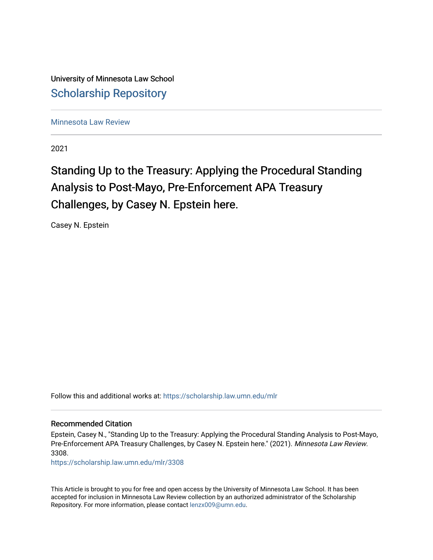University of Minnesota Law School [Scholarship Repository](https://scholarship.law.umn.edu/) 

[Minnesota Law Review](https://scholarship.law.umn.edu/mlr) 

2021

# Standing Up to the Treasury: Applying the Procedural Standing Analysis to Post-Mayo, Pre-Enforcement APA Treasury Challenges, by Casey N. Epstein here.

Casey N. Epstein

Follow this and additional works at: [https://scholarship.law.umn.edu/mlr](https://scholarship.law.umn.edu/mlr?utm_source=scholarship.law.umn.edu%2Fmlr%2F3308&utm_medium=PDF&utm_campaign=PDFCoverPages)

# Recommended Citation

Epstein, Casey N., "Standing Up to the Treasury: Applying the Procedural Standing Analysis to Post-Mayo, Pre-Enforcement APA Treasury Challenges, by Casey N. Epstein here." (2021). Minnesota Law Review. 3308.

[https://scholarship.law.umn.edu/mlr/3308](https://scholarship.law.umn.edu/mlr/3308?utm_source=scholarship.law.umn.edu%2Fmlr%2F3308&utm_medium=PDF&utm_campaign=PDFCoverPages)

This Article is brought to you for free and open access by the University of Minnesota Law School. It has been accepted for inclusion in Minnesota Law Review collection by an authorized administrator of the Scholarship Repository. For more information, please contact [lenzx009@umn.edu.](mailto:lenzx009@umn.edu)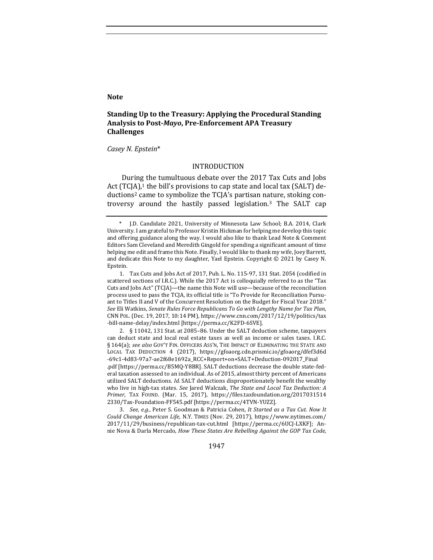#### **Note**

# **Standing Up to the Treasury: Applying the Procedural Standing** Analysis to Post-*Mayo*, Pre-Enforcement APA Treasury **Challenges**

#### *Casey N. Epstein*\*

#### INTRODUCTION

During the tumultuous debate over the 2017 Tax Cuts and Jobs Act  $(TC[A),$ <sup>1</sup> the bill's provisions to cap state and local tax (SALT) deductions<sup>2</sup> came to symbolize the  $TC[A]$ 's partisan nature, stoking controversy around the hastily passed legislation.3 The SALT cap 

2. § 11042, 131 Stat. at 2085-86. Under the SALT deduction scheme, taxpayers can deduct state and local real estate taxes as well as income or sales taxes. I.R.C. § 164(a); see also GOV'T FIN. OFFICERS ASS'N, THE IMPACT OF ELIMINATING THE STATE AND LOCAL TAX DEDUCTION 4 (2017), https://gfoaorg.cdn.prismic.io/gfoaorg/dfef3d6d -69c1-4d83-97a7-ae2f68e1692a\_RCC+Report+on+SALT+Deduction-092017\_Final .pdf [https://perma.cc/B5MQ-Y8BR]. SALT deductions decrease the double state-federal taxation assessed to an individual. As of 2015, almost thirty percent of Americans utilized SALT deductions. *Id.* SALT deductions disproportionately benefit the wealthy

3. *See, e.g.*, Peter S. Goodman & Patricia Cohen, *It Started as a Tax Cut. Now It Could Change American Life*, N.Y. TIMES (Nov. 29, 2017), https://www.nytimes.com/ 2017/11/29/business/republican-tax-cut.html [https://perma.cc/6UCJ-LXKF]; Annie Nova & Darla Mercado, *How These States Are Rebelling Against the GOP Tax Code*,

1947

J.D. Candidate 2021, University of Minnesota Law School; B.A. 2014, Clark University. I am grateful to Professor Kristin Hickman for helping me develop this topic and offering guidance along the way. I would also like to thank Lead Note & Comment Editors Sam Cleveland and Meredith Gingold for spending a significant amount of time helping me edit and frame this Note. Finally, I would like to thank my wife, Joey Barrett, and dedicate this Note to my daughter, Yael Epstein. Copyright  $© 2021$  by Casey N. Epstein.

<sup>1.</sup> Tax Cuts and Jobs Act of 2017, Pub. L. No. 115-97, 131 Stat. 2054 (codified in scattered sections of I.R.C.). While the 2017 Act is colloquially referred to as the "Tax Cuts and Jobs Act" (TCJA)—the name this Note will use—because of the reconciliation process used to pass the TCJA, its official title is "To Provide for Reconciliation Pursuant to Titles II and V of the Concurrent Resolution on the Budget for Fiscal Year 2018." See Eli Watkins, *Senate Rules Force Republicans To Go with Lengthy Name for Tax Plan*, CNN POL. (Dec. 19, 2017, 10:14 PM), https://www.cnn.com/2017/12/19/politics/tax -bill-name-delay/index.html [https://perma.cc/K2FD-6SVE].

who live in high-tax states. See Jared Walczak, The State and Local Tax Deduction: A *Primer*, TAX FOUND. (Mar. 15, 2017), https://files.taxfoundation.org/2017031514 2330/Tax-Foundation-FF545.pdf [https://perma.cc/4TVN-YUZZ].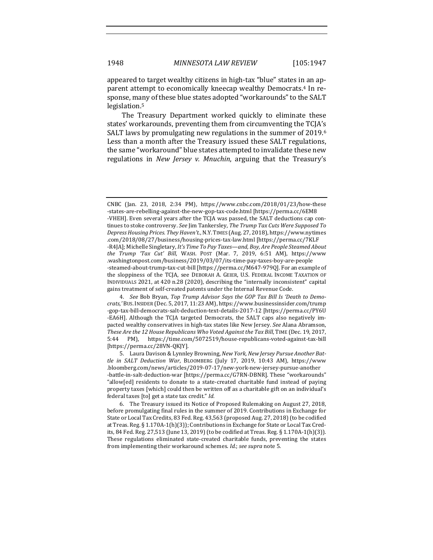appeared to target wealthy citizens in high-tax "blue" states in an apparent attempt to economically kneecap wealthy Democrats.<sup>4</sup> In response, many of these blue states adopted "workarounds" to the SALT legislation.5

The Treasury Department worked quickly to eliminate these states' workarounds, preventing them from circumventing the TCJA's SALT laws by promulgating new regulations in the summer of 2019.<sup>6</sup> Less than a month after the Treasury issued these SALT regulations, the same "workaround" blue states attempted to invalidate these new regulations in *New Jersey v. Mnuchin*, arguing that the Treasury's

4. See Bob Bryan, Top Trump Advisor Says the GOP Tax Bill Is 'Death to Demo*crats*,*'* BUS.INSIDER (Dec. 5, 2017, 11:23 AM), https://www.businessinsider.com/trump -gop-tax-bill-democrats-salt-deduction-text-details-2017-12 [https://perma.cc/PY6U -EA6H]. Although the TCJA targeted Democrats, the SALT caps also negatively impacted wealthy conservatives in high-tax states like New Jersey. See Alana Abramson, *These Are the 12 House Republicans Who Voted Against the Tax Bill*, TIME (Dec. 19, 2017, 5:44 PM), https://time.com/5072519/house-republicans-voted-against-tax-bill [https://perma.cc/28VN-QKJY]. 

CNBC (Jan. 23, 2018, 2:34 PM), https://www.cnbc.com/2018/01/23/how-these -states-are-rebelling-against-the-new-gop-tax-code.html [https://perma.cc/6EM8 -VHEH]. Even several years after the TCJA was passed, the SALT deductions cap continues to stoke controversy. See Jim Tankersley, The Trump Tax Cuts Were Supposed To *Depress Housing Prices. They Haven't.*, N.Y.TIMES (Aug. 27, 2018), https://www.nytimes .com/2018/08/27/business/housing-prices-tax-law.html [https://perma.cc/7KLF -R4JA]; Michelle Singletary, *It's Time To Pay Taxes—and, Boy, Are People Steamed About the Trump 'Tax Cut' Bill*, WASH. POST (Mar. 7, 2019, 6:51 AM), https://www .washingtonpost.com/business/2019/03/07/its-time-pay-taxes-boy-are-people -steamed-about-trump-tax-cut-bill [https://perma.cc/M647-979Q]. For an example of the sloppiness of the TCJA, see DEBORAH A. GEIER, U.S. FEDERAL INCOME TAXATION OF INDIVIDUALS 2021, at 420 n.28 (2020), describing the "internally inconsistent" capital gains treatment of self-created patents under the Internal Revenue Code.

<sup>5.</sup> Laura Davison & Lynnley Browning, New York, New Jersey Pursue Another Bat*tle in SALT Deduction War*, BLOOMBERG (July 17, 2019, 10:43 AM), https://www .bloomberg.com/news/articles/2019-07-17/new-york-new-jersey-pursue-another -battle-in-salt-deduction-war [https://perma.cc/G7RN-DBNR]. These "workarounds" "allow[ed] residents to donate to a state-created charitable fund instead of paying property taxes [which] could then be written off as a charitable gift on an individual's federal taxes [to] get a state tax credit." Id.

<sup>6.</sup> The Treasury issued its Notice of Proposed Rulemaking on August 27, 2018, before promulgating final rules in the summer of 2019. Contributions in Exchange for State or Local Tax Credits, 83 Fed. Reg. 43,563 (proposed Aug. 27, 2018) (to be codified at Treas. Reg.  $\S 1.170A-1(h)(3)$ ; Contributions in Exchange for State or Local Tax Credits, 84 Fed. Reg. 27,513 (June 13, 2019) (to be codified at Treas. Reg. § 1.170A-1(h)(3)). These regulations eliminated state-created charitable funds, preventing the states from implementing their workaround schemes. *Id.*; see supra note 5.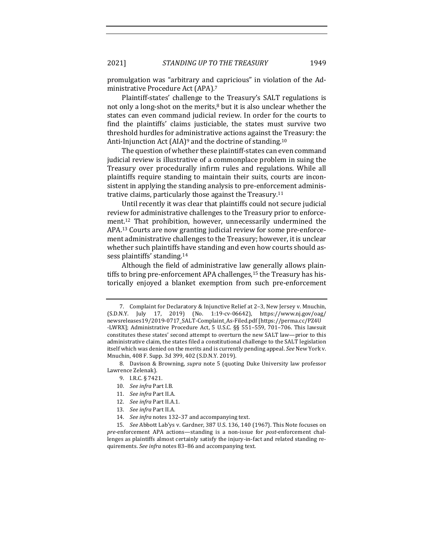promulgation was "arbitrary and capricious" in violation of the Administrative Procedure Act (APA).<sup>7</sup>

Plaintiff-states' challenge to the Treasury's SALT regulations is not only a long-shot on the merits, $8$  but it is also unclear whether the states can even command judicial review. In order for the courts to find the plaintiffs' claims justiciable, the states must survive two threshold hurdles for administrative actions against the Treasury: the Anti-Injunction Act  $(AIA)^9$  and the doctrine of standing.<sup>10</sup>

The question of whether these plaintiff-states can even command judicial review is illustrative of a commonplace problem in suing the Treasury over procedurally infirm rules and regulations. While all plaintiffs require standing to maintain their suits, courts are inconsistent in applying the standing analysis to pre-enforcement administrative claims, particularly those against the Treasury.<sup>11</sup>

Until recently it was clear that plaintiffs could not secure judicial review for administrative challenges to the Treasury prior to enforcement.<sup>12</sup> That prohibition, however, unnecessarily undermined the APA.<sup>13</sup> Courts are now granting judicial review for some pre-enforcement administrative challenges to the Treasury; however, it is unclear whether such plaintiffs have standing and even how courts should assess plaintiffs' standing.<sup>14</sup>

Although the field of administrative law generally allows plaintiffs to bring pre-enforcement APA challenges,<sup>15</sup> the Treasury has historically enjoyed a blanket exemption from such pre-enforcement

8. Davison & Browning, *supra* note 5 (quoting Duke University law professor Lawrence Zelenak).

- 9. I.R.C. § 7421.
- 10. *See infra* Part I.B.
- 11. *See infra* Part II.A.
- 12. *See infra Part II.A.1.*
- 13. *See infra Part II.A.*
- 14. *See infra* notes 132-37 and accompanying text.

<sup>7.</sup> Complaint for Declaratory & Injunctive Relief at 2-3, New Jersey v. Mnuchin,  $(S.D.N.Y.$  July 17, 2019) (No. 1:19-cv-06642), https://www.nj.gov/oag/ newsreleases19/2019-0717\_SALT-Complaint\_As-Filed.pdf [https://perma.cc/PZ4U -LWRX]; Administrative Procedure Act, 5 U.S.C.  $\S$ § 551–559, 701–706. This lawsuit constitutes these states' second attempt to overturn the new SALT law-prior to this administrative claim, the states filed a constitutional challenge to the SALT legislation itself which was denied on the merits and is currently pending appeal. See New York v. Mnuchin, 408 F. Supp. 3d 399, 402 (S.D.N.Y. 2019).

<sup>15.</sup> *See* Abbott Lab'ys v. Gardner, 387 U.S. 136, 140 (1967). This Note focuses on *pre-*enforcement APA actions—standing is a non-issue for *post*-enforcement challenges as plaintiffs almost certainly satisfy the injury-in-fact and related standing requirements. See infra notes 83-86 and accompanying text.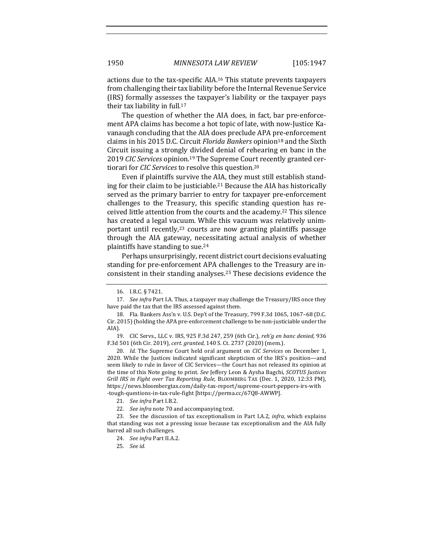actions due to the tax-specific AIA.<sup>16</sup> This statute prevents taxpayers from challenging their tax liability before the Internal Revenue Service (IRS) formally assesses the taxpayer's liability or the taxpayer pays their tax liability in full.<sup>17</sup>

The question of whether the AIA does, in fact, bar pre-enforcement APA claims has become a hot topic of late, with now-Justice Kavanaugh concluding that the AIA does preclude APA pre-enforcement claims in his 2015 D.C. Circuit *Florida Bankers* opinion<sup>18</sup> and the Sixth Circuit issuing a strongly divided denial of rehearing en banc in the 2019 *CIC Services* opinion.<sup>19</sup> The Supreme Court recently granted certiorari for *CIC* Services to resolve this question.<sup>20</sup>

Even if plaintiffs survive the AIA, they must still establish standing for their claim to be justiciable.<sup>21</sup> Because the AIA has historically served as the primary barrier to entry for taxpayer pre-enforcement challenges to the Treasury, this specific standing question has received little attention from the courts and the academy.<sup>22</sup> This silence has created a legal vacuum. While this vacuum was relatively unimportant until recently,<sup>23</sup> courts are now granting plaintiffs passage through the AIA gateway, necessitating actual analysis of whether plaintiffs have standing to sue.<sup>24</sup>

Perhaps unsurprisingly, recent district court decisions evaluating standing for pre-enforcement APA challenges to the Treasury are inconsistent in their standing analyses.<sup>25</sup> These decisions evidence the

<sup>16.</sup> I.R.C. § 7421.

<sup>17.</sup> *See infra* Part I.A. Thus, a taxpayer may challenge the Treasury/IRS once they have paid the tax that the IRS assessed against them.

<sup>18.</sup> Fla. Bankers Ass'n v. U.S. Dep't of the Treasury, 799 F.3d 1065, 1067-68 (D.C. Cir. 2015) (holding the APA pre-enforcement challenge to be non-justiciable under the AIA).

<sup>19.</sup> CIC Servs., LLC v. IRS, 925 F.3d 247, 259 (6th Cir.), *reh'g en banc denied*, 936 F.3d 501 (6th Cir. 2019), cert. granted, 140 S. Ct. 2737 (2020) (mem.).

<sup>20.</sup> *Id.* The Supreme Court held oral argument on *CIC Services* on December 1, 2020. While the Justices indicated significant skepticism of the IRS's position—and seem likely to rule in favor of CIC Services—the Court has not released its opinion at the time of this Note going to print. See Jeffery Leon & Aysha Bagchi, *SCOTUS Justices Grill IRS in Fight over Tax Reporting Rule*, BLOOMBERG TAX (Dec. 1, 2020, 12:33 PM), https://news.bloombergtax.com/daily-tax-report/supreme-court-peppers-irs-with -tough-questions-in-tax-rule-fight [https://perma.cc/67Q8-AWWP].

<sup>21.</sup> *See infra* Part I.B.2.

<sup>22.</sup> *See infra* note 70 and accompanying text.

<sup>23.</sup> See the discussion of tax exceptionalism in Part I.A.2, *infra*, which explains that standing was not a pressing issue because tax exceptionalism and the AIA fully barred all such challenges.

<sup>24.</sup> *See infra* Part II.A.2.

<sup>25.</sup> *See id.*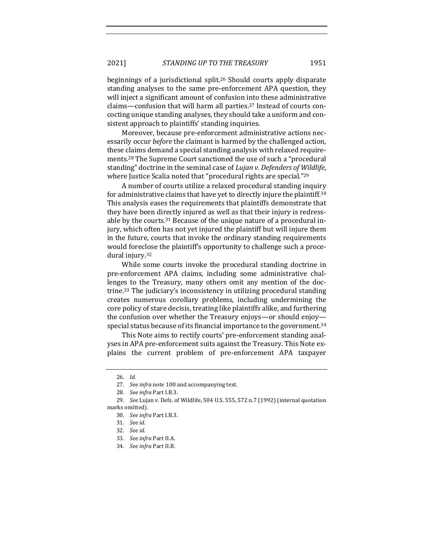beginnings of a jurisdictional split.<sup>26</sup> Should courts apply disparate standing analyses to the same pre-enforcement APA question, they will inject a significant amount of confusion into these administrative claims—confusion that will harm all parties.<sup>27</sup> Instead of courts concocting unique standing analyses, they should take a uniform and consistent approach to plaintiffs' standing inquiries.

Moreover, because pre-enforcement administrative actions necessarily occur *before* the claimant is harmed by the challenged action, these claims demand a special standing analysis with relaxed requirements.<sup>28</sup> The Supreme Court sanctioned the use of such a "procedural standing" doctrine in the seminal case of *Lujan v. Defenders of Wildlife*, where Justice Scalia noted that "procedural rights are special."<sup>29</sup>

A number of courts utilize a relaxed procedural standing inquiry for administrative claims that have yet to directly injure the plaintiff.<sup>30</sup> This analysis eases the requirements that plaintiffs demonstrate that they have been directly injured as well as that their injury is redressable by the courts.<sup>31</sup> Because of the unique nature of a procedural injury, which often has not yet injured the plaintiff but will injure them in the future, courts that invoke the ordinary standing requirements would foreclose the plaintiff's opportunity to challenge such a procedural injury.<sup>32</sup>

While some courts invoke the procedural standing doctrine in pre-enforcement APA claims, including some administrative challenges to the Treasury, many others omit any mention of the doctrine.<sup>33</sup> The judiciary's inconsistency in utilizing procedural standing creates numerous corollary problems, including undermining the core policy of stare decisis, treating like plaintiffs alike, and furthering the confusion over whether the Treasury enjoys—or should enjoy special status because of its financial importance to the government.<sup>34</sup>

This Note aims to rectify courts' pre-enforcement standing analyses in APA pre-enforcement suits against the Treasury. This Note explains the current problem of pre-enforcement APA taxpayer

<sup>26.</sup> *Id.*

<sup>27.</sup> *See infra* note 100 and accompanying text.

<sup>28.</sup> *See infra Part I.B.3.* 

<sup>29.</sup> *See Lujan v. Defs. of Wildlife,* 504 U.S. 555, 572 n.7 (1992) (internal quotation marks omitted).

<sup>30.</sup> *See infra* Part I.B.3. 

<sup>31.</sup> *See id.*

<sup>32.</sup> *See id.*

<sup>33.</sup> *See infra Part II.A.* 

<sup>34.</sup> *See infra Part II.B.*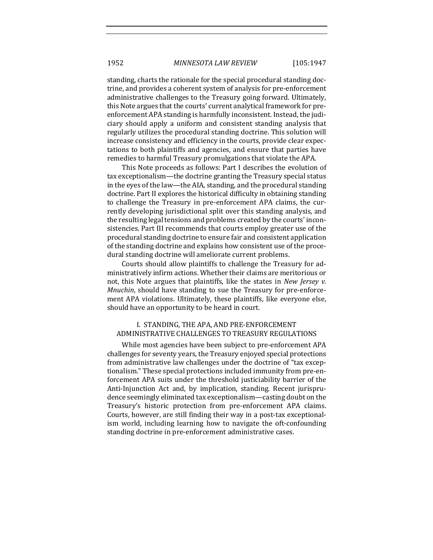standing, charts the rationale for the special procedural standing doctrine, and provides a coherent system of analysis for pre-enforcement administrative challenges to the Treasury going forward. Ultimately, this Note argues that the courts' current analytical framework for preenforcement APA standing is harmfully inconsistent. Instead, the judiciary should apply a uniform and consistent standing analysis that regularly utilizes the procedural standing doctrine. This solution will increase consistency and efficiency in the courts, provide clear expectations to both plaintiffs and agencies, and ensure that parties have remedies to harmful Treasury promulgations that violate the APA.

This Note proceeds as follows: Part I describes the evolution of tax exceptionalism—the doctrine granting the Treasury special status in the eyes of the law—the AIA, standing, and the procedural standing doctrine. Part II explores the historical difficulty in obtaining standing to challenge the Treasury in pre-enforcement APA claims, the currently developing jurisdictional split over this standing analysis, and the resulting legal tensions and problems created by the courts' inconsistencies. Part III recommends that courts employ greater use of the procedural standing doctrine to ensure fair and consistent application of the standing doctrine and explains how consistent use of the procedural standing doctrine will ameliorate current problems.

Courts should allow plaintiffs to challenge the Treasury for administratively infirm actions. Whether their claims are meritorious or not, this Note argues that plaintiffs, like the states in *New Jersey v. Mnuchin*, should have standing to sue the Treasury for pre-enforcement APA violations. Ultimately, these plaintiffs, like everyone else, should have an opportunity to be heard in court.

## I. STANDING, THE APA, AND PRE-ENFORCEMENT ADMINISTRATIVE CHALLENGES TO TREASURY REGULATIONS

While most agencies have been subject to pre-enforcement APA challenges for seventy years, the Treasury enjoyed special protections from administrative law challenges under the doctrine of "tax exceptionalism." These special protections included immunity from pre-enforcement APA suits under the threshold justiciability barrier of the Anti-Injunction Act and, by implication, standing. Recent jurisprudence seemingly eliminated tax exceptionalism—casting doubt on the Treasury's historic protection from pre-enforcement APA claims. Courts, however, are still finding their way in a post-tax exceptionalism world, including learning how to navigate the oft-confounding standing doctrine in pre-enforcement administrative cases.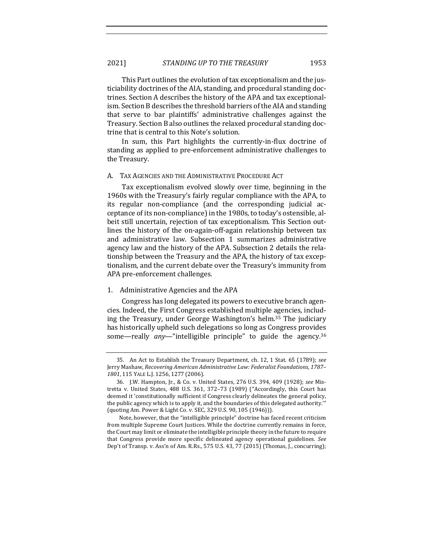This Part outlines the evolution of tax exceptionalism and the justiciability doctrines of the AIA, standing, and procedural standing doctrines. Section A describes the history of the APA and tax exceptionalism. Section B describes the threshold barriers of the AIA and standing that serve to bar plaintiffs' administrative challenges against the Treasury. Section B also outlines the relaxed procedural standing doctrine that is central to this Note's solution.

In sum, this Part highlights the currently-in-flux doctrine of standing as applied to pre-enforcement administrative challenges to the Treasury.

### A. TAX AGENCIES AND THE ADMINISTRATIVE PROCEDURE ACT

Tax exceptionalism evolved slowly over time, beginning in the 1960s with the Treasury's fairly regular compliance with the APA, to its regular non-compliance (and the corresponding judicial acceptance of its non-compliance) in the 1980s, to today's ostensible, albeit still uncertain, rejection of tax exceptionalism. This Section outlines the history of the on-again-off-again relationship between tax and administrative law. Subsection 1 summarizes administrative agency law and the history of the APA. Subsection 2 details the relationship between the Treasury and the APA, the history of tax exceptionalism, and the current debate over the Treasury's immunity from APA pre-enforcement challenges.

## 1. Administrative Agencies and the APA

Congress has long delegated its powers to executive branch agencies. Indeed, the First Congress established multiple agencies, including the Treasury, under George Washington's helm.<sup>35</sup> The judiciary has historically upheld such delegations so long as Congress provides some-really any-"intelligible principle" to guide the agency.<sup>36</sup>

<sup>35.</sup> An Act to Establish the Treasury Department, ch. 12, 1 Stat. 65 (1789); see Jerry Mashaw, *Recovering American Administrative Law: Federalist Foundations, 1787– 1801*, 115 YALE L.J. 1256, 1277 (2006).

<sup>36.</sup> J.W. Hampton, Jr., & Co. v. United States, 276 U.S. 394, 409 (1928); see Mistretta v. United States, 488 U.S. 361, 372-73 (1989) ("Accordingly, this Court has deemed it 'constitutionally sufficient if Congress clearly delineates the general policy, the public agency which is to apply it, and the boundaries of this delegated authority." (quoting Am. Power & Light Co. v. SEC, 329 U.S. 90, 105 (1946))).

Note, however, that the "intelligible principle" doctrine has faced recent criticism from multiple Supreme Court Justices. While the doctrine currently remains in force, the Court may limit or eliminate the intelligible principle theory in the future to require that Congress provide more specific delineated agency operational guidelines. See Dep't of Transp. v. Ass'n of Am. R.Rs.,  $575$  U.S. 43, 77 (2015) (Thomas, J., concurring);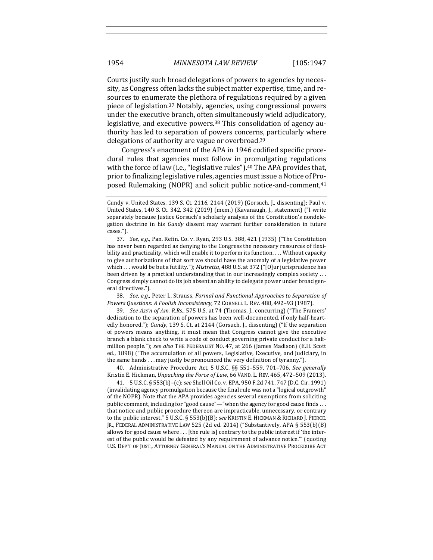Courts justify such broad delegations of powers to agencies by necessity, as Congress often lacks the subject matter expertise, time, and resources to enumerate the plethora of regulations required by a given piece of legislation.<sup>37</sup> Notably, agencies, using congressional powers under the executive branch, often simultaneously wield adjudicatory, legislative, and executive powers.<sup>38</sup> This consolidation of agency authority has led to separation of powers concerns, particularly where delegations of authority are vague or overbroad.<sup>39</sup>

Congress's enactment of the APA in 1946 codified specific procedural rules that agencies must follow in promulgating regulations with the force of law (i.e., "legislative rules").<sup>40</sup> The APA provides that, prior to finalizing legislative rules, agencies must issue a Notice of Proposed Rulemaking (NOPR) and solicit public notice-and-comment,<sup>41</sup>

38. *See, e.g.*, Peter L. Strauss, Formal and Functional Approaches to Separation of *Powers Questions: A Foolish Inconsistency*, 72 CORNELL L. REV. 488, 492–93 (1987).

39. *See Ass'n of Am. R.Rs.*, 575 U.S. at 74 (Thomas, J., concurring) ("The Framers' dedication to the separation of powers has been well-documented, if only half-heartedly honored."); *Gundy*, 139 S. Ct. at 2144 (Gorsuch, J., dissenting) ("If the separation of powers means anything, it must mean that Congress cannot give the executive branch a blank check to write a code of conduct governing private conduct for a halfmillion people."); see also THE FEDERALIST NO. 47, at 266 (James Madison) (E.H. Scott ed., 1898) ("The accumulation of all powers, Legislative, Executive, and Judiciary, in the same hands  $\dots$  may justly be pronounced the very definition of tyranny.").

40. Administrative Procedure Act, 5 U.S.C. §§ 551–559, 701–706. *See generally* Kristin E. Hickman, *Unpacking the Force of Law*, 66 VAND. L. REV. 465, 472-509 (2013).

41. 5 U.S.C. § 553(b)–(c); *see* Shell Oil Co. v. EPA, 950 F.2d 741, 747 (D.C. Cir. 1991) (invalidating agency promulgation because the final rule was not a "logical outgrowth" of the NOPR). Note that the APA provides agencies several exemptions from soliciting public comment, including for "good cause"—"when the agency for good cause finds . . . that notice and public procedure thereon are impracticable, unnecessary, or contrary to the public interest." 5 U.S.C. § 553(b)(B); see KRISTIN E. HICKMAN & RICHARD J. PIERCE, JR., FEDERAL ADMINISTRATIVE LAW 525 (2d ed. 2014) ("Substantively, APA § 553(b)(B) allows for good cause where . . . [the rule is] contrary to the public interest if 'the interest of the public would be defeated by any requirement of advance notice." (quoting U.S. DEP'T OF JUST., ATTORNEY GENERAL'S MANUAL ON THE ADMINISTRATIVE PROCEDURE ACT

Gundy v. United States, 139 S. Ct. 2116, 2144 (2019) (Gorsuch, J., dissenting); Paul v. United States, 140 S. Ct. 342, 342 (2019) (mem.) (Kavanaugh, J., statement) ("I write separately because Justice Gorsuch's scholarly analysis of the Constitution's nondelegation doctrine in his *Gundy* dissent may warrant further consideration in future cases.").

<sup>37.</sup> *See, e.g.*, Pan. Refin. Co. v. Ryan, 293 U.S. 388, 421 (1935) ("The Constitution has never been regarded as denying to the Congress the necessary resources of flexibility and practicality, which will enable it to perform its function. . . . Without capacity to give authorizations of that sort we should have the anomaly of a legislative power which ... would be but a futility."); *Mistretta*, 488 U.S. at 372 ("[O]ur jurisprudence has been driven by a practical understanding that in our increasingly complex society  $\dots$ Congress simply cannot do its job absent an ability to delegate power under broad general directives.").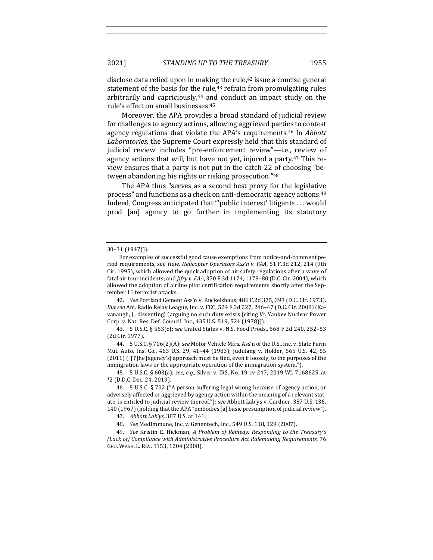disclose data relied upon in making the rule, $42$  issue a concise general statement of the basis for the rule, $43$  refrain from promulgating rules arbitrarily and capriciously, $44$  and conduct an impact study on the rule's effect on small businesses.<sup>45</sup>

Moreover, the APA provides a broad standard of judicial review for challenges to agency actions, allowing aggrieved parties to contest agency regulations that violate the APA's requirements.<sup>46</sup> In *Abbott* Laboratories, the Supreme Court expressly held that this standard of judicial review includes "pre-enforcement review"—i.e., review of agency actions that will, but have not yet, injured a party.<sup>47</sup> This review ensures that a party is not put in the catch-22 of choosing "between abandoning his rights or risking prosecution."<sup>48</sup>

The APA thus "serves as a second best proxy for the legislative process" and functions as a check on anti-democratic agency actions.<sup>49</sup> Indeed, Congress anticipated that "'public interest' litigants . . . would prod [an] agency to go further in implementing its statutory

42. *See* Portland Cement Ass'n v. Ruckelshaus, 486 F.2d 375, 393 (D.C. Cir. 1973). *But see Am. Radio Relay League, Inc. v. FCC, 524 F.3d 227, 246-47 (D.C. Cir. 2008)* (Kavanaugh, J., dissenting) (arguing no such duty exists (citing Vt. Yankee Nuclear Power Corp. v. Nat. Res. Def. Council, Inc., 435 U.S. 519, 524 (1978))).

43. 5 U.S.C. § 553(c); *see* United States v. N.S. Food Prods., 568 F.2d 240, 252–53 (2d Cir. 1977).

44. 5 U.S.C. § 706(2)(A); see Motor Vehicle Mfrs. Ass'n of the U.S., Inc. v. State Farm Mut. Auto. Ins. Co., 463 U.S. 29, 41-44 (1983); Judulang v. Holder, 565 U.S. 42, 55 (2011) ("[T]he [agency's] approach must be tied, even if loosely, to the purposes of the immigration laws or the appropriate operation of the immigration system.").

45. 5 U.S.C. § 603(a); see, e.g., Silver v. IRS, No. 19-cv-247, 2019 WL 7168625, at \*2 (D.D.C. Dec. 24, 2019).

46. 5 U.S.C. § 702 ("A person suffering legal wrong because of agency action, or adversely affected or aggrieved by agency action within the meaning of a relevant statute, is entitled to judicial review thereof."); see Abbott Lab'ys v. Gardner, 387 U.S. 136, 140 (1967) (holding that the APA "embodies [a] basic presumption of judicial review").

48. *See* MedImmune, Inc. v. Genentech, Inc., 549 U.S. 118, 129 (2007).

49. *See* Kristin E. Hickman, *A Problem of Remedy: Responding to the Treasury's (Lack of) Compliance with Administrative Procedure Act Rulemaking Requirements*, 76 GEO. WASH. L. REV. 1153, 1204 (2008).

<sup>30–31</sup> (1947))).

For examples of successful good cause exemptions from notice-and-comment period requirements, see *Haw. Helicopter Operators Ass'n v. FAA*, 51 F.3d 212, 214 (9th Cir. 1995), which allowed the quick adoption of air safety regulations after a wave of fatal air tour incidents; and *Jifry v. FAA*, 370 F.3d 1174, 1178-80 (D.C. Cir. 2004), which allowed the adoption of airline pilot certification requirements shortly after the September 11 terrorist attacks.

<sup>47.</sup> *Abbott Lab'ys*, 387 U.S. at 141.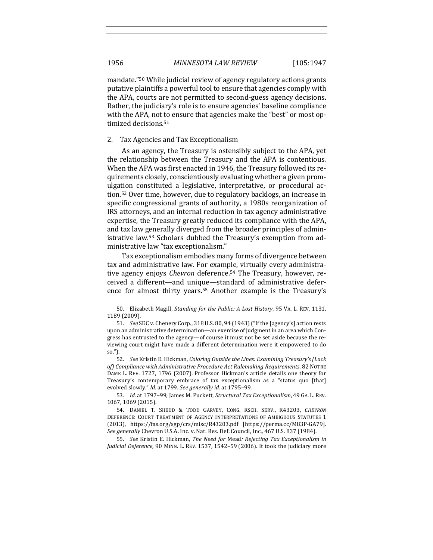mandate."<sup>50</sup> While judicial review of agency regulatory actions grants putative plaintiffs a powerful tool to ensure that agencies comply with the APA, courts are not permitted to second-guess agency decisions. Rather, the judiciary's role is to ensure agencies' baseline compliance with the APA, not to ensure that agencies make the "best" or most optimized decisions.<sup>51</sup>

#### 2. Tax Agencies and Tax Exceptionalism

As an agency, the Treasury is ostensibly subject to the APA, yet the relationship between the Treasury and the APA is contentious. When the APA was first enacted in 1946, the Treasury followed its requirements closely, conscientiously evaluating whether a given promulgation constituted a legislative, interpretative, or procedural action.<sup>52</sup> Over time, however, due to regulatory backlogs, an increase in specific congressional grants of authority, a 1980s reorganization of IRS attorneys, and an internal reduction in tax agency administrative expertise, the Treasury greatly reduced its compliance with the APA, and tax law generally diverged from the broader principles of administrative law.<sup>53</sup> Scholars dubbed the Treasury's exemption from administrative law "tax exceptionalism."

Tax exceptionalism embodies many forms of divergence between tax and administrative law. For example, virtually every administrative agency enjoys *Chevron* deference.<sup>54</sup> The Treasury, however, received a different—and unique—standard of administrative deference for almost thirty years.<sup>55</sup> Another example is the Treasury's

53. *Id.* at 1797-99; James M. Puckett, *Structural Tax Exceptionalism*, 49 GA. L. REV. 1067, 1069 (2015).

54. DANIEL T. SHEDD & TODD GARVEY, CONG. RSCH. SERV., R43203, *CHEVRON* DEFERENCE: COURT TREATMENT OF AGENCY INTERPRETATIONS OF AMBIGUOUS STATUTES 1 (2013), https://fas.org/sgp/crs/misc/R43203.pdf [https://perma.cc/M83P-GA79]. See generally Chevron U.S.A. Inc. v. Nat. Res. Def. Council, Inc., 467 U.S. 837 (1984).

55. *See* Kristin E. Hickman, *The Need for Mead: Rejecting Tax Exceptionalism in Judicial Deference*, 90 MINN. L. REV. 1537, 1542-59 (2006). It took the judiciary more

<sup>50.</sup> Elizabeth Magill, *Standing for the Public: A Lost History*, 95 VA. L. REV. 1131, 1189 (2009).

<sup>51.</sup> *See* SEC v. Chenery Corp., 318 U.S. 80, 94 (1943) ("If the [agency's] action rests upon an administrative determination—an exercise of judgment in an area which Congress has entrusted to the agency-of course it must not be set aside because the reviewing court might have made a different determination were it empowered to do so.").

<sup>52.</sup> *See* Kristin E. Hickman, *Coloring Outside the Lines: Examining Treasury's (Lack* of) Compliance with Administrative Procedure Act Rulemaking Requirements, 82 NOTRE DAME L. REV. 1727, 1796 (2007). Professor Hickman's article details one theory for Treasury's contemporary embrace of tax exceptionalism as a "status quo [that] evolved slowly." *Id.* at 1799. See generally id. at 1795-99.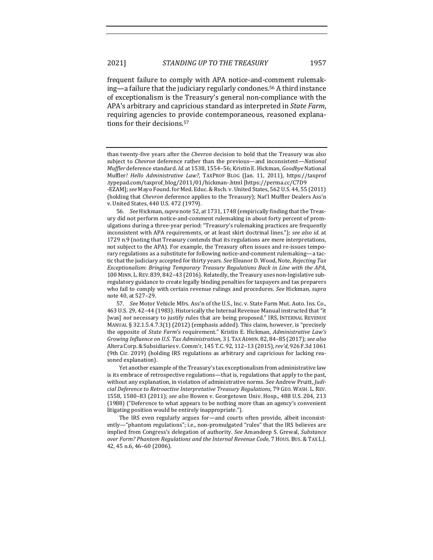frequent failure to comply with APA notice-and-comment rulemaking—a failure that the judiciary regularly condones.<sup>56</sup> A third instance of exceptionalism is the Treasury's general non-compliance with the APA's arbitrary and capricious standard as interpreted in *State Farm*, requiring agencies to provide contemporaneous, reasoned explanations for their decisions.<sup>57</sup>

than twenty-five years after the *Chevron* decision to hold that the Treasury was also subject to *Chevron* deference rather than the previous—and inconsistent—*National Muffler* deference standard. *Id.* at 1538, 1554-56; Kristin E. Hickman, *Goodbye* National Muffler! Hello Administrative Law?, TAXPROF BLOG (Jan. 11, 2011), https://taxprof .typepad.com/taxprof\_blog/2011/01/hickman-.html [https://perma.cc/C7D9

<sup>-</sup>EZAM]; see Mayo Found. for Med. Educ. & Rsch. v. United States, 562 U.S. 44, 55 (2011) (holding that *Chevron* deference applies to the Treasury); Nat'l Muffler Dealers Ass'n v. United States, 440 U.S. 472 (1979).

<sup>56.</sup> *See* Hickman, *supra* note 52, at 1731, 1748 (empirically finding that the Treasury did not perform notice-and-comment rulemaking in about forty percent of promulgations during a three-year period: "Treasury's rulemaking practices are frequently inconsistent with APA requirements, or at least skirt doctrinal lines."); *see also id.* at 1729 n.9 (noting that Treasury contends that its regulations are mere interpretations, not subject to the APA). For example, the Treasury often issues and re-issues temporary regulations as a substitute for following notice-and-comment rulemaking-a tactic that the judiciary accepted for thirty years. See Eleanor D. Wood, Note, Rejecting Tax *Exceptionalism: Bringing Temporary Treasury Regulations Back in Line with the APA*, 100 MINN. L. REV. 839, 842-43 (2016). Relatedly, the Treasury uses non-legislative subregulatory guidance to create legally binding penalties for taxpayers and tax preparers who fail to comply with certain revenue rulings and procedures. See Hickman, *supra* note 40, at 527-29.

<sup>57.</sup> *See* Motor Vehicle Mfrs. Ass'n of the U.S., Inc. v. State Farm Mut. Auto. Ins. Co., 463 U.S. 29, 42-44 (1983). Historically the Internal Revenue Manual instructed that "it [was] not necessary to justify rules that are being proposed." IRS, INTERNAL REVENUE MANUAL  $\S$  32.1.5.4.7.3(1) (2012) (emphasis added). This claim, however, is "precisely the opposite of *State Farm's* requirement." Kristin E. Hickman, *Administrative Law's Growing Influence on U.S. Tax Administration*, 3 J. TAX ADMIN. 82, 84-85 (2017); see also Altera Corp. & Subsidiaries v. Comm'r, 145 T.C. 92, 112-13 (2015), rev'd, 926 F.3d 1061 (9th Cir. 2019) (holding IRS regulations as arbitrary and capricious for lacking reasoned explanation).

Yet another example of the Treasury's tax exceptionalism from administrative law is its embrace of retrospective regulations—that is, regulations that apply to the past, without any explanation, in violation of administrative norms. See Andrew Pruitt, Judi*cial Deference to Retroactive Interpretative Treasury Regulations*, 79 GEO. WASH. L. REV. 1558, 1580-83 (2011); see also Bowen v. Georgetown Univ. Hosp., 488 U.S. 204, 213 (1988) ("Deference to what appears to be nothing more than an agency's convenient litigating position would be entirely inappropriate.").

The IRS even regularly argues for—and courts often provide, albeit inconsistently—"phantom regulations"; i.e., non-promulgated "rules" that the IRS believes are implied from Congress's delegation of authority. See Amandeep S. Grewal, Substance *over Form? Phantom Regulations and the Internal Revenue Code,* 7 HOUS. BUS. & TAX L.J. 42, 45 n.6, 46-60 (2006).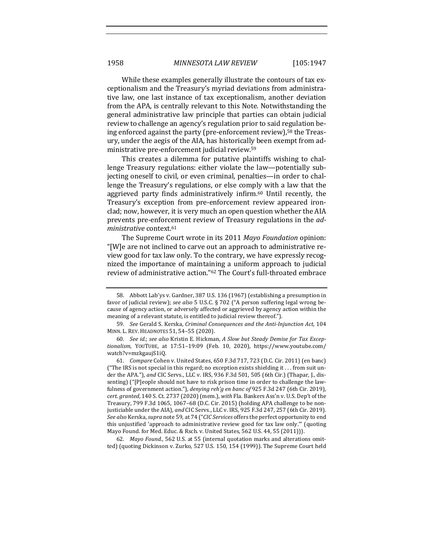While these examples generally illustrate the contours of tax exceptionalism and the Treasury's myriad deviations from administrative law, one last instance of tax exceptionalism, another deviation from the APA, is centrally relevant to this Note. Notwithstanding the general administrative law principle that parties can obtain judicial review to challenge an agency's regulation prior to said regulation being enforced against the party (pre-enforcement review),<sup>58</sup> the Treasury, under the aegis of the AIA, has historically been exempt from administrative pre-enforcement judicial review.<sup>59</sup>

This creates a dilemma for putative plaintiffs wishing to challenge Treasury regulations: either violate the law—potentially subjecting oneself to civil, or even criminal, penalties—in order to challenge the Treasury's regulations, or else comply with a law that the aggrieved party finds administratively infirm.<sup>60</sup> Until recently, the Treasury's exception from pre-enforcement review appeared ironclad; now, however, it is very much an open question whether the AIA prevents pre-enforcement review of Treasury regulations in the *administrative* context.61

The Supreme Court wrote in its 2011 *Mayo Foundation* opinion: "[W]e are not inclined to carve out an approach to administrative review good for tax law only. To the contrary, we have expressly recognized the importance of maintaining a uniform approach to judicial review of administrative action."<sup>62</sup> The Court's full-throated embrace

62. *Mayo Found.*, 562 U.S. at 55 (internal quotation marks and alterations omitted) (quoting Dickinson v. Zurko, 527 U.S. 150, 154 (1999)). The Supreme Court held

<sup>58.</sup> Abbott Lab'ys v. Gardner, 387 U.S. 136 (1967) (establishing a presumption in favor of judicial review); see also 5 U.S.C. § 702 ("A person suffering legal wrong because of agency action, or adversely affected or aggrieved by agency action within the meaning of a relevant statute, is entitled to judicial review thereof.").

<sup>59.</sup> *See* Gerald S. Kerska, *Criminal Consequences and the Anti-Injunction Act*, 104 MINN. L. REV. HEADNOTES 51, 54–55 (2020).

<sup>60.</sup> See id.; see also Kristin E. Hickman, A Slow but Steady Demise for Tax Excep*tionalism*, YOUTUBE, at 17:51–19:09 (Feb. 10, 2020), https://www.youtube.com/ watch?v=mzkgaujS1iQ.

<sup>61.</sup> *Compare* Cohen v. United States, 650 F.3d 717, 723 (D.C. Cir. 2011) (en banc) ("The IRS is not special in this regard; no exception exists shielding it  $\dots$  from suit under the APA."), and CIC Servs., LLC v. IRS, 936 F.3d 501, 505 (6th Cir.) (Thapar, J., dissenting) ("[P]eople should not have to risk prison time in order to challenge the lawfulness of government action."), *denying reh'g en banc of* 925 F.3d 247 (6th Cir. 2019), *cert. granted*, 140 S. Ct. 2737 (2020) (mem.), with Fla. Bankers Ass'n v. U.S. Dep't of the Treasury,  $799$  F.3d  $1065$ ,  $1067-68$  (D.C. Cir. 2015) (holding APA challenge to be nonjusticiable under the AIA), and CIC Servs., LLC v. IRS, 925 F.3d 247, 257 (6th Cir. 2019). *See also* Kerska, *supra* note 59, at 74 ("*CIC Services* offers the perfect opportunity to end this unjustified 'approach to administrative review good for tax law only."" (quoting Mayo Found. for Med. Educ. & Rsch. v. United States, 562 U.S. 44, 55 (2011))).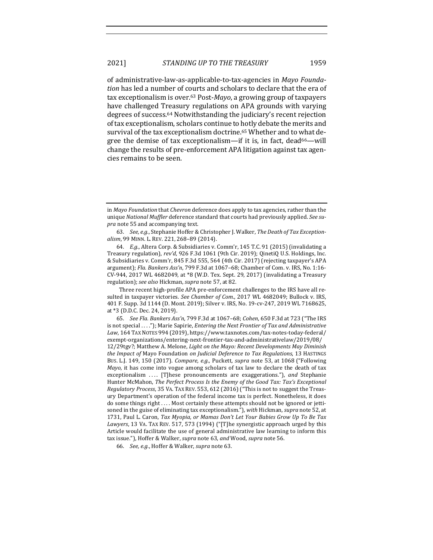of administrative-law-as-applicable-to-tax-agencies in *Mayo Foundation* has led a number of courts and scholars to declare that the era of tax exceptionalism is over.<sup>63</sup> Post-*Mayo*, a growing group of taxpayers have challenged Treasury regulations on APA grounds with varying degrees of success.<sup>64</sup> Notwithstanding the judiciary's recent rejection of tax exceptionalism, scholars continue to hotly debate the merits and survival of the tax exceptionalism doctrine.<sup>65</sup> Whether and to what degree the demise of tax exceptionalism—if it is, in fact,  $dead^{66}$ —will change the results of pre-enforcement APA litigation against tax agencies remains to be seen.

Three recent high-profile APA pre-enforcement challenges to the IRS have all resulted in taxpayer victories. See Chamber of Com., 2017 WL 4682049; Bullock v. IRS, 401 F. Supp. 3d 1144 (D. Mont. 2019); Silver v. IRS, No. 19-cv-247, 2019 WL 7168625, at \*3 (D.D.C. Dec. 24, 2019).

65. *See Fla. Bankers Ass'n*, 799 F.3d at 1067-68; *Cohen*, 650 F.3d at 723 ("The IRS is not special ...."); Marie Sapirie, *Entering the Next Frontier of Tax and Administrative* Law, 164 TAX NOTES 994 (2019), https://www.taxnotes.com/tax-notes-today-federal/ exempt-organizations/entering-next-frontier-tax-and-administrativelaw/2019/08/ 12/29tgv?; Matthew A. Melone, *Light on the Mayo: Recent Developments May Diminish the Impact of Mayo Foundation on Judicial Deference to Tax Regulations*, 13 HASTINGS Bus. L.J. 149, 150 (2017). *Compare, e.g.*, Puckett, *supra* note 53, at 1068 ("Following *Mayo*, it has come into vogue among scholars of tax law to declare the death of tax exceptionalism .... [T]hese pronouncements are exaggerations."), and Stephanie Hunter McMahon, *The Perfect Process Is the Enemy of the Good Tax: Tax's Exceptional Regulatory Process*, 35 VA. TAX REV. 553, 612 (2016) ("This is not to suggest the Treasury Department's operation of the federal income tax is perfect. Nonetheless, it does do some things right .... Most certainly these attempts should not be ignored or jettisoned in the guise of eliminating tax exceptionalism."), with Hickman, *supra* note 52, at 1731, Paul L. Caron, *Tax Myopia, or Mamas Don't Let Your Babies Grow Up To Be Tax* Lawyers, 13 VA. TAX REV. 517, 573 (1994) ("[T]he synergistic approach urged by this Article would facilitate the use of general administrative law learning to inform this tax issue."), Hoffer & Walker, *supra* note 63, and Wood, *supra* note 56.

66. *See, e.g.*, Hoffer & Walker, *supra* note 63.

in *Mayo Foundation* that *Chevron* deference does apply to tax agencies, rather than the unique National Muffler deference standard that courts had previously applied. See su*pra* note 55 and accompanying text.

<sup>63.</sup> *See, e.g.*, Stephanie Hoffer & Christopher J. Walker, The Death of Tax Exceptionalism, 99 MINN. L. REV. 221, 268-89 (2014).

<sup>64.</sup> *E.g.*, Altera Corp. & Subsidiaries v. Comm'r, 145 T.C. 91 (2015) (invalidating a Treasury regulation), rev'd, 926 F.3d 1061 (9th Cir. 2019); QinetiQ U.S. Holdings, Inc. & Subsidiaries v. Comm'r, 845 F.3d 555, 564 (4th Cir. 2017) (rejecting taxpayer's APA argument); *Fla. Bankers Ass'n*, 799 F.3d at 1067-68; Chamber of Com. v. IRS, No. 1:16-CV-944, 2017 WL 4682049, at \*8 (W.D. Tex. Sept. 29, 2017) (invalidating a Treasury regulation); *see also* Hickman, *supra* note 57, at 82.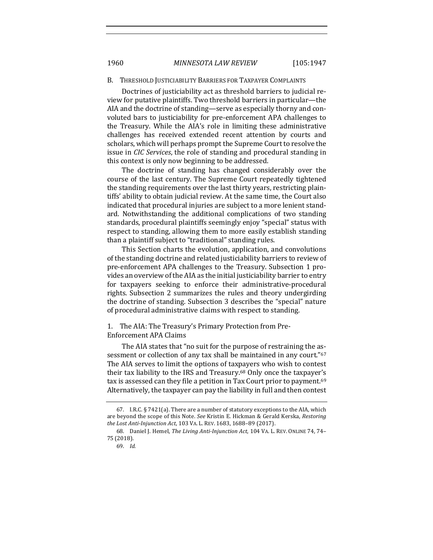#### B. THRESHOLD JUSTICIABILITY BARRIERS FOR TAXPAYER COMPLAINTS

Doctrines of justiciability act as threshold barriers to judicial review for putative plaintiffs. Two threshold barriers in particular—the AIA and the doctrine of standing-serve as especially thorny and convoluted bars to justiciability for pre-enforcement APA challenges to the Treasury. While the AIA's role in limiting these administrative challenges has received extended recent attention by courts and scholars, which will perhaps prompt the Supreme Court to resolve the issue in *CIC* Services, the role of standing and procedural standing in this context is only now beginning to be addressed.

The doctrine of standing has changed considerably over the course of the last century. The Supreme Court repeatedly tightened the standing requirements over the last thirty years, restricting plaintiffs' ability to obtain judicial review. At the same time, the Court also indicated that procedural injuries are subject to a more lenient standard. Notwithstanding the additional complications of two standing standards, procedural plaintiffs seemingly enjoy "special" status with respect to standing, allowing them to more easily establish standing than a plaintiff subject to "traditional" standing rules.

This Section charts the evolution, application, and convolutions of the standing doctrine and related justiciability barriers to review of pre-enforcement APA challenges to the Treasury. Subsection 1 provides an overview of the AIA as the initial justiciability barrier to entry for taxpayers seeking to enforce their administrative-procedural rights. Subsection 2 summarizes the rules and theory undergirding the doctrine of standing. Subsection 3 describes the "special" nature of procedural administrative claims with respect to standing.

# 1. The AIA: The Treasury's Primary Protection from Pre-Enforcement APA Claims

The AIA states that "no suit for the purpose of restraining the assessment or collection of any tax shall be maintained in any court."<sup>67</sup> The AIA serves to limit the options of taxpayers who wish to contest their tax liability to the IRS and Treasury.<sup>68</sup> Only once the taxpayer's tax is assessed can they file a petition in Tax Court prior to payment.<sup>69</sup> Alternatively, the taxpayer can pay the liability in full and then contest

<sup>67.</sup> I.R.C.  $\S$  7421(a). There are a number of statutory exceptions to the AIA, which are beyond the scope of this Note. See Kristin E. Hickman & Gerald Kerska, Restoring the Lost Anti-Injunction Act, 103 VA. L. REV. 1683, 1688-89 (2017).

<sup>68.</sup> Daniel J. Hemel, *The Living Anti-Injunction Act*, 104 VA. L. REV. ONLINE 74, 74-75 (2018).

<sup>69.</sup> *Id.*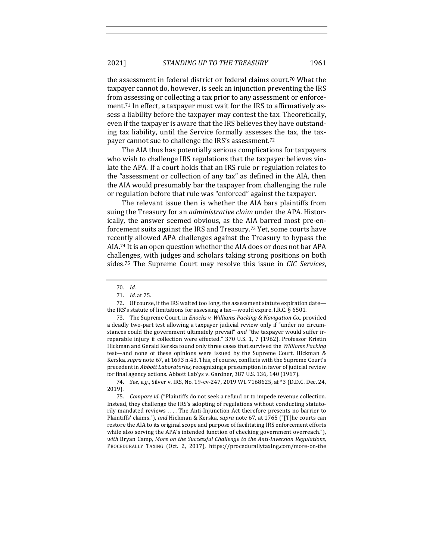the assessment in federal district or federal claims court.<sup>70</sup> What the taxpayer cannot do, however, is seek an injunction preventing the IRS from assessing or collecting a tax prior to any assessment or enforcement.<sup>71</sup> In effect, a taxpayer must wait for the IRS to affirmatively assess a liability before the taxpayer may contest the tax. Theoretically, even if the taxpayer is aware that the IRS believes they have outstanding tax liability, until the Service formally assesses the tax, the taxpayer cannot sue to challenge the IRS's assessment.<sup>72</sup>

The AIA thus has potentially serious complications for taxpayers who wish to challenge IRS regulations that the taxpayer believes violate the APA. If a court holds that an IRS rule or regulation relates to the "assessment or collection of any tax" as defined in the AIA, then the AIA would presumably bar the taxpayer from challenging the rule or regulation before that rule was "enforced" against the taxpayer.

The relevant issue then is whether the AIA bars plaintiffs from suing the Treasury for an *administrative claim* under the APA. Historically, the answer seemed obvious, as the AIA barred most pre-enforcement suits against the IRS and Treasury.<sup>73</sup> Yet, some courts have recently allowed APA challenges against the Treasury to bypass the AIA.<sup>74</sup> It is an open question whether the AIA does or does not bar APA challenges, with judges and scholars taking strong positions on both sides.<sup>75</sup> The Supreme Court may resolve this issue in *CIC Services*,

74. *See, e.g.*, Silver v. IRS, No. 19-cv-247, 2019 WL 7168625, at \*3 (D.D.C. Dec. 24, 2019). 

75. *Compare id.* ("Plaintiffs do not seek a refund or to impede revenue collection. Instead, they challenge the IRS's adopting of regulations without conducting statutorily mandated reviews  $\dots$ . The Anti-Injunction Act therefore presents no barrier to Plaintiffs' claims."), and Hickman & Kerska, *supra* note 67, at 1765 ("[T]he courts can restore the AIA to its original scope and purpose of facilitating IRS enforcement efforts while also serving the APA's intended function of checking government overreach."), with Bryan Camp, More on the Successful Challenge to the Anti-Inversion Regulations, PROCEDURALLY TAXING (Oct. 2, 2017), https://procedurallytaxing.com/more-on-the

<sup>70.</sup> *Id.*

<sup>71.</sup> *Id.* at 75.

<sup>72.</sup> Of course, if the IRS waited too long, the assessment statute expiration datethe IRS's statute of limitations for assessing a tax—would expire. I.R.C.  $\S$  6501.

<sup>73.</sup> The Supreme Court, in *Enochs v. Williams Packing & Navigation Co.*, provided a deadly two-part test allowing a taxpayer judicial review only if "under no circumstances could the government ultimately prevail" and "the taxpayer would suffer irreparable injury if collection were effected." 370 U.S. 1, 7 (1962). Professor Kristin Hickman and Gerald Kerska found only three cases that survived the Williams Packing test—and none of these opinions were issued by the Supreme Court. Hickman & Kerska, *supra* note 67, at 1693 n.43. This, of course, conflicts with the Supreme Court's precedent in *Abbott Laboratories*, recognizing a presumption in favor of judicial review for final agency actions. Abbott Lab'ys v. Gardner, 387 U.S. 136, 140 (1967).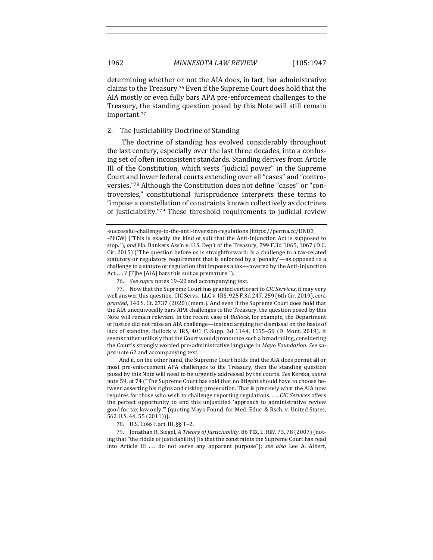determining whether or not the AIA does, in fact, bar administrative claims to the Treasury.<sup>76</sup> Even if the Supreme Court does hold that the AIA mostly or even fully bars APA pre-enforcement challenges to the Treasury, the standing question posed by this Note will still remain important.77

#### 2. The Justiciability Doctrine of Standing

The doctrine of standing has evolved considerably throughout the last century, especially over the last three decades, into a confusing set of often inconsistent standards. Standing derives from Article III of the Constitution, which vests "judicial power" in the Supreme Court and lower federal courts extending over all "cases" and "controversies."78 Although the Constitution does not define "cases" or "controversies," constitutional jurisprudence interprets these terms to "impose a constellation of constraints known collectively as doctrines of justiciability."79 These threshold requirements to judicial review

And if, on the other hand, the Supreme Court holds that the AIA does permit all or most pre-enforcement APA challenges to the Treasury, then the standing question posed by this Note will need to be urgently addressed by the courts. See Kerska, *supra* note 59, at 74 ("The Supreme Court has said that no litigant should have to choose between asserting his rights and risking prosecution. That is precisely what the AIA now requires for those who wish to challenge reporting regulations. . . . CIC Services offers the perfect opportunity to end this unjustified 'approach to administrative review good for tax law only."" (quoting Mayo Found. for Med. Educ. & Rsch. v. United States, 562 U.S. 44, 55 (2011))).

78. U.S. CONST. art. III, §§ 1-2.

79. Jonathan R. Siegel, *A Theory of Justiciability*, 86 TEX. L. REV. 73, 78 (2007) (noting that "the riddle of justiciability[] is that the constraints the Supreme Court has read into Article III ... do not serve any apparent purpose"); *see also* Lee A. Albert,

<sup>-</sup>successful-challenge-to-the-anti-inversion-regulations [https://perma.cc/DND3 -PFCW] ("This is exactly the kind of suit that the Anti-Injunction Act is supposed to stop."), and Fla. Bankers Ass'n v. U.S. Dep't of the Treasury, 799 F.3d 1065, 1067 (D.C.  $C$ ir. 2015) ("The question before us is straightforward: Is a challenge to a tax-related statutory or regulatory requirement that is enforced by a 'penalty'—as opposed to a challenge to a statute or regulation that imposes a tax—covered by the Anti-Injunction  $Act...$  ? [T]he [AIA] bars this suit as premature.").

<sup>76.</sup> *See supra* notes 19–20 and accompanying text.

<sup>77.</sup> Now that the Supreme Court has granted certiorari to *CIC Services*, it may very well answer this question. CIC Servs., LLC v. IRS, 925 F.3d 247, 259 (6th Cir. 2019), *cert.* granted, 140 S. Ct. 2737 (2020) (mem.). And even if the Supreme Court does hold that the AIA unequivocally bars APA challenges to the Treasury, the question posed by this Note will remain relevant. In the recent case of *Bullock*, for example, the Department of Justice did not raise an AIA challenge—instead arguing for dismissal on the basis of lack of standing. Bullock v. IRS, 401 F. Supp. 3d 1144, 1155-59 (D. Mont. 2019). It seems rather unlikely that the Court would pronounce such a broad ruling, considering the Court's strongly worded pro-administrative language in *Mayo Foundation*. See supra note 62 and accompanying text.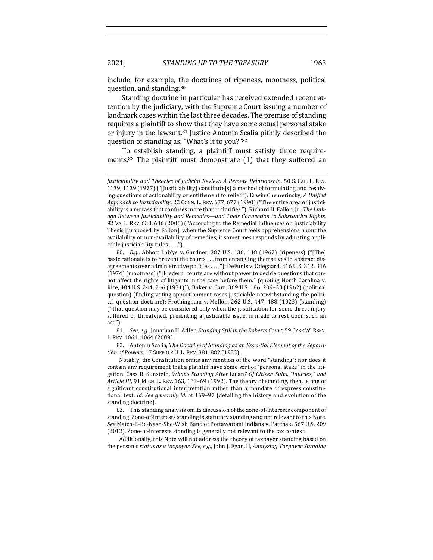include, for example, the doctrines of ripeness, mootness, political question, and standing.<sup>80</sup>

Standing doctrine in particular has received extended recent attention by the judiciary, with the Supreme Court issuing a number of landmark cases within the last three decades. The premise of standing requires a plaintiff to show that they have some actual personal stake or injury in the lawsuit.<sup>81</sup> Justice Antonin Scalia pithily described the question of standing as: "What's it to you?"82

To establish standing, a plaintiff must satisfy three requirements.<sup>83</sup> The plaintiff must demonstrate  $(1)$  that they suffered an

81. *See, e.g.*, Jonathan H. Adler, *Standing Still in the Roberts Court*, 59 CASE W. RSRV. L. REV. 1061, 1064 (2009).

82. Antonin Scalia, *The Doctrine of Standing as an Essential Element of the Separation of Powers*, 17 SUFFOLK U. L. REV. 881, 882 (1983).

Notably, the Constitution omits any mention of the word "standing"; nor does it contain any requirement that a plaintiff have some sort of "personal stake" in the litigation. Cass R. Sunstein, *What's Standing After Lujan? Of Citizen Suits, "Injuries," and* Article III, 91 MICH. L. REV. 163, 168-69 (1992). The theory of standing, then, is one of significant constitutional interpretation rather than a mandate of express constitutional text. *Id. See generally id.* at 169-97 (detailing the history and evolution of the standing doctrine).

83. This standing analysis omits discussion of the zone-of-interests component of standing. Zone-of-interests standing is statutory standing and not relevant to this Note. See Match-E-Be-Nash-She-Wish Band of Pottawatomi Indians v. Patchak, 567 U.S. 209 (2012). Zone-of-interests standing is generally not relevant to the tax context.

Additionally, this Note will not address the theory of taxpayer standing based on the person's *status as a taxpayer. See, e.g.*, John J. Egan, II, *Analyzing Taxpayer Standing* 

*Justiciability and Theories of Judicial Review: A Remote Relationship*, 50 S. CAL. L. REV. 1139, 1139 (1977) ("[Justiciability] constitute[s] a method of formulating and resolving questions of actionability or entitlement to relief."); Erwin Chemerinsky, *A Unified* Approach to Justiciability, 22 CONN. L. REV. 677, 677 (1990) ("The entire area of justiciability is a morass that confuses more than it clarifies."); Richard H. Fallon, Jr., *The Linkage Between Justiciability and Remedies—and Their Connection to Substantive Rights*, 92 VA. L. REV. 633, 636 (2006) ("According to the Remedial Influences on Justiciability Thesis [proposed by Fallon], when the Supreme Court feels apprehensions about the availability or non-availability of remedies, it sometimes responds by adjusting applicable justiciability rules . . . .").

<sup>80.</sup> *E.g.*, Abbott Lab'ys v. Gardner, 387 U.S. 136, 148 (1967) (ripeness) ("[The] basic rationale is to prevent the courts ... from entangling themselves in abstract disagreements over administrative policies ...."); DeFunis v. Odegaard, 416 U.S. 312, 316  $(1974)$  (mootness) ("[F]ederal courts are without power to decide questions that cannot affect the rights of litigants in the case before them." (quoting North Carolina v. Rice, 404 U.S. 244, 246 (1971))); Baker v. Carr, 369 U.S. 186, 209-33 (1962) (political question) (finding voting apportionment cases justiciable notwithstanding the political question doctrine); Frothingham v. Mellon, 262 U.S. 447, 488 (1923) (standing)  $"$ That question may be considered only when the justification for some direct injury suffered or threatened, presenting a justiciable issue, is made to rest upon such an act.").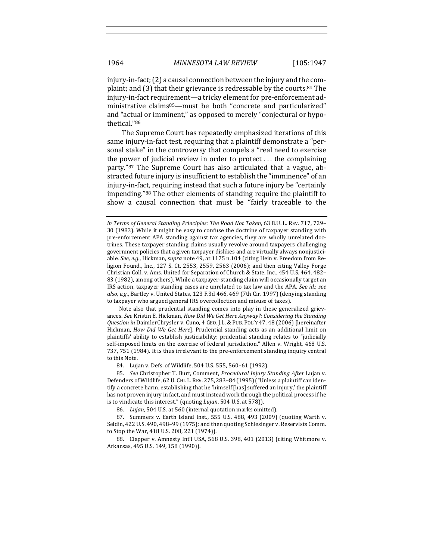injury-in-fact;  $(2)$  a causal connection between the injury and the complaint; and  $(3)$  that their grievance is redressable by the courts.<sup>84</sup> The injury-in-fact requirement—a tricky element for pre-enforcement administrative claims<sup>85</sup>—must be both "concrete and particularized" and "actual or imminent," as opposed to merely "conjectural or hypothetical."86

The Supreme Court has repeatedly emphasized iterations of this same injury-in-fact test, requiring that a plaintiff demonstrate a "personal stake" in the controversy that compels a "real need to exercise the power of judicial review in order to protect  $\dots$  the complaining party."87 The Supreme Court has also articulated that a vague, abstracted future injury is insufficient to establish the "imminence" of an injury-in-fact, requiring instead that such a future injury be "certainly impending."<sup>88</sup> The other elements of standing require the plaintiff to show a causal connection that must be "fairly traceable to the

Note also that prudential standing comes into play in these generalized grievances. See Kristin E. Hickman, *How Did We Get Here Anyway?: Considering the Standing* Question in DaimlerChrysler v. Cuno, 4 GEO. J.L. & PUB. POL'Y 47, 48 (2006) [hereinafter Hickman, *How Did We Get Here*]. Prudential standing acts as an additional limit on plaintiffs' ability to establish justiciability; prudential standing relates to "judicially self-imposed limits on the exercise of federal jurisdiction." Allen v. Wright, 468 U.S. 737, 751 (1984). It is thus irrelevant to the pre-enforcement standing inquiry central to this Note.

84. Lujan v. Defs. of Wildlife, 504 U.S. 555, 560-61 (1992).

85. *See* Christopher T. Burt, Comment, *Procedural Injury Standing After Lujan v.* Defenders of Wildlife, 62 U. CHI. L. REV. 275, 283-84 (1995) ("Unless a plaintiff can identify a concrete harm, establishing that he 'himself [has] suffered an injury,' the plaintiff has not proven injury in fact, and must instead work through the political process if he is to vindicate this interest." (quoting *Lujan*, 504 U.S. at 578)).

86. Lujan, 504 U.S. at 560 (internal quotation marks omitted).

87. Summers v. Earth Island Inst., 555 U.S. 488, 493 (2009) (quoting Warth v. Seldin, 422 U.S. 490, 498-99 (1975); and then quoting Schlesinger v. Reservists Comm. to Stop the War, 418 U.S. 208, 221 (1974)).

88. Clapper v. Amnesty Int'l USA, 568 U.S. 398, 401 (2013) (citing Whitmore v. Arkansas, 495 U.S. 149, 158 (1990)).

*in Terms of General Standing Principles: The Road Not Taken, 63 B.U. L. REV. 717, 729–* 30 (1983). While it might be easy to confuse the doctrine of taxpayer standing with pre-enforcement APA standing against tax agencies, they are wholly unrelated doctrines. These taxpayer standing claims usually revolve around taxpayers challenging government policies that a given taxpayer dislikes and are virtually always nonjusticiable. See, e.g., Hickman, *supra* note 49, at 1175 n.104 (citing Hein v. Freedom from Religion Found., Inc.,  $127$  S. Ct. 2553, 2559, 2563 (2006); and then citing Valley Forge Christian Coll. v. Ams. United for Separation of Church & State, Inc., 454 U.S. 464, 482-83 (1982), among others). While a taxpayer-standing claim will occasionally target an IRS action, taxpayer standing cases are unrelated to tax law and the APA. See id.; see also, e.g., Bartley v. United States, 123 F.3d 466, 469 (7th Cir. 1997) (denying standing to taxpayer who argued general IRS overcollection and misuse of taxes).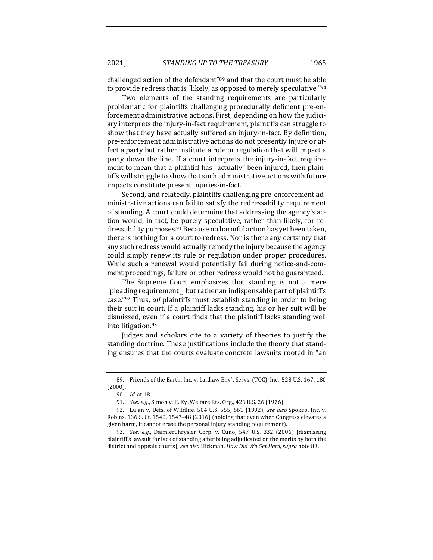2021] *STANDING UP TO THE TREASURY* 1965

challenged action of the defendant<sup>"89</sup> and that the court must be able to provide redress that is "likely, as opposed to merely speculative."<sup>90</sup>

Two elements of the standing requirements are particularly problematic for plaintiffs challenging procedurally deficient pre-enforcement administrative actions. First, depending on how the judiciary interprets the injury-in-fact requirement, plaintiffs can struggle to show that they have actually suffered an injury-in-fact. By definition, pre-enforcement administrative actions do not presently injure or affect a party but rather institute a rule or regulation that will impact a party down the line. If a court interprets the injury-in-fact requirement to mean that a plaintiff has "actually" been injured, then plaintiffs will struggle to show that such administrative actions with future impacts constitute present injuries-in-fact.

Second, and relatedly, plaintiffs challenging pre-enforcement administrative actions can fail to satisfy the redressability requirement of standing. A court could determine that addressing the agency's action would, in fact, be purely speculative, rather than likely, for redressability purposes.<sup>91</sup> Because no harmful action has yet been taken, there is nothing for a court to redress. Nor is there any certainty that any such redress would actually remedy the injury because the agency could simply renew its rule or regulation under proper procedures. While such a renewal would potentially fail during notice-and-comment proceedings, failure or other redress would not be guaranteed.

The Supreme Court emphasizes that standing is not a mere "pleading requirement<sup>[]</sup> but rather an indispensable part of plaintiff's case."<sup>92</sup> Thus, all plaintiffs must establish standing in order to bring their suit in court. If a plaintiff lacks standing, his or her suit will be dismissed, even if a court finds that the plaintiff lacks standing well into litigation.<sup>93</sup>

Judges and scholars cite to a variety of theories to justify the standing doctrine. These justifications include the theory that standing ensures that the courts evaluate concrete lawsuits rooted in "an

<sup>89.</sup> Friends of the Earth, Inc. v. Laidlaw Env't Servs. (TOC), Inc., 528 U.S. 167, 180 (2000).

<sup>90.</sup> *Id.* at 181.

<sup>91.</sup> *See, e.g.*, Simon v. E. Ky. Welfare Rts. Org., 426 U.S. 26 (1976).

<sup>92.</sup> Lujan v. Defs. of Wildlife, 504 U.S. 555, 561 (1992); see also Spokeo, Inc. v. Robins, 136 S. Ct. 1540, 1547–48 (2016) (holding that even when Congress elevates a given harm, it cannot erase the personal injury standing requirement).

<sup>93.</sup> *See, e.g.*, DaimlerChrysler Corp. v. Cuno, 547 U.S. 332 (2006) (dismissing plaintiff's lawsuit for lack of standing after being adjudicated on the merits by both the district and appeals courts); *see also* Hickman, *How Did We Get Here*, *supra* note 83.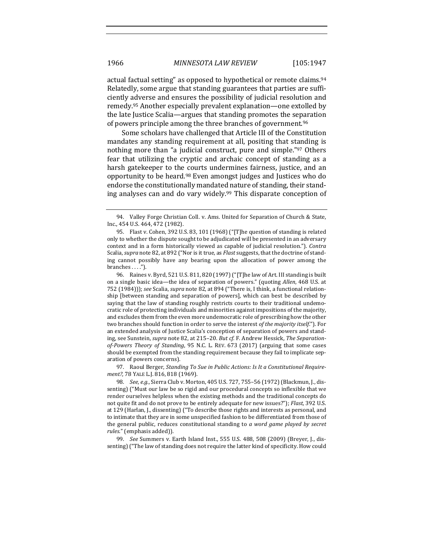actual factual setting" as opposed to hypothetical or remote claims.<sup>94</sup> Relatedly, some argue that standing guarantees that parties are sufficiently adverse and ensures the possibility of judicial resolution and remedy.<sup>95</sup> Another especially prevalent explanation—one extolled by the late Justice Scalia—argues that standing promotes the separation of powers principle among the three branches of government.<sup>96</sup>

Some scholars have challenged that Article III of the Constitution mandates any standing requirement at all, positing that standing is nothing more than "a judicial construct, pure and simple."<sup>97</sup> Others fear that utilizing the cryptic and archaic concept of standing as a harsh gatekeeper to the courts undermines fairness, justice, and an opportunity to be heard.<sup>98</sup> Even amongst judges and Justices who do endorse the constitutionally mandated nature of standing, their standing analyses can and do vary widely.<sup>99</sup> This disparate conception of

97. Raoul Berger, *Standing To Sue in Public Actions: Is It a Constitutional Requirement?*, 78 YALE L.J. 816, 818 (1969).

99. *See* Summers v. Earth Island Inst., 555 U.S. 488, 508 (2009) (Breyer, J., dissenting) ("The law of standing does not require the latter kind of specificity. How could

<sup>94.</sup> Valley Forge Christian Coll. v. Ams. United for Separation of Church & State, Inc., 454 U.S. 464, 472 (1982).

<sup>95.</sup> Flast v. Cohen, 392 U.S. 83, 101 (1968) ("[T]he question of standing is related only to whether the dispute sought to be adjudicated will be presented in an adversary context and in a form historically viewed as capable of judicial resolution."). *Contra* Scalia, *supra* note 82, at 892 ("Nor is it true, as *Flast* suggests, that the doctrine of standing cannot possibly have any bearing upon the allocation of power among the branches . . . .").

<sup>96.</sup> Raines v. Byrd, 521 U.S. 811, 820 (1997) ("[T]he law of Art. III standing is built on a single basic idea—the idea of separation of powers." (quoting *Allen*, 468 U.S. at 752 (1984))); *see* Scalia, *supra* note 82, at 894 ("There is, I think, a functional relationship [between standing and separation of powers], which can best be described by saying that the law of standing roughly restricts courts to their traditional undemocratic role of protecting individuals and minorities against impositions of the majority, and excludes them from the even more undemocratic role of prescribing how the other two branches should function in order to serve the interest *of the majority itself.*"). For an extended analysis of Justice Scalia's conception of separation of powers and standing, see Sunstein, *supra* note 82, at 215-20. But cf. F. Andrew Hessick, The Separation*of-Powers Theory of Standing*, 95 N.C. L. REV. 673 (2017) (arguing that some cases should be exempted from the standing requirement because they fail to implicate separation of powers concerns).

<sup>98.</sup> *See, e.g.*, Sierra Club v. Morton, 405 U.S. 727, 755-56 (1972) (Blackmun, J., dissenting) ("Must our law be so rigid and our procedural concepts so inflexible that we render ourselves helpless when the existing methods and the traditional concepts do not quite fit and do not prove to be entirely adequate for new issues?"); *Flast*, 392 U.S. at 129 (Harlan, J., dissenting) ("To describe those rights and interests as personal, and to intimate that they are in some unspecified fashion to be differentiated from those of the general public, reduces constitutional standing to *a word game played by secret* rules." (emphasis added)).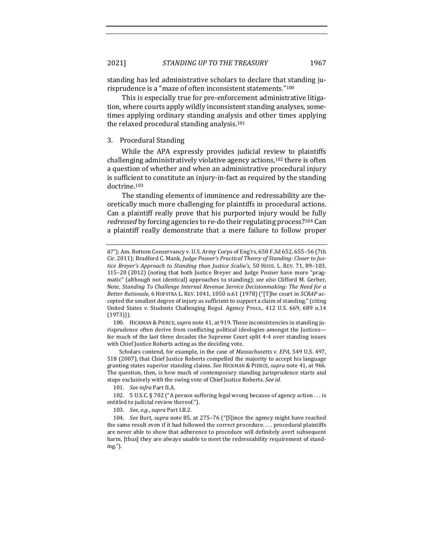standing has led administrative scholars to declare that standing jurisprudence is a "maze of often inconsistent statements."<sup>100</sup>

This is especially true for pre-enforcement administrative litigation, where courts apply wildly inconsistent standing analyses, sometimes applying ordinary standing analysis and other times applying the relaxed procedural standing analysis.<sup>101</sup>

## 3. Procedural Standing

While the APA expressly provides judicial review to plaintiffs challenging administratively violative agency actions,<sup>102</sup> there is often a question of whether and when an administrative procedural injury is sufficient to constitute an injury-in-fact as required by the standing doctrine.103

The standing elements of imminence and redressability are theoretically much more challenging for plaintiffs in procedural actions. Can a plaintiff really prove that his purported injury would be fully *redressed* by forcing agencies to re-do their regulating process?<sup>104</sup> Can a plaintiff really demonstrate that a mere failure to follow proper

100. HICKMAN & PIERCE, *supra* note 41, at 919. These inconsistencies in standing jurisprudence often derive from conflicting political ideologies amongst the Justicesfor much of the last three decades the Supreme Court split 4-4 over standing issues with Chief Justice Roberts acting as the deciding vote.

Scholars contend, for example, in the case of *Massachusetts v. EPA*, 549 U.S. 497, 518 (2007), that Chief Justice Roberts compelled the majority to accept his language granting states superior standing claims. See HICKMAN & PIERCE, *supra* note 41, at 966. The question, then, is how much of contemporary standing jurisprudence starts and stops exclusively with the swing vote of Chief Justice Roberts. See id.

101. See infra Part II.A.

102. 5 U.S.C. § 702 ("A person suffering legal wrong because of agency action . . . is entitled to judicial review thereof.").

103. *See, e.g., supra Part I.B.2.* 

104. *See* Burt, *supra* note 85, at 275-76 ("[S]ince the agency might have reached the same result even if it had followed the correct procedure.... procedural plaintiffs are never able to show that adherence to procedure will definitely avert subsequent harm, [thus] they are always unable to meet the redressability requirement of standing.").

it?"); Am. Bottom Conservancy v. U.S. Army Corps of Eng'rs, 650 F.3d 652, 655-56 (7th Cir. 2011); Bradford C. Mank, *Judge Posner's Practical Theory of Standing: Closer to Justice Breyer's Approach to Standing than Justice Scalia's*, 50 HOUS. L. REV. 71, 89-103, 115-20 (2012) (noting that both Justice Breyer and Judge Posner have more "pragmatic" (although not identical) approaches to standing); *see also* Clifford M. Gerber, Note, *Standing To Challenge Internal Revenue Service Decisionmaking: The Need for a Better Rationale*, 6 HOFSTRA L. REV. 1041, 1050 n.61 (1978) ("[T]he court in *SCRAP* accepted the smallest degree of injury as sufficient to support a claim of standing." (citing United States v. Students Challenging Regul. Agency Procs., 412 U.S. 669, 689 n.14 (1973))).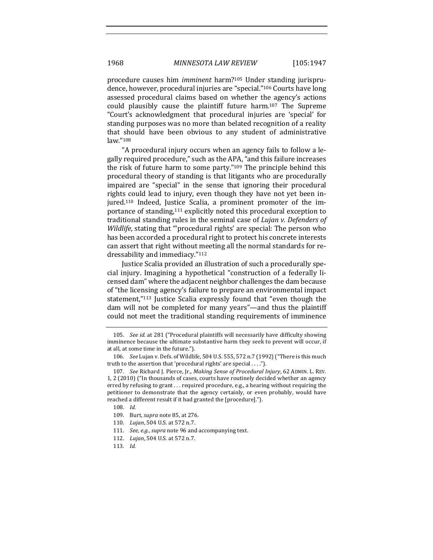procedure causes him *imminent* harm?<sup>105</sup> Under standing jurisprudence, however, procedural injuries are "special."<sup>106</sup> Courts have long assessed procedural claims based on whether the agency's actions could plausibly cause the plaintiff future harm.<sup>107</sup> The Supreme "Court's acknowledgment that procedural injuries are 'special' for standing purposes was no more than belated recognition of a reality that should have been obvious to any student of administrative law."108

"A procedural injury occurs when an agency fails to follow a legally required procedure," such as the APA, "and this failure increases the risk of future harm to some party." $109$  The principle behind this procedural theory of standing is that litigants who are procedurally impaired are "special" in the sense that ignoring their procedural rights could lead to injury, even though they have not yet been injured.<sup>110</sup> Indeed, Justice Scalia, a prominent promoter of the importance of standing,<sup>111</sup> explicitly noted this procedural exception to traditional standing rules in the seminal case of *Lujan v. Defenders of Wildlife*, stating that ""procedural rights' are special: The person who has been accorded a procedural right to protect his concrete interests can assert that right without meeting all the normal standards for redressability and immediacy."112

Justice Scalia provided an illustration of such a procedurally special injury. Imagining a hypothetical "construction of a federally licensed dam" where the adjacent neighbor challenges the dam because of "the licensing agency's failure to prepare an environmental impact statement,"<sup>113</sup> Justice Scalia expressly found that "even though the dam will not be completed for many years"—and thus the plaintiff could not meet the traditional standing requirements of imminence

- 109. Burt, *supra* note 85, at 276.
- 110. *Lujan*, 504 U.S. at 572 n.7.
- 111. *See, e.g., supra* note 96 and accompanying text.
- 112. *Lujan*, 504 U.S. at 572 n.7.
- 113. *Id.*

<sup>105.</sup> *See id.* at 281 ("Procedural plaintiffs will necessarily have difficulty showing imminence because the ultimate substantive harm they seek to prevent will occur, if at all, at some time in the future.").

<sup>106.</sup> *See Lujan v. Defs. of Wildlife,* 504 U.S. 555, 572 n.7 (1992) ("There is this much truth to the assertion that 'procedural rights' are special ....").

<sup>107.</sup> *See* Richard J. Pierce, Jr., *Making Sense of Procedural Injury*, 62 ADMIN. L. REV. 1, 2 (2010) ("In thousands of cases, courts have routinely decided whether an agency erred by refusing to grant ... required procedure, e.g., a hearing without requiring the petitioner to demonstrate that the agency certainly, or even probably, would have reached a different result if it had granted the [procedure].").

<sup>108.</sup> *Id.*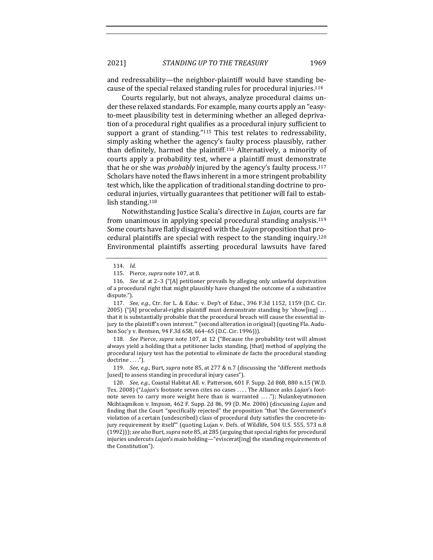and redressability—the neighbor-plaintiff would have standing because of the special relaxed standing rules for procedural injuries.<sup>114</sup>

Courts regularly, but not always, analyze procedural claims under these relaxed standards. For example, many courts apply an "easyto-meet plausibility test in determining whether an alleged deprivation of a procedural right qualifies as a procedural injury sufficient to support a grant of standing." $115$  This test relates to redressability, simply asking whether the agency's faulty process plausibly, rather than definitely, harmed the plaintiff.<sup>116</sup> Alternatively, a minority of courts apply a probability test, where a plaintiff must demonstrate that he or she was *probably* injured by the agency's faulty process.<sup>117</sup> Scholars have noted the flaws inherent in a more stringent probability test which, like the application of traditional standing doctrine to procedural injuries, virtually guarantees that petitioner will fail to establish standing.<sup>118</sup>

Notwithstanding Justice Scalia's directive in *Lujan*, courts are far from unanimous in applying special procedural standing analysis.<sup>119</sup> Some courts have flatly disagreed with the *Lujan* proposition that procedural plaintiffs are special with respect to the standing inquiry.<sup>120</sup> Environmental plaintiffs asserting procedural lawsuits have fared

117. *See, e.g.*, Ctr. for L. & Educ. v. Dep't of Educ., 396 F.3d 1152, 1159 (D.C. Cir. 2005) ("[A] procedural-rights plaintiff must demonstrate standing by 'show[ing]  $\dots$ that it is substantially probable that the procedural breach will cause the essential injury to the plaintiff's own interest."" (second alteration in original) (quoting Fla. Audubon Soc'y v. Bentsen, 94 F.3d 658, 664-65 (D.C. Cir. 1996))).

118. *See Pierce, supra* note 107, at 12 ("Because the probability test will almost always yield a holding that a petitioner lacks standing, [that] method of applying the procedural injury test has the potential to eliminate de facto the procedural standing  $d$ octrine  $\dots$ .").

119. *See, e.g.*, Burt, *supra* note 85, at 277 & n.7 (discussing the "different methods [used] to assess standing in procedural injury cases").

120. *See, e.g.*, Coastal Habitat All. v. Patterson, 601 F. Supp. 2d 868, 880 n.15 (W.D. Tex. 2008) ("Lujan's footnote seven cites no cases .... The Alliance asks *Lujan's* footnote seven to carry more weight here than is warranted ...."); Nulankeyutmonen Nkihtaqmikon v. Impson, 462 F. Supp. 2d 86, 99 (D. Me. 2006) (discussing *Lujan* and finding that the Court "specifically rejected" the proposition "that 'the Government's violation of a certain (undescribed) class of procedural duty satisfies the concrete-injury requirement by itself" (quoting Lujan v. Defs. of Wildlife, 504 U.S. 555, 573 n.8 (1992))); see also Burt, supra note 85, at 285 (arguing that special rights for procedural injuries undercuts *Lujan's* main holding—"eviscerat[ing] the standing requirements of the Constitution").

<sup>114.</sup> *Id.*

<sup>115.</sup> Pierce, *supra* note 107, at 8.

<sup>116.</sup> *See id.* at 2-3 ("[A] petitioner prevails by alleging only unlawful deprivation of a procedural right that might plausibly have changed the outcome of a substantive dispute.").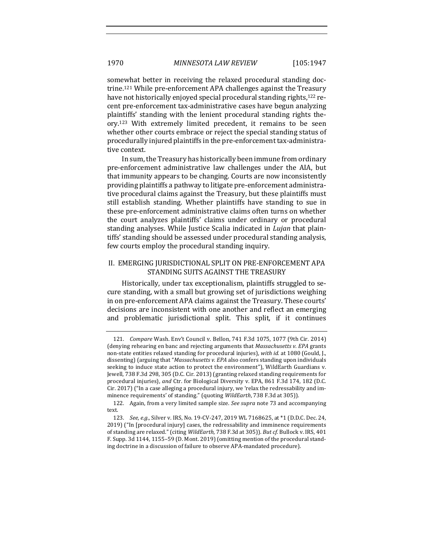somewhat better in receiving the relaxed procedural standing doctrine.<sup>121</sup> While pre-enforcement APA challenges against the Treasury have not historically enjoyed special procedural standing rights,<sup>122</sup> recent pre-enforcement tax-administrative cases have begun analyzing plaintiffs' standing with the lenient procedural standing rights theory.<sup>123</sup> With extremely limited precedent, it remains to be seen whether other courts embrace or reject the special standing status of procedurally injured plaintiffs in the pre-enforcement tax-administrative context.

In sum, the Treasury has historically been immune from ordinary pre-enforcement administrative law challenges under the AIA, but that immunity appears to be changing. Courts are now inconsistently providing plaintiffs a pathway to litigate pre-enforcement administrative procedural claims against the Treasury, but these plaintiffs must still establish standing. Whether plaintiffs have standing to sue in these pre-enforcement administrative claims often turns on whether the court analyzes plaintiffs' claims under ordinary or procedural standing analyses. While Justice Scalia indicated in *Lujan* that plaintiffs' standing should be assessed under procedural standing analysis, few courts employ the procedural standing inquiry.

## II. EMERGING JURISDICTIONAL SPLIT ON PRE-ENFORCEMENT APA STANDING SUITS AGAINST THE TREASURY

Historically, under tax exceptionalism, plaintiffs struggled to secure standing, with a small but growing set of jurisdictions weighing in on pre-enforcement APA claims against the Treasury. These courts' decisions are inconsistent with one another and reflect an emerging and problematic jurisdictional split. This split, if it continues

<sup>121.</sup> *Compare* Wash. Env't Council v. Bellon, 741 F.3d 1075, 1077 (9th Cir. 2014) (denying rehearing en banc and rejecting arguments that Massachusetts v. EPA grants non-state entities relaxed standing for procedural injuries), with *id.* at 1080 (Gould, J., dissenting) (arguing that "*Massachusetts v. EPA* also confers standing upon individuals seeking to induce state action to protect the environment"), WildEarth Guardians v. Jewell, 738 F.3d 298, 305 (D.C. Cir. 2013) (granting relaxed standing requirements for procedural injuries), and Ctr. for Biological Diversity v. EPA, 861 F.3d 174, 182 (D.C. Cir. 2017) ("In a case alleging a procedural injury, we 'relax the redressability and imminence requirements' of standing." (quoting *WildEarth*, 738 F.3d at 305)).

<sup>122.</sup> Again, from a very limited sample size. *See supra* note 73 and accompanying text.

<sup>123.</sup> *See, e.g.*, Silver v. IRS, No. 19-CV-247, 2019 WL 7168625, at \*1 (D.D.C. Dec. 24, 2019) ("In [procedural injury] cases, the redressability and imminence requirements of standing are relaxed." (citing WildEarth, 738 F.3d at 305)). But cf. Bullock v. IRS, 401 F. Supp. 3d 1144, 1155–59 (D. Mont. 2019) (omitting mention of the procedural standing doctrine in a discussion of failure to observe APA-mandated procedure).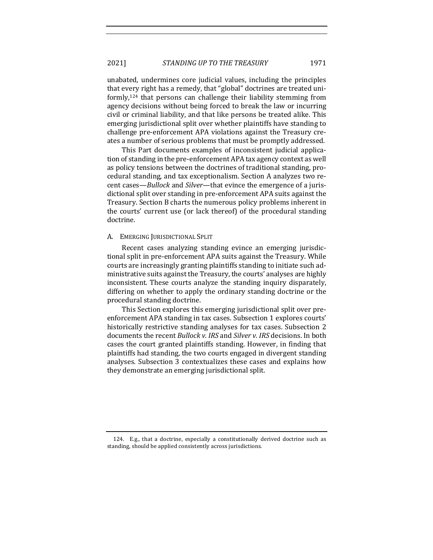unabated, undermines core judicial values, including the principles that every right has a remedy, that "global" doctrines are treated uniformly, $124$  that persons can challenge their liability stemming from agency decisions without being forced to break the law or incurring civil or criminal liability, and that like persons be treated alike. This emerging jurisdictional split over whether plaintiffs have standing to challenge pre-enforcement APA violations against the Treasury creates a number of serious problems that must be promptly addressed.

This Part documents examples of inconsistent judicial application of standing in the pre-enforcement APA tax agency context as well as policy tensions between the doctrines of traditional standing, procedural standing, and tax exceptionalism. Section A analyzes two recent cases—*Bullock* and *Silver*—that evince the emergence of a jurisdictional split over standing in pre-enforcement APA suits against the Treasury. Section B charts the numerous policy problems inherent in the courts' current use (or lack thereof) of the procedural standing doctrine. 

#### A. EMERGING JURISDICTIONAL SPLIT

Recent cases analyzing standing evince an emerging jurisdictional split in pre-enforcement APA suits against the Treasury. While courts are increasingly granting plaintiffs standing to initiate such administrative suits against the Treasury, the courts' analyses are highly inconsistent. These courts analyze the standing inquiry disparately, differing on whether to apply the ordinary standing doctrine or the procedural standing doctrine.

This Section explores this emerging jurisdictional split over preenforcement APA standing in tax cases. Subsection 1 explores courts' historically restrictive standing analyses for tax cases. Subsection 2 documents the recent *Bullock v. IRS* and *Silver v. IRS* decisions. In both cases the court granted plaintiffs standing. However, in finding that plaintiffs had standing, the two courts engaged in divergent standing analyses. Subsection 3 contextualizes these cases and explains how they demonstrate an emerging jurisdictional split.

<sup>124.</sup> E.g., that a doctrine, especially a constitutionally derived doctrine such as standing, should be applied consistently across jurisdictions.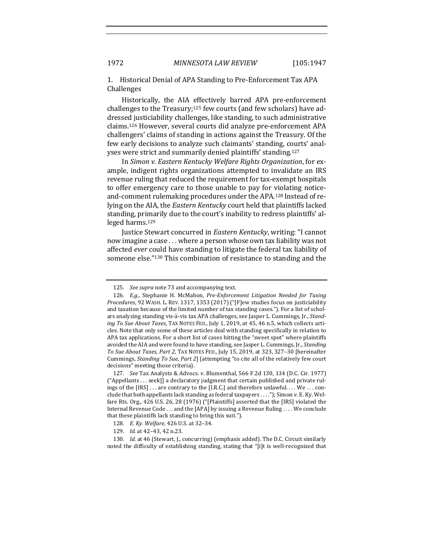1. Historical Denial of APA Standing to Pre-Enforcement Tax APA Challenges

Historically, the AIA effectively barred APA pre-enforcement challenges to the Treasury;<sup>125</sup> few courts (and few scholars) have addressed justiciability challenges, like standing, to such administrative claims.<sup>126</sup> However, several courts did analyze pre-enforcement APA challengers' claims of standing in actions against the Treasury. Of the few early decisions to analyze such claimants' standing, courts' analyses were strict and summarily denied plaintiffs' standing.<sup>127</sup>

In Simon v. Eastern Kentucky Welfare Rights Organization, for example, indigent rights organizations attempted to invalidate an IRS revenue ruling that reduced the requirement for tax-exempt hospitals to offer emergency care to those unable to pay for violating noticeand-comment rulemaking procedures under the APA.<sup>128</sup> Instead of relying on the AIA, the *Eastern Kentucky* court held that plaintiffs lacked standing, primarily due to the court's inability to redress plaintiffs' alleged harms.<sup>129</sup>

Justice Stewart concurred in *Eastern Kentucky*, writing: "I cannot now imagine a case . . . where a person whose own tax liability was not affected *ever* could have standing to litigate the federal tax liability of someone else."<sup>130</sup> This combination of resistance to standing and the

<sup>125.</sup> See supra note 73 and accompanying text.

<sup>126.</sup> *E.g.*, Stephanie H. McMahon, *Pre-Enforcement Litigation Needed for Taxing* Procedures, 92 WASH. L. REV. 1317, 1353 (2017) ("[F]ew studies focus on justiciability and taxation because of the limited number of tax standing cases."). For a list of scholars analyzing standing vis-à-vis tax APA challenges, see Jasper L. Cummings, Jr., *Standing To Sue About Taxes*, TAX NOTES FED., July 1, 2019, at 45, 46 n.5, which collects articles. Note that only some of these articles deal with standing specifically in relation to APA tax applications. For a short list of cases hitting the "sweet spot" where plaintiffs avoided the AIA and were found to have standing, see Jasper L. Cummings, Jr., *Standing To Sue About Taxes, Part 2*, TAX NOTES FED., July 15, 2019, at 323, 327–30 [hereinafter Cummings, *Standing To Sue, Part 2*] (attempting "to cite all of the relatively few court decisions" meeting those criteria).

<sup>127.</sup> *See* Tax Analysts & Advocs. v. Blumenthal, 566 F.2d 130, 134 (D.C. Cir. 1977)  $("Appellants ... seek[] a declaratory judgment that certain published and private rule"$ ings of the [IRS] ... are contrary to the [I.R.C.] and therefore unlawful. ... We ... conclude that both appellants lack standing as federal taxpayers . . . ."); Simon v. E. Ky. Welfare Rts. Org., 426 U.S. 26, 28 (1976) ("[Plaintiffs] asserted that the [IRS] violated the Internal Revenue Code . . . and the [APA] by issuing a Revenue Ruling . . . . We conclude that these plaintiffs lack standing to bring this suit.").

<sup>128.</sup> *E. Ky. Welfare*, 426 U.S. at 32-34.

<sup>129.</sup> *Id.* at 42-43, 42 n.23.

<sup>130.</sup> *Id.* at 46 (Stewart, J., concurring) (emphasis added). The D.C. Circuit similarly noted the difficulty of establishing standing, stating that "[i]t is well-recognized that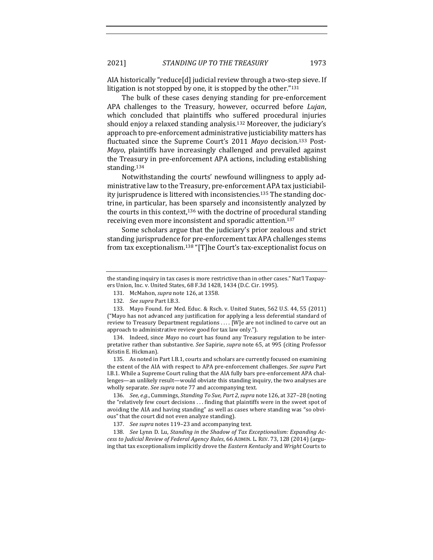AIA historically "reduce[d] judicial review through a two-step sieve. If litigation is not stopped by one, it is stopped by the other." $131$ 

The bulk of these cases denying standing for pre-enforcement APA challenges to the Treasury, however, occurred before *Lujan*, which concluded that plaintiffs who suffered procedural injuries should enjoy a relaxed standing analysis.<sup>132</sup> Moreover, the judiciary's approach to pre-enforcement administrative justiciability matters has fluctuated since the Supreme Court's 2011 Mayo decision.<sup>133</sup> Post-*Mayo*, plaintiffs have increasingly challenged and prevailed against the Treasury in pre-enforcement APA actions, including establishing standing.134

Notwithstanding the courts' newfound willingness to apply administrative law to the Treasury, pre-enforcement APA tax justiciability jurisprudence is littered with inconsistencies.<sup>135</sup> The standing doctrine, in particular, has been sparsely and inconsistently analyzed by the courts in this context, $136$  with the doctrine of procedural standing receiving even more inconsistent and sporadic attention.<sup>137</sup>

Some scholars argue that the judiciary's prior zealous and strict standing jurisprudence for pre-enforcement tax APA challenges stems from tax exceptionalism.<sup>138</sup> "[T]he Court's tax-exceptionalist focus on

131. McMahon, *supra* note 126, at 1358.

134. Indeed, since *Mayo* no court has found any Treasury regulation to be interpretative rather than substantive. See Sapirie, supra note 65, at 995 (citing Professor Kristin E. Hickman).

135. As noted in Part I.B.1, courts and scholars are currently focused on examining the extent of the AIA with respect to APA pre-enforcement challenges. See supra Part I.B.1. While a Supreme Court ruling that the AIA fully bars pre-enforcement APA challenges—an unlikely result—would obviate this standing inquiry, the two analyses are wholly separate. See supra note 77 and accompanying text.

136. *See, e.g.*, Cummings, *Standing To Sue, Part 2*, *supra* note 126, at 327-28 (noting the "relatively few court decisions  $\dots$  finding that plaintiffs were in the sweet spot of avoiding the AIA and having standing" as well as cases where standing was "so obvious" that the court did not even analyze standing).

137. See supra notes 119-23 and accompanying text.

138. See Lynn D. Lu, Standing in the Shadow of Tax Exceptionalism: Expanding Ac*cess to Judicial Review of Federal Agency Rules*, 66 ADMIN. L. REV. 73, 128 (2014) (arguing that tax exceptionalism implicitly drove the *Eastern Kentucky* and *Wright* Courts to

the standing inquiry in tax cases is more restrictive than in other cases." Nat'l Taxpayers Union, Inc. v. United States, 68 F.3d 1428, 1434 (D.C. Cir. 1995).

<sup>132.</sup> *See supra Part I.B.3.* 

<sup>133.</sup> Mayo Found. for Med. Educ. & Rsch. v. United States, 562 U.S. 44, 55 (2011) ("Mayo has not advanced any justification for applying a less deferential standard of review to Treasury Department regulations .... [W]e are not inclined to carve out an approach to administrative review good for tax law only.").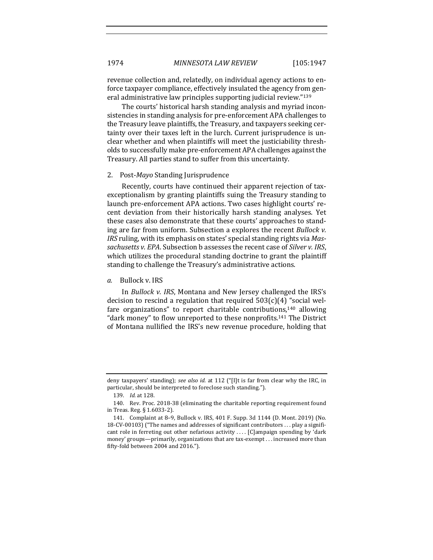revenue collection and, relatedly, on individual agency actions to enforce taxpayer compliance, effectively insulated the agency from general administrative law principles supporting judicial review."139

The courts' historical harsh standing analysis and myriad inconsistencies in standing analysis for pre-enforcement APA challenges to the Treasury leave plaintiffs, the Treasury, and taxpayers seeking certainty over their taxes left in the lurch. Current jurisprudence is unclear whether and when plaintiffs will meet the justiciability thresholds to successfully make pre-enforcement APA challenges against the Treasury. All parties stand to suffer from this uncertainty.

#### 2. Post-*Mayo* Standing Jurisprudence

Recently, courts have continued their apparent rejection of taxexceptionalism by granting plaintiffs suing the Treasury standing to launch pre-enforcement APA actions. Two cases highlight courts' recent deviation from their historically harsh standing analyses. Yet these cases also demonstrate that these courts' approaches to standing are far from uniform. Subsection a explores the recent *Bullock v. IRS* ruling, with its emphasis on states' special standing rights via *Mas*sachusetts v. EPA. Subsection b assesses the recent case of *Silver v. IRS*, which utilizes the procedural standing doctrine to grant the plaintiff standing to challenge the Treasury's administrative actions.

## a. Bullock v. IRS

In *Bullock v. IRS*, Montana and New Jersey challenged the IRS's decision to rescind a regulation that required  $503(c)(4)$  "social welfare organizations" to report charitable contributions, $140$  allowing "dark money" to flow unreported to these nonprofits.<sup>141</sup> The District of Montana nullified the IRS's new revenue procedure, holding that

deny taxpayers' standing); see also *id.* at 112 ("[I]t is far from clear why the IRC, in particular, should be interpreted to foreclose such standing.").

<sup>139.</sup> *Id.* at 128.

<sup>140.</sup> Rev. Proc. 2018-38 (eliminating the charitable reporting requirement found in Treas. Reg. § 1.6033-2).

<sup>141.</sup> Complaint at 8-9, Bullock v. IRS, 401 F. Supp. 3d 1144 (D. Mont. 2019) (No. 18-CV-00103) ("The names and addresses of significant contributors  $\dots$  play a significant role in ferreting out other nefarious activity .... [C]ampaign spending by 'dark money' groups—primarily, organizations that are tax-exempt . . . increased more than fifty-fold between 2004 and 2016.").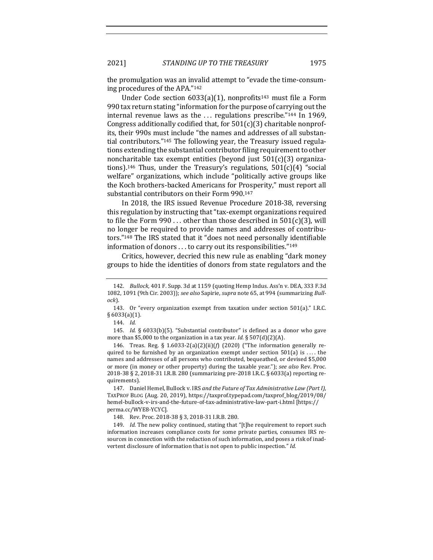the promulgation was an invalid attempt to "evade the time-consuming procedures of the APA."142

Under Code section  $6033(a)(1)$ , nonprofits<sup>143</sup> must file a Form 990 tax return stating "information for the purpose of carrying out the internal revenue laws as the  $\ldots$  regulations prescribe."<sup>144</sup> In 1969, Congress additionally codified that, for  $501(c)(3)$  charitable nonprofits, their 990s must include "the names and addresses of all substantial contributors."<sup>145</sup> The following year, the Treasury issued regulations extending the substantial contributor filing requirement to other noncharitable tax exempt entities (beyond just  $501(c)(3)$  organizations).<sup>146</sup> Thus, under the Treasury's regulations,  $501(c)(4)$  "social welfare" organizations, which include "politically active groups like the Koch brothers-backed Americans for Prosperity," must report all substantial contributors on their Form 990.<sup>147</sup>

In 2018, the IRS issued Revenue Procedure 2018-38, reversing this regulation by instructing that "tax-exempt organizations required to file the Form  $990...$  other than those described in  $501(c)(3)$ , will no longer be required to provide names and addresses of contributors."<sup>148</sup> The IRS stated that it "does not need personally identifiable information of donors  $\dots$  to carry out its responsibilities." $^{149}$ 

Critics, however, decried this new rule as enabling "dark money groups to hide the identities of donors from state regulators and the

146. Treas. Reg. §  $1.6033-2(a)(2)(ii)(f)$  (2020) ("The information generally required to be furnished by an organization exempt under section  $501(a)$  is ... the names and addresses of all persons who contributed, bequeathed, or devised \$5,000 or more (in money or other property) during the taxable year."); *see also* Rev. Proc. 2018-38 § 2, 2018-31 I.R.B. 280 (summarizing pre-2018 I.R.C. § 6033(a) reporting requirements).

<sup>142.</sup> *Bullock*, 401 F. Supp. 3d at 1159 (quoting Hemp Indus. Ass'n v. DEA, 333 F.3d 1082, 1091 (9th Cir. 2003)); see also Sapirie, supra note 65, at 994 (summarizing *Bullock*). 

<sup>143.</sup> Or "every organization exempt from taxation under section  $501(a)$ ." I.R.C. § 6033(a)(1).

<sup>144.</sup> *Id.*

<sup>145.</sup> *Id.* § 6033(b)(5). "Substantial contributor" is defined as a donor who gave more than \$5,000 to the organization in a tax year. *Id.* § 507(d)(2)(A).

<sup>147.</sup> Daniel Hemel, Bullock v. IRS and the Future of Tax Administrative Law (Part I), TAXPROF BLOG (Aug. 20, 2019), https://taxprof.typepad.com/taxprof\_blog/2019/08/ hemel-bullock-v-irs-and-the-future-of-tax-administrative-law-part-i.html [https:// perma.cc/WYE8-YCYC].

<sup>148.</sup> Rev. Proc. 2018-38 § 3, 2018-31 I.R.B. 280.

<sup>149.</sup> *Id.* The new policy continued, stating that "[t]he requirement to report such information increases compliance costs for some private parties, consumes IRS resources in connection with the redaction of such information, and poses a risk of inadvertent disclosure of information that is not open to public inspection." *Id.*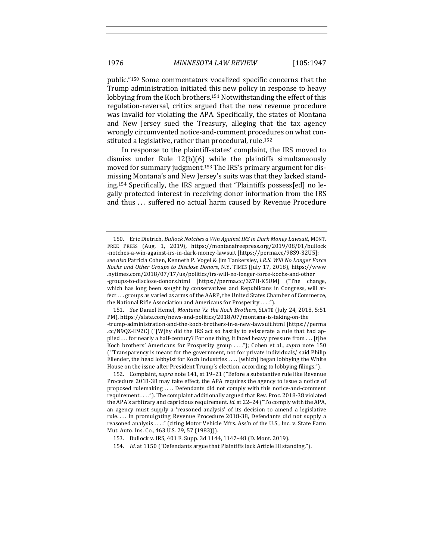public."<sup>150</sup> Some commentators vocalized specific concerns that the Trump administration initiated this new policy in response to heavy lobbying from the Koch brothers.<sup>151</sup> Notwithstanding the effect of this regulation-reversal, critics argued that the new revenue procedure was invalid for violating the APA. Specifically, the states of Montana and New Jersey sued the Treasury, alleging that the tax agency wrongly circumvented notice-and-comment procedures on what constituted a legislative, rather than procedural, rule.<sup>152</sup>

In response to the plaintiff-states' complaint, the IRS moved to dismiss under Rule  $12(b)(6)$  while the plaintiffs simultaneously moved for summary judgment.<sup>153</sup> The IRS's primary argument for dismissing Montana's and New Jersey's suits was that they lacked standing.<sup>154</sup> Specifically, the IRS argued that "Plaintiffs possess[ed] no legally protected interest in receiving donor information from the IRS and thus ... suffered no actual harm caused by Revenue Procedure

151. *See* Daniel Hemel, *Montana Vs. the Koch Brothers*, SLATE (July 24, 2018, 5:51 PM), https://slate.com/news-and-politics/2018/07/montana-is-taking-on-the -trump-administration-and-the-koch-brothers-in-a-new-lawsuit.html [https://perma .cc/N9QZ-H92C] ("[W]hy did the IRS act so hastily to eviscerate a rule that had applied . . . for nearly a half-century? For one thing, it faced heavy pressure from . . . [t]he Koch brothers' Americans for Prosperity group ...."); Cohen et al., *supra* note 150 ("Transparency is meant for the government, not for private individuals,' said Philip Ellender, the head lobbyist for Koch Industries  $\dots$  [which] began lobbying the White House on the issue after President Trump's election, according to lobbying filings.").

152. Complaint, *supra* note 141, at 19-21 ("Before a substantive rule like Revenue Procedure 2018-38 may take effect, the APA requires the agency to issue a notice of proposed rulemaking .... Defendants did not comply with this notice-and-comment requirement . . . ."). The complaint additionally argued that Rev. Proc. 2018-38 violated the APA's arbitrary and capricious requirement. *Id.* at 22-24 ("To comply with the APA, an agency must supply a 'reasoned analysis' of its decision to amend a legislative rule.... In promulgating Revenue Procedure 2018-38, Defendants did not supply a reasoned analysis ...." (citing Motor Vehicle Mfrs. Ass'n of the U.S., Inc. v. State Farm Mut. Auto. Ins. Co., 463 U.S. 29, 57 (1983))).

154. *Id.* at 1150 ("Defendants argue that Plaintiffs lack Article III standing.").

<sup>150.</sup> Eric Dietrich, *Bullock Notches a Win Against IRS in Dark Money Lawsuit*, MONT. FREE PRESS (Aug. 1, 2019), https://montanafreepress.org/2019/08/01/bullock -notches-a-win-against-irs-in-dark-money-lawsuit [https://perma.cc/98S9-32U5]; *see also* Patricia Cohen, Kenneth P. Vogel & Jim Tankersley, *I.R.S. Will No Longer Force*  Kochs and Other Groups to Disclose Donors, N.Y. TIMES (July 17, 2018), https://www .nytimes.com/2018/07/17/us/politics/irs-will-no-longer-force-kochs-and-other -groups-to-disclose-donors.html [https://perma.cc/3Z7H-K5UM] ("The change, which has long been sought by conservatives and Republicans in Congress, will affect . . . groups as varied as arms of the AARP, the United States Chamber of Commerce, the National Rifle Association and Americans for Prosperity . . . .").

<sup>153.</sup> Bullock v. IRS, 401 F. Supp. 3d 1144, 1147-48 (D. Mont. 2019).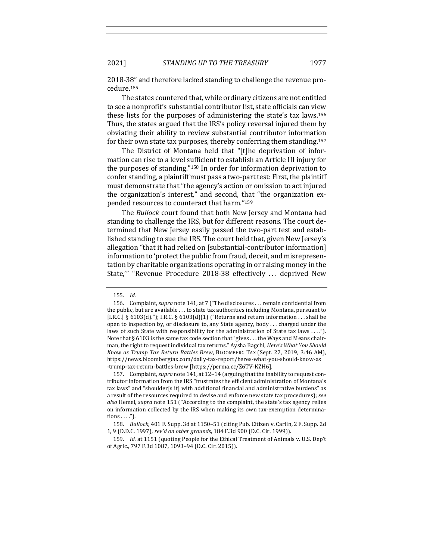2021] *STANDING UP TO THE TREASURY* 1977

2018-38" and therefore lacked standing to challenge the revenue procedure.155

The states countered that, while ordinary citizens are not entitled to see a nonprofit's substantial contributor list, state officials can view these lists for the purposes of administering the state's tax laws.<sup>156</sup> Thus, the states argued that the IRS's policy reversal injured them by obviating their ability to review substantial contributor information for their own state tax purposes, thereby conferring them standing.<sup>157</sup>

The District of Montana held that "[t]he deprivation of information can rise to a level sufficient to establish an Article III injury for the purposes of standing."<sup>158</sup> In order for information deprivation to confer standing, a plaintiff must pass a two-part test: First, the plaintiff must demonstrate that "the agency's action or omission to act injured the organization's interest," and second, that "the organization expended resources to counteract that harm."<sup>159</sup>

The *Bullock* court found that both New Jersey and Montana had standing to challenge the IRS, but for different reasons. The court determined that New Jersey easily passed the two-part test and established standing to sue the IRS. The court held that, given New Jersey's allegation "that it had relied on [substantial-contributor information] information to 'protect the public from fraud, deceit, and misrepresentation by charitable organizations operating in or raising money in the State,"" "Revenue Procedure 2018-38 effectively ... deprived New

<sup>155.</sup> *Id.*

<sup>156.</sup> Complaint, *supra* note 141, at 7 ("The disclosures . . . remain confidential from the public, but are available  $\dots$  to state tax authorities including Montana, pursuant to [I.R.C.] §  $6103(d)$ ."); I.R.C. §  $6103(d)(1)$  ("Returns and return information ... shall be open to inspection by, or disclosure to, any State agency, body  $\dots$  charged under the laws of such State with responsibility for the administration of State tax laws ...."). Note that § 6103 is the same tax code section that "gives . . . the Ways and Means chairman, the right to request individual tax returns." Aysha Bagchi, *Here's What You Should Know as Trump Tax Return Battles Brew*, BLOOMBERG TAX (Sept. 27, 2019, 3:46 AM), https://news.bloombergtax.com/daily-tax-report/heres-what-you-should-know-as -trump-tax-return-battles-brew [https://perma.cc/Z6TV-KZH6].

<sup>157.</sup> Complaint, *supra* note 141, at 12-14 (arguing that the inability to request contributor information from the IRS "frustrates the efficient administration of Montana's tax laws" and "shoulder[s it] with additional financial and administrative burdens" as a result of the resources required to devise and enforce new state tax procedures); see *also* Hemel, *supra* note 151 ("According to the complaint, the state's tax agency relies on information collected by the IRS when making its own tax-exemption determina $tions \ldots$ ").

<sup>158.</sup> *Bullock*, 401 F. Supp. 3d at 1150-51 (citing Pub. Citizen v. Carlin, 2 F. Supp. 2d 1, 9 (D.D.C. 1997), rev'd on other grounds, 184 F.3d 900 (D.C. Cir. 1999)).

<sup>159.</sup> *Id.* at 1151 (quoting People for the Ethical Treatment of Animals v. U.S. Dep't of Agric., 797 F.3d 1087, 1093-94 (D.C. Cir. 2015)).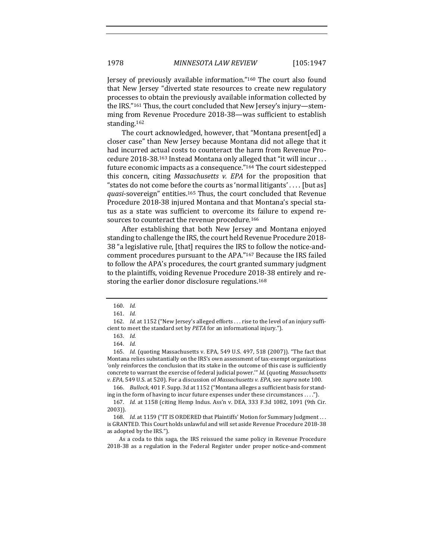Jersey of previously available information."<sup>160</sup> The court also found that New Jersey "diverted state resources to create new regulatory processes to obtain the previously available information collected by the IRS."<sup>161</sup> Thus, the court concluded that New Jersey's injury—stemming from Revenue Procedure 2018-38-was sufficient to establish standing.162

The court acknowledged, however, that "Montana present[ed] a closer case" than New Jersey because Montana did not allege that it had incurred actual costs to counteract the harm from Revenue Procedure 2018-38.<sup>163</sup> Instead Montana only alleged that "it will incur ... future economic impacts as a consequence."<sup>164</sup> The court sidestepped this concern, citing *Massachusetts v. EPA* for the proposition that "states do not come before the courts as 'normal litigants'.... [but as] *quasi*-sovereign" entities.<sup>165</sup> Thus, the court concluded that Revenue Procedure 2018-38 injured Montana and that Montana's special status as a state was sufficient to overcome its failure to expend resources to counteract the revenue procedure.<sup>166</sup>

After establishing that both New Jersey and Montana enjoyed standing to challenge the IRS, the court held Revenue Procedure 2018-38 "a legislative rule, [that] requires the IRS to follow the notice-andcomment procedures pursuant to the APA."<sup>167</sup> Because the IRS failed to follow the APA's procedures, the court granted summary judgment to the plaintiffs, voiding Revenue Procedure 2018-38 entirely and restoring the earlier donor disclosure regulations.<sup>168</sup>

166. *Bullock*, 401 F. Supp. 3d at 1152 ("Montana alleges a sufficient basis for standing in the form of having to incur future expenses under these circumstances  $\dots$ .").

As a coda to this saga, the IRS reissued the same policy in Revenue Procedure 2018-38 as a regulation in the Federal Register under proper notice-and-comment

<sup>160.</sup> *Id.*

<sup>161.</sup> *Id.*

<sup>162.</sup> *Id.* at 1152 ("New Jersey's alleged efforts . . . rise to the level of an injury sufficient to meet the standard set by *PETA* for an informational injury.").

<sup>163.</sup> *Id.* 

<sup>164.</sup> *Id.*

<sup>165.</sup> *Id.* (quoting Massachusetts v. EPA, 549 U.S. 497, 518 (2007)). "The fact that Montana relies substantially on the IRS's own assessment of tax-exempt organizations 'only reinforces the conclusion that its stake in the outcome of this case is sufficiently concrete to warrant the exercise of federal judicial power."" Id. (quoting Massachusetts *v.* EPA, 549 U.S. at 520). For a discussion of *Massachusetts v. EPA*, see *supra* note 100.

<sup>167.</sup> *Id.* at 1158 (citing Hemp Indus. Ass'n v. DEA, 333 F.3d 1082, 1091 (9th Cir. 2003)).

<sup>168.</sup> *Id.* at 1159 ("IT IS ORDERED that Plaintiffs' Motion for Summary Judgment ... is GRANTED. This Court holds unlawful and will set aside Revenue Procedure 2018-38 as adopted by the IRS.").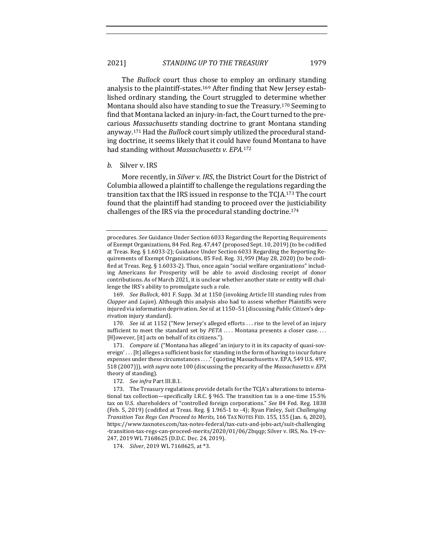The *Bullock* court thus chose to employ an ordinary standing analysis to the plaintiff-states.<sup>169</sup> After finding that New Jersey established ordinary standing, the Court struggled to determine whether Montana should also have standing to sue the Treasury.<sup>170</sup> Seeming to find that Montana lacked an injury-in-fact, the Court turned to the precarious *Massachusetts* standing doctrine to grant Montana standing anyway.<sup>171</sup> Had the *Bullock* court simply utilized the procedural standing doctrine, it seems likely that it could have found Montana to have had standing without Massachusetts v. EPA.<sup>172</sup>

#### *b.* Silver v. IRS

More recently, in *Silver v. IRS*, the District Court for the District of Columbia allowed a plaintiff to challenge the regulations regarding the transition tax that the IRS issued in response to the TCJA.<sup>173</sup> The court found that the plaintiff had standing to proceed over the justiciability challenges of the IRS via the procedural standing doctrine.<sup>174</sup>

170. *See id.* at 1152 ("New Jersey's alleged efforts ... rise to the level of an injury sufficient to meet the standard set by *PETA* .... Montana presents a closer case.... [H]owever, [it] acts on behalf of its citizens.").

171. *Compare id.* ("Montana has alleged 'an injury to it in its capacity of quasi-sovereign'... [It] alleges a sufficient basis for standing in the form of having to incur future expenses under these circumstances ...." (quoting Massachusetts v. EPA, 549 U.S. 497, 518 (2007))), with supra note 100 (discussing the precarity of the Massachusetts v. EPA theory of standing).

172. See infra Part III.B.1.

174. *Silver*, 2019 WL 7168625, at \*3.

procedures. See Guidance Under Section 6033 Regarding the Reporting Requirements of Exempt Organizations, 84 Fed. Reg. 47,447 (proposed Sept. 10, 2019) (to be codified at Treas. Reg. § 1.6033-2); Guidance Under Section 6033 Regarding the Reporting Requirements of Exempt Organizations, 85 Fed. Reg. 31,959 (May 28, 2020) (to be codified at Treas. Reg.  $\S$  1.6033-2). Thus, once again "social welfare organizations" including Americans for Prosperity will be able to avoid disclosing receipt of donor contributions. As of March 2021, it is unclear whether another state or entity will challenge the IRS's ability to promulgate such a rule.

<sup>169.</sup> *See Bullock*, 401 F. Supp. 3d at 1150 (invoking Article III standing rules from *Clapper* and *Lujan*). Although this analysis also had to assess whether Plaintiffs were injured via information deprivation. See id. at 1150-51 (discussing *Public Citizen's* deprivation injury standard).

<sup>173.</sup> The Treasury regulations provide details for the TCJA's alterations to international tax collection—specifically I.R.C. § 965. The transition tax is a one-time  $15.5\%$ tax on U.S. shareholders of "controlled foreign corporations." *See* 84 Fed. Reg. 1838 (Feb. 5, 2019) (codified at Treas. Reg. § 1.965-1 to -4); Ryan Finley, *Suit Challenging Transition Tax Regs Can Proceed to Merits*, 166 TAX NOTES FED. 155, 155 (Jan. 6, 2020), https://www.taxnotes.com/tax-notes-federal/tax-cuts-and-jobs-act/suit-challenging -transition-tax-regs-can-proceed-merits/2020/01/06/2bqqp; Silver v. IRS, No. 19-cv-247, 2019 WL 7168625 (D.D.C. Dec. 24, 2019).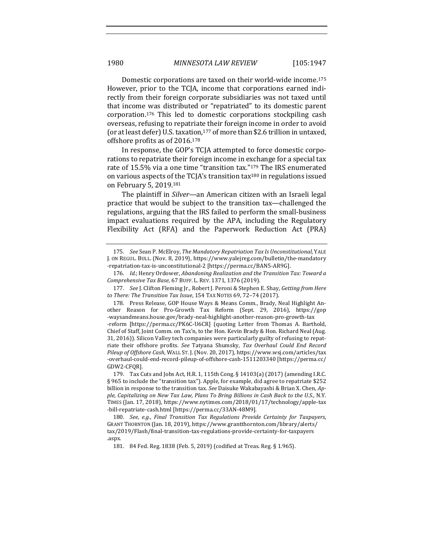Domestic corporations are taxed on their world-wide income.<sup>175</sup> However, prior to the TCJA, income that corporations earned indirectly from their foreign corporate subsidiaries was not taxed until that income was distributed or "repatriated" to its domestic parent corporation.<sup>176</sup> This led to domestic corporations stockpiling cash overseas, refusing to repatriate their foreign income in order to avoid (or at least defer) U.S. taxation,  $177$  of more than \$2.6 trillion in untaxed, offshore profits as of 2016.<sup>178</sup>

In response, the GOP's TCJA attempted to force domestic corporations to repatriate their foreign income in exchange for a special tax rate of 15.5% via a one time "transition tax."<sup>179</sup> The IRS enumerated on various aspects of the  $TC[A]$ 's transition tax<sup>180</sup> in regulations issued on February 5, 2019.<sup>181</sup>

The plaintiff in *Silver*—an American citizen with an Israeli legal practice that would be subject to the transition tax—challenged the regulations, arguing that the IRS failed to perform the small-business impact evaluations required by the APA, including the Regulatory Flexibility Act (RFA) and the Paperwork Reduction Act (PRA)

177. *See* J. Clifton Fleming Jr., Robert J. Peroni & Stephen E. Shay, *Getting from Here* to There: The Transition Tax Issue, 154 TAX NOTES 69, 72-74 (2017).

178. Press Release, GOP House Ways & Means Comm., Brady, Neal Highlight Another Reason for Pro-Growth Tax Reform (Sept. 29, 2016), https://gop -waysandmeans.house.gov/brady-neal-highlight-another-reason-pro-growth-tax -reform [https://perma.cc/PK6C-U6CR] (quoting Letter from Thomas A. Barthold, Chief of Staff, Joint Comm. on Tax'n, to the Hon. Kevin Brady & Hon. Richard Neal (Aug. 31, 2016)). Silicon Valley tech companies were particularly guilty of refusing to repatriate their offshore profits. See Tatyana Shumsky, Tax Overhaul Could End Record *Pileup of Offshore Cash,* WALL ST. J. (Nov. 20, 2017), https://www.wsj.com/articles/tax -overhaul-could-end-record-pileup-of-offshore-cash-1511203340 [https://perma.cc/ GDW2-CFQR]. 

179. Tax Cuts and Jobs Act, H.R. 1, 115th Cong. § 14103(a) (2017) (amending I.R.C. § 965 to include the "transition tax"). Apple, for example, did agree to repatriate \$252 billion in response to the transition tax. See Daisuke Wakabayashi & Brian X. Chen, Apple, Capitalizing on New Tax Law, Plans To Bring Billions in Cash Back to the U.S., N.Y. TIMES (Jan. 17, 2018), https://www.nytimes.com/2018/01/17/technology/apple-tax -bill-repatriate-cash.html [https://perma.cc/33AN-48M9].

180. *See, e.g., Final Transition Tax Regulations Provide Certainty for Taxpayers,* GRANT THORNTON (Jan. 18, 2019), https://www.grantthornton.com/library/alerts/ tax/2019/Flash/final-transition-tax-regulations-provide-certainty-for-taxpayers .aspx.

181. 84 Fed. Reg. 1838 (Feb. 5, 2019) (codified at Treas. Reg. § 1.965).

<sup>175.</sup> *See* Sean P. McElroy, *The Mandatory Repatriation Tax Is Unconstitutional*, YALE J. ON REGUL. BULL. (Nov. 8, 2019), https://www.yalejreg.com/bulletin/the-mandatory -repatriation-tax-is-unconstitutional-2 [https://perma.cc/BAN5-AR9G].

<sup>176.</sup> Id.; Henry Ordower, *Abandoning Realization and the Transition Tax: Toward a Comprehensive Tax Base*, 67 BUFF. L. REV. 1371, 1376 (2019).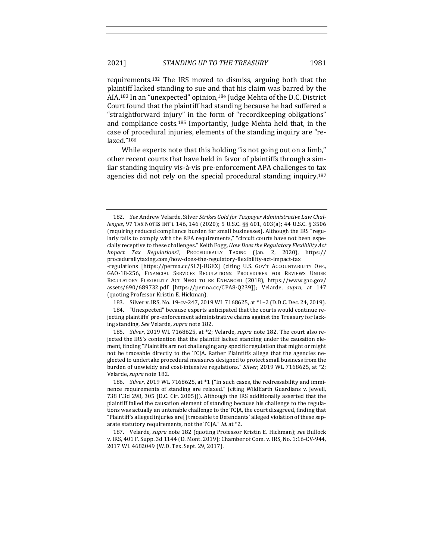requirements.<sup>182</sup> The IRS moved to dismiss, arguing both that the plaintiff lacked standing to sue and that his claim was barred by the AIA.<sup>183</sup> In an "unexpected" opinion,<sup>184</sup> Judge Mehta of the D.C. District Court found that the plaintiff had standing because he had suffered a "straightforward injury" in the form of "recordkeeping obligations" and compliance costs.<sup>185</sup> Importantly, Judge Mehta held that, in the case of procedural injuries, elements of the standing inquiry are "relaxed."186

While experts note that this holding "is not going out on a limb," other recent courts that have held in favor of plaintiffs through a similar standing inquiry vis-à-vis pre-enforcement APA challenges to tax agencies did not rely on the special procedural standing inquiry.<sup>187</sup>

<sup>182.</sup> See Andrew Velarde, Silver *Strikes Gold for Taxpayer Administrative Law Challenges*, 97 TAX NOTES INT'L 146, 146 (2020); 5 U.S.C. §§ 601, 603(a); 44 U.S.C. § 3506 (requiring reduced compliance burden for small businesses). Although the IRS "regularly fails to comply with the RFA requirements," "circuit courts have not been especially receptive to these challenges." Keith Fogg, *How Does the Regulatory Flexibility Act Impact Tax Regulations?*, PROCEDURALLY TAXING (Jan. 2, 2020), https:// procedurallytaxing.com/how-does-the-regulatory-flexibility-act-impact-tax

<sup>-</sup>regulations [https://perma.cc/SL7J-UGEX] (citing U.S. Gov'T Accountability OFF., GAO-18-256, FINANCIAL SERVICES REGULATIONS: PROCEDURES FOR REVIEWS UNDER REGULATORY FLEXIBILITY ACT NEED TO BE ENHANCED (2018), https://www.gao.gov/ assets/690/689732.pdf [https://perma.cc/CPA8-Q239]); Velarde, supra, at 147 (quoting Professor Kristin E. Hickman).

<sup>183.</sup> Silver v. IRS, No. 19-cv-247, 2019 WL 7168625, at \*1-2 (D.D.C. Dec. 24, 2019).

<sup>184. &</sup>quot;Unexpected" because experts anticipated that the courts would continue rejecting plaintiffs' pre-enforcement administrative claims against the Treasury for lacking standing. See Velarde, *supra* note 182.

<sup>185.</sup> *Silver*, 2019 WL 7168625, at \*2; Velarde, *supra* note 182. The court also rejected the IRS's contention that the plaintiff lacked standing under the causation element, finding "Plaintiffs are not challenging any specific regulation that might or might not be traceable directly to the TCJA. Rather Plaintiffs allege that the agencies neglected to undertake procedural measures designed to protect small business from the burden of unwieldy and cost-intensive regulations." *Silver*, 2019 WL 7168625, at \*2; Velarde, *supra* note 182*.*

<sup>186.</sup> *Silver*, 2019 WL 7168625, at \*1 ("In such cases, the redressability and imminence requirements of standing are relaxed." (citing WildEarth Guardians v. Jewell, 738 F.3d 298, 305 (D.C. Cir. 2005))). Although the IRS additionally asserted that the plaintiff failed the causation element of standing because his challenge to the regulations was actually an untenable challenge to the TCJA, the court disagreed, finding that "Plaintiff's alleged injuries  $are[]$  traceable to Defendants' alleged violation of these separate statutory requirements, not the TCJA." *Id.* at \*2.

<sup>187.</sup> Velarde, *supra* note 182 (quoting Professor Kristin E. Hickman); see Bullock v. IRS, 401 F. Supp. 3d 1144 (D. Mont. 2019); Chamber of Com. v. IRS, No. 1:16-CV-944, 2017 WL 4682049 (W.D. Tex. Sept. 29, 2017).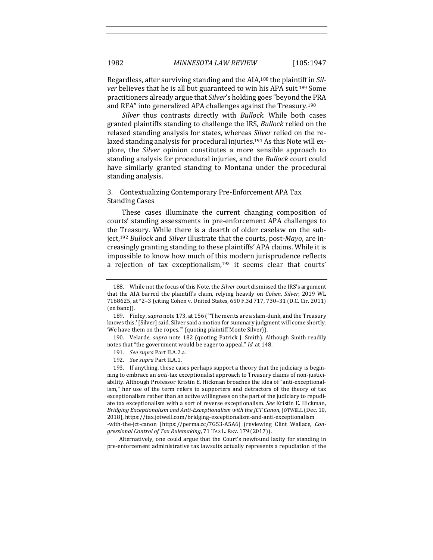Regardless, after surviving standing and the AIA,<sup>188</sup> the plaintiff in *Silver* believes that he is all but guaranteed to win his APA suit.<sup>189</sup> Some practitioners already argue that *Silver's* holding goes "beyond the PRA and RFA" into generalized APA challenges against the Treasury.<sup>190</sup>

*Silver* thus contrasts directly with *Bullock*. While both cases granted plaintiffs standing to challenge the IRS, *Bullock* relied on the relaxed standing analysis for states, whereas *Silver* relied on the relaxed standing analysis for procedural injuries.<sup>191</sup> As this Note will explore, the *Silver* opinion constitutes a more sensible approach to standing analysis for procedural injuries, and the *Bullock* court could have similarly granted standing to Montana under the procedural standing analysis.

## 3. Contextualizing Contemporary Pre-Enforcement APA Tax **Standing Cases**

These cases illuminate the current changing composition of courts' standing assessments in pre-enforcement APA challenges to the Treasury. While there is a dearth of older caselaw on the subject,<sup>192</sup> *Bullock* and *Silver* illustrate that the courts, post-*Mayo*, are increasingly granting standing to these plaintiffs' APA claims. While it is impossible to know how much of this modern jurisprudence reflects a rejection of tax exceptionalism, $193$  it seems clear that courts'

- 191. *See supra* Part II.A.2.a.
- 192. *See supra Part II.A.1.*

193. If anything, these cases perhaps support a theory that the judiciary is beginning to embrace an *anti*-tax exceptionalist approach to Treasury claims of non-justiciability. Although Professor Kristin E. Hickman broaches the idea of "anti-exceptionalism," her use of the term refers to supporters and detractors of the theory of tax exceptionalism rather than an active willingness on the part of the judiciary to repudiate tax exceptionalism with a sort of reverse exceptionalism. See Kristin E. Hickman, *Bridging Exceptionalism and Anti-Exceptionalism with the JCT Canon, JOTWELL (Dec. 10,* 2018), https://tax.jotwell.com/bridging-exceptionalism-and-anti-exceptionalism -with-the-jct-canon [https://perma.cc/7G53-A5A6] (reviewing Clint Wallace, *Con-*

*gressional Control of Tax Rulemaking*, 71 TAX L. REV. 179 (2017)). Alternatively, one could argue that the Court's newfound laxity for standing in

pre-enforcement administrative tax lawsuits actually represents a repudiation of the

<sup>188.</sup> While not the focus of this Note, the *Silver* court dismissed the IRS's argument that the AIA barred the plaintiff's claim, relying heavily on *Cohen. Silver*, 2019 WL 7168625, at \*2-3 (citing Cohen v. United States, 650 F.3d 717, 730-31 (D.C. Cir. 2011) (en banc)).

<sup>189.</sup> Finley, *supra* note 173, at 156 ("The merits are a slam-dunk, and the Treasury knows this,' [Silver] said. Silver said a motion for summary judgment will come shortly. 'We have them on the ropes."" (quoting plaintiff Monte Silver)).

<sup>190.</sup> Velarde, *supra* note 182 (quoting Patrick J. Smith). Although Smith readily notes that "the government would be eager to appeal." Id. at 148.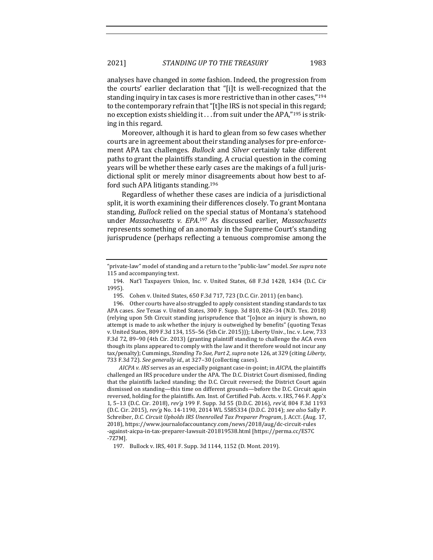analyses have changed in *some* fashion. Indeed, the progression from the courts' earlier declaration that "[i]t is well-recognized that the standing inquiry in tax cases is more restrictive than in other cases,"<sup>194</sup> to the contemporary refrain that "[t]he IRS is not special in this regard; no exception exists shielding it  $\ldots$  from suit under the APA,"<sup>195</sup> is striking in this regard.

Moreover, although it is hard to glean from so few cases whether courts are in agreement about their standing analyses for pre-enforcement APA tax challenges. *Bullock* and *Silver* certainly take different paths to grant the plaintiffs standing. A crucial question in the coming years will be whether these early cases are the makings of a full jurisdictional split or merely minor disagreements about how best to afford such APA litigants standing. $196$ 

Regardless of whether these cases are indicia of a jurisdictional split, it is worth examining their differences closely. To grant Montana standing, *Bullock* relied on the special status of Montana's statehood under Massachusetts v. EPA.<sup>197</sup> As discussed earlier, Massachusetts represents something of an anomaly in the Supreme Court's standing jurisprudence (perhaps reflecting a tenuous compromise among the

*AICPA v. IRS* serves as an especially poignant case-in-point; in *AICPA*, the plaintiffs challenged an IRS procedure under the APA. The D.C. District Court dismissed, finding that the plaintiffs lacked standing; the D.C. Circuit reversed; the District Court again dismissed on standing-this time on different grounds-before the D.C. Circuit again reversed, holding for the plaintiffs. Am. Inst. of Certified Pub. Accts. v. IRS, 746 F. App'x 1, 5–13 (D.C. Cir. 2018), *rev'g* 199 F. Supp. 3d 55 (D.D.C. 2016), *rev'd*, 804 F.3d 1193 (D.C. Cir. 2015), *rev'g* No. 14-1190, 2014 WL 5585334 (D.D.C. 2014); *see also* Sally P. Schreiber, *D.C. Circuit Upholds IRS Unenrolled Tax Preparer Program*, J. AccT. (Aug. 17, 2018), https://www.journalofaccountancy.com/news/2018/aug/dc-circuit-rules -against-aicpa-in-tax-preparer-lawsuit-201819538.html [https://perma.cc/ES7C -7Z7M].

197. Bullock v. IRS, 401 F. Supp. 3d 1144, 1152 (D. Mont. 2019).

<sup>&</sup>quot;private-law" model of standing and a return to the "public-law" model. See supra note 115 and accompanying text.

<sup>194.</sup> Nat'l Taxpayers Union, Inc. v. United States, 68 F.3d 1428, 1434 (D.C. Cir 1995).

<sup>195.</sup> Cohen v. United States, 650 F.3d 717, 723 (D.C. Cir. 2011) (en banc).

<sup>196.</sup> Other courts have also struggled to apply consistent standing standards to tax APA cases. See Texas v. United States, 300 F. Supp. 3d 810, 826-34 (N.D. Tex. 2018) (relying upon 5th Circuit standing jurisprudence that "[o]nce an injury is shown, no attempt is made to ask whether the injury is outweighed by benefits" (quoting Texas v. United States, 809 F.3d 134, 155-56 (5th Cir. 2015))); Liberty Univ., Inc. v. Lew, 733 F.3d 72, 89-90 (4th Cir. 2013) (granting plaintiff standing to challenge the ACA even though its plans appeared to comply with the law and it therefore would not incur any tax/penalty); Cummings, *Standing To Sue, Part 2*, *supra* note 126, at 329 (citing *Liberty*, 733 F.3d 72). See generally *id.*, at 327-30 (collecting cases).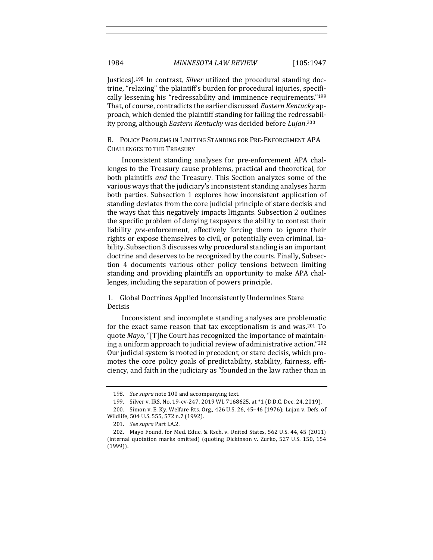Justices).<sup>198</sup> In contrast, *Silver* utilized the procedural standing doctrine, "relaxing" the plaintiff's burden for procedural injuries, specifically lessening his "redressability and imminence requirements."<sup>199</sup> That, of course, contradicts the earlier discussed *Eastern Kentucky* approach, which denied the plaintiff standing for failing the redressability prong, although *Eastern Kentucky* was decided before *Lujan*.<sup>200</sup>

B. POLICY PROBLEMS IN LIMITING STANDING FOR PRE-ENFORCEMENT APA CHALLENGES TO THE TREASURY

Inconsistent standing analyses for pre-enforcement APA challenges to the Treasury cause problems, practical and theoretical, for both plaintiffs *and* the Treasury. This Section analyzes some of the various ways that the judiciary's inconsistent standing analyses harm both parties. Subsection 1 explores how inconsistent application of standing deviates from the core judicial principle of stare decisis and the ways that this negatively impacts litigants. Subsection 2 outlines the specific problem of denying taxpayers the ability to contest their liability *pre*-enforcement, effectively forcing them to ignore their rights or expose themselves to civil, or potentially even criminal, liability. Subsection 3 discusses why procedural standing is an important doctrine and deserves to be recognized by the courts. Finally, Subsection 4 documents various other policy tensions between limiting standing and providing plaintiffs an opportunity to make APA challenges, including the separation of powers principle.

1. Global Doctrines Applied Inconsistently Undermines Stare Decisis

Inconsistent and incomplete standing analyses are problematic for the exact same reason that tax exceptionalism is and was.<sup>201</sup> To quote *Mayo*, "[T]he Court has recognized the importance of maintaining a uniform approach to judicial review of administrative action."<sup>202</sup> Our judicial system is rooted in precedent, or stare decisis, which promotes the core policy goals of predictability, stability, fairness, efficiency, and faith in the judiciary as "founded in the law rather than in

<sup>198.</sup> *See supra* note 100 and accompanying text.

<sup>199.</sup> Silver v. IRS, No. 19-cv-247, 2019 WL 7168625, at \*1 (D.D.C. Dec. 24, 2019).

<sup>200.</sup> Simon v. E. Ky. Welfare Rts. Org., 426 U.S. 26, 45-46 (1976); Lujan v. Defs. of Wildlife, 504 U.S. 555, 572 n.7 (1992).

<sup>201.</sup> *See supra* Part I.A.2.

<sup>202.</sup> Mayo Found. for Med. Educ. & Rsch. v. United States, 562 U.S. 44, 45 (2011) (internal quotation marks omitted) (quoting Dickinson v. Zurko, 527 U.S. 150, 154 (1999)).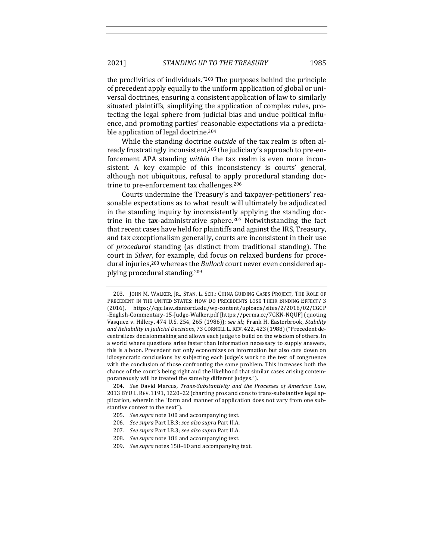the proclivities of individuals." $203$  The purposes behind the principle of precedent apply equally to the uniform application of global or universal doctrines, ensuring a consistent application of law to similarly situated plaintiffs, simplifying the application of complex rules, protecting the legal sphere from judicial bias and undue political influence, and promoting parties' reasonable expectations via a predictable application of legal doctrine.<sup>204</sup>

While the standing doctrine *outside* of the tax realm is often already frustratingly inconsistent,<sup>205</sup> the judiciary's approach to pre-enforcement APA standing *within* the tax realm is even more inconsistent. A key example of this inconsistency is courts' general, although not ubiquitous, refusal to apply procedural standing doctrine to pre-enforcement tax challenges.<sup>206</sup>

Courts undermine the Treasury's and taxpayer-petitioners' reasonable expectations as to what result will ultimately be adjudicated in the standing inquiry by inconsistently applying the standing doctrine in the tax-administrative sphere.<sup>207</sup> Notwithstanding the fact that recent cases have held for plaintiffs and against the IRS, Treasury, and tax exceptionalism generally, courts are inconsistent in their use of *procedural* standing (as distinct from traditional standing). The court in *Silver*, for example, did focus on relaxed burdens for procedural injuries,<sup>208</sup> whereas the *Bullock* court never even considered applying procedural standing.<sup>209</sup>

<sup>203.</sup> JOHN M. WALKER, JR., STAN. L. SCH.: CHINA GUIDING CASES PROJECT, THE ROLE OF PRECEDENT IN THE UNITED STATES: HOW DO PRECEDENTS LOSE THEIR BINDING EFFECT? 3 (2016), https://cgc.law.stanford.edu/wp-content/uploads/sites/2/2016/02/CGCP -English-Commentary-15-Judge-Walker.pdf [https://perma.cc/7GKN-NQUF] (quoting Vasquez v. Hillery, 474 U.S. 254, 265 (1986)); see id.; Frank H. Easterbrook, Stability and Reliability in Judicial Decisions, 73 CORNELL L. REV. 422, 423 (1988) ("Precedent decentralizes decisionmaking and allows each judge to build on the wisdom of others. In a world where questions arise faster than information necessary to supply answers, this is a boon. Precedent not only economizes on information but also cuts down on idiosyncratic conclusions by subjecting each judge's work to the test of congruence with the conclusion of those confronting the same problem. This increases both the chance of the court's being right and the likelihood that similar cases arising contemporaneously will be treated the same by different judges.").

<sup>204.</sup> *See* David Marcus, *Trans-Substantivity and the Processes of American Law*, 2013 BYU L. REV. 1191, 1220-22 (charting pros and cons to trans-substantive legal application, wherein the "form and manner of application does not vary from one substantive context to the next").

<sup>205.</sup> *See supra* note 100 and accompanying text.

<sup>206.</sup> *See supra Part I.B.3; see also supra Part II.A.* 

<sup>207.</sup> *See supra Part I.B.3; see also supra Part II.A.* 

<sup>208.</sup> *See supra* note 186 and accompanying text.

<sup>209.</sup> *See supra* notes 158-60 and accompanying text.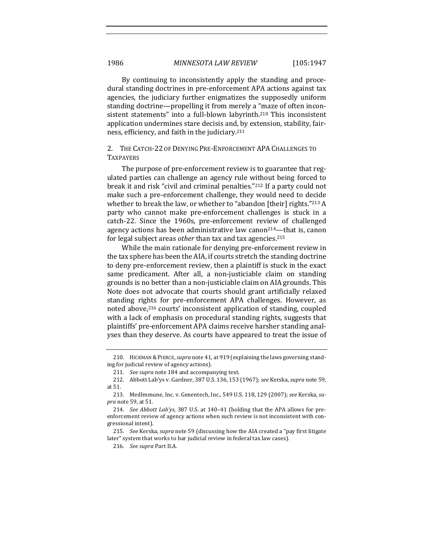By continuing to inconsistently apply the standing and procedural standing doctrines in pre-enforcement APA actions against tax agencies, the judiciary further enigmatizes the supposedly uniform standing doctrine—propelling it from merely a "maze of often inconsistent statements" into a full-blown labyrinth.<sup>210</sup> This inconsistent application undermines stare decisis and, by extension, stability, fairness, efficiency, and faith in the judiciary.<sup>211</sup>

# 2. THE CATCH-22 OF DENYING PRE-ENFORCEMENT APA CHALLENGES TO TAXPAYERS

The purpose of pre-enforcement review is to guarantee that regulated parties can challenge an agency rule without being forced to break it and risk "civil and criminal penalties."<sup>212</sup> If a party could not make such a pre-enforcement challenge, they would need to decide whether to break the law, or whether to "abandon [their] rights." $213$  A party who cannot make pre-enforcement challenges is stuck in a catch-22. Since the 1960s, pre-enforcement review of challenged agency actions has been administrative law canon<sup>214</sup>—that is, canon for legal subject areas *other* than tax and tax agencies.<sup>215</sup>

While the main rationale for denying pre-enforcement review in the tax sphere has been the AIA, if courts stretch the standing doctrine to deny pre-enforcement review, then a plaintiff is stuck in the exact same predicament. After all, a non-justiciable claim on standing grounds is no better than a non-justiciable claim on AIA grounds. This Note does not advocate that courts should grant artificially relaxed standing rights for pre-enforcement APA challenges. However, as noted above,<sup>216</sup> courts' inconsistent application of standing, coupled with a lack of emphasis on procedural standing rights, suggests that plaintiffs' pre-enforcement APA claims receive harsher standing analyses than they deserve. As courts have appeared to treat the issue of

<sup>210.</sup> HICKMAN & PIERCE, *supra* note 41, at 919 (explaining the laws governing standing for judicial review of agency actions).

<sup>211.</sup> *See supra* note 184 and accompanying text.

<sup>212.</sup> Abbott Lab'ys v. Gardner, 387 U.S. 136, 153 (1967); see Kerska, *supra* note 59, at 51.

<sup>213.</sup> MedImmune, Inc. v. Genentech, Inc., 549 U.S. 118, 129 (2007); see Kerska, su*pra* note 59, at 51.

<sup>214.</sup> *See Abbott Lab'ys*, 387 U.S. at 140-41 (holding that the APA allows for preenforcement review of agency actions when such review is not inconsistent with congressional intent).

<sup>215.</sup> *See* Kerska, *supra* note 59 (discussing how the AIA created a "pay first litigate later" system that works to bar judicial review in federal tax law cases).

<sup>216.</sup> *See supra Part II.A.*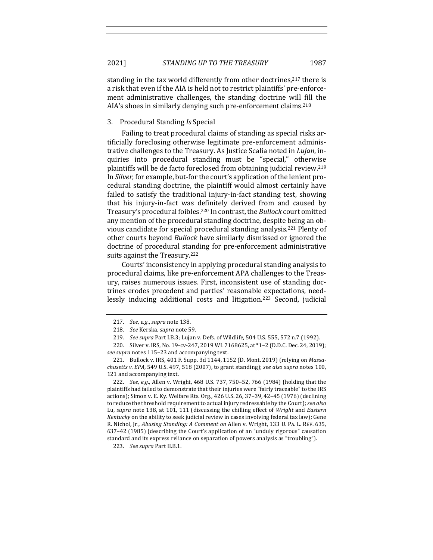standing in the tax world differently from other doctrines,  $217$  there is a risk that even if the AIA is held not to restrict plaintiffs' pre-enforcement administrative challenges, the standing doctrine will fill the AIA's shoes in similarly denying such pre-enforcement claims.<sup>218</sup>

# 3. Procedural Standing *Is* Special

Failing to treat procedural claims of standing as special risks artificially foreclosing otherwise legitimate pre-enforcement administrative challenges to the Treasury. As Justice Scalia noted in *Lujan*, inquiries into procedural standing must be "special," otherwise plaintiffs will be de facto foreclosed from obtaining judicial review.<sup>219</sup> In *Silver*, for example, but-for the court's application of the lenient procedural standing doctrine, the plaintiff would almost certainly have failed to satisfy the traditional injury-in-fact standing test, showing that his injury-in-fact was definitely derived from and caused by Treasury's procedural foibles.<sup>220</sup> In contrast, the *Bullock* court omitted any mention of the procedural standing doctrine, despite being an obvious candidate for special procedural standing analysis.<sup>221</sup> Plenty of other courts beyond *Bullock* have similarly dismissed or ignored the doctrine of procedural standing for pre-enforcement administrative suits against the Treasury.<sup>222</sup>

Courts' inconsistency in applying procedural standing analysis to procedural claims, like pre-enforcement APA challenges to the Treasury, raises numerous issues. First, inconsistent use of standing doctrines erodes precedent and parties' reasonable expectations, needlessly inducing additional costs and litigation.<sup>223</sup> Second, judicial

222. *See, e.g.*, Allen v. Wright, 468 U.S. 737, 750-52, 766 (1984) (holding that the plaintiffs had failed to demonstrate that their injuries were "fairly traceable" to the IRS actions); Simon v. E. Ky. Welfare Rts. Org., 426 U.S. 26, 37-39, 42-45 (1976) (declining to reduce the threshold requirement to actual injury redressable by the Court); see also Lu, *supra* note 138, at 101, 111 (discussing the chilling effect of *Wright* and *Eastern Kentucky* on the ability to seek judicial review in cases involving federal tax law); Gene R. Nichol, Jr., *Abusing Standing: A Comment on Allen v. Wright, 133 U. PA. L. REV. 635,* 637-42 (1985) (describing the Court's application of an "unduly rigorous" causation standard and its express reliance on separation of powers analysis as "troubling").

223. *See supra* Part II.B.1.

<sup>217.</sup> *See, e.g., supra* note 138.

<sup>218.</sup> *See* Kerska, *supra* note 59. 

<sup>219.</sup> *See supra Part I.B.3; Lujan v. Defs. of Wildlife, 504 U.S. 555, 572 n.7 (1992).* 

<sup>220.</sup> Silver v. IRS, No. 19-cv-247, 2019 WL 7168625, at \*1-2 (D.D.C. Dec. 24, 2019); *see supra* notes 115–23 and accompanying text.

<sup>221.</sup> Bullock v. IRS, 401 F. Supp. 3d 1144, 1152 (D. Mont. 2019) (relying on *Massachusetts v. EPA*, 549 U.S. 497, 518 (2007), to grant standing); see also supra notes 100, 121 and accompanying text.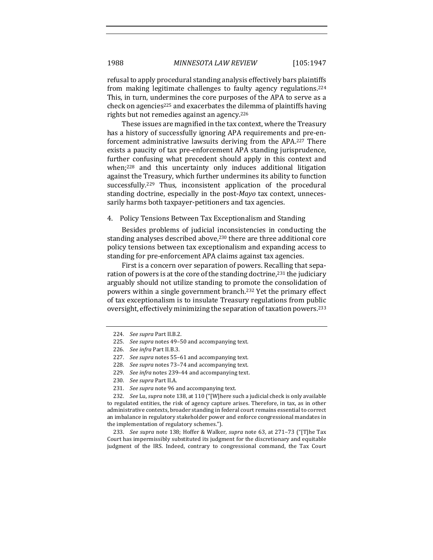refusal to apply procedural standing analysis effectively bars plaintiffs from making legitimate challenges to faulty agency regulations.<sup>224</sup> This, in turn, undermines the core purposes of the APA to serve as a check on agencies<sup>225</sup> and exacerbates the dilemma of plaintiffs having rights but not remedies against an agency.<sup>226</sup>

These issues are magnified in the tax context, where the Treasury has a history of successfully ignoring APA requirements and pre-enforcement administrative lawsuits deriving from the APA.<sup>227</sup> There exists a paucity of tax pre-enforcement APA standing jurisprudence, further confusing what precedent should apply in this context and when; $228$  and this uncertainty only induces additional litigation against the Treasury, which further undermines its ability to function successfully.<sup>229</sup> Thus, inconsistent application of the procedural standing doctrine, especially in the post-*Mayo* tax context, unnecessarily harms both taxpayer-petitioners and tax agencies.

## 4. Policy Tensions Between Tax Exceptionalism and Standing

Besides problems of judicial inconsistencies in conducting the standing analyses described above,<sup>230</sup> there are three additional core policy tensions between tax exceptionalism and expanding access to standing for pre-enforcement APA claims against tax agencies.

First is a concern over separation of powers. Recalling that separation of powers is at the core of the standing doctrine,<sup>231</sup> the judiciary arguably should not utilize standing to promote the consolidation of powers within a single government branch.<sup>232</sup> Yet the primary effect of tax exceptionalism is to insulate Treasury regulations from public oversight, effectively minimizing the separation of taxation powers.<sup>233</sup>

232. *See Lu, supra* note 138, at 110 ("[W]here such a judicial check is only available to regulated entities, the risk of agency capture arises. Therefore, in tax, as in other administrative contexts, broader standing in federal court remains essential to correct an imbalance in regulatory stakeholder power and enforce congressional mandates in the implementation of regulatory schemes.").

233. *See supra* note 138; Hoffer & Walker, *supra* note 63, at 271-73 ("[T]he Tax Court has impermissibly substituted its judgment for the discretionary and equitable judgment of the IRS. Indeed, contrary to congressional command, the Tax Court

<sup>224.</sup> *See supra Part II.B.2.* 

<sup>225.</sup> *See supra* notes 49-50 and accompanying text.

<sup>226.</sup> *See infra Part II.B.3.* 

<sup>227.</sup> *See supra* notes 55-61 and accompanying text.

<sup>228.</sup> *See supra* notes 73-74 and accompanying text.

<sup>229.</sup> *See infra* notes 239-44 and accompanying text.

<sup>230.</sup> See supra Part II.A.

<sup>231.</sup> *See supra* note 96 and accompanying text.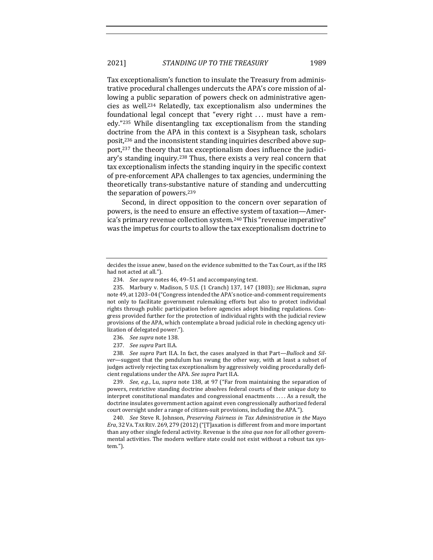Tax exceptionalism's function to insulate the Treasury from administrative procedural challenges undercuts the APA's core mission of allowing a public separation of powers check on administrative agencies as well.234 Relatedly, tax exceptionalism also undermines the foundational legal concept that "every right ... must have a remedy."<sup>235</sup> While disentangling tax exceptionalism from the standing doctrine from the APA in this context is a Sisyphean task, scholars posit,<sup>236</sup> and the inconsistent standing inquiries described above support,<sup>237</sup> the theory that tax exceptionalism does influence the judiciary's standing inquiry.<sup>238</sup> Thus, there exists a very real concern that tax exceptionalism infects the standing inquiry in the specific context of pre-enforcement APA challenges to tax agencies, undermining the theoretically trans-substantive nature of standing and undercutting the separation of powers. $239$ 

Second, in direct opposition to the concern over separation of powers, is the need to ensure an effective system of taxation—America's primary revenue collection system.<sup>240</sup> This "revenue imperative" was the impetus for courts to allow the tax exceptionalism doctrine to

- 236. *See supra* note 138.
- 237. *See supra Part II.A.*

238. *See supra* Part II.A. In fact, the cases analyzed in that Part-Bullock and Sil*ver*—suggest that the pendulum has swung the other way, with at least a subset of judges actively rejecting tax exceptionalism by aggressively voiding procedurally deficient regulations under the APA. See supra Part II.A.

239. *See, e.g.*, Lu, *supra* note 138, at 97 ("Far from maintaining the separation of powers, restrictive standing doctrine absolves federal courts of their unique duty to interpret constitutional mandates and congressional enactments  $\dots$ . As a result, the doctrine insulates government action against even congressionally authorized federal court oversight under a range of citizen-suit provisions, including the APA.").

240. *See* Steve R. Johnson, *Preserving Fairness in Tax Administration in the Mayo Era*, 32 VA. TAX REV. 269, 279 (2012) ("[T]axation is different from and more important than any other single federal activity. Revenue is the *sina qua non* for all other governmental activities. The modern welfare state could not exist without a robust tax system.").

decides the issue anew, based on the evidence submitted to the Tax Court, as if the IRS had not acted at all.").

<sup>234.</sup> *See supra* notes 46, 49-51 and accompanying text.

<sup>235.</sup> Marbury v. Madison, 5 U.S. (1 Cranch) 137, 147 (1803); see Hickman, supra note 49, at 1203-04 ("Congress intended the APA's notice-and-comment requirements not only to facilitate government rulemaking efforts but also to protect individual rights through public participation before agencies adopt binding regulations. Congress provided further for the protection of individual rights with the judicial review provisions of the APA, which contemplate a broad judicial role in checking agency utilization of delegated power.").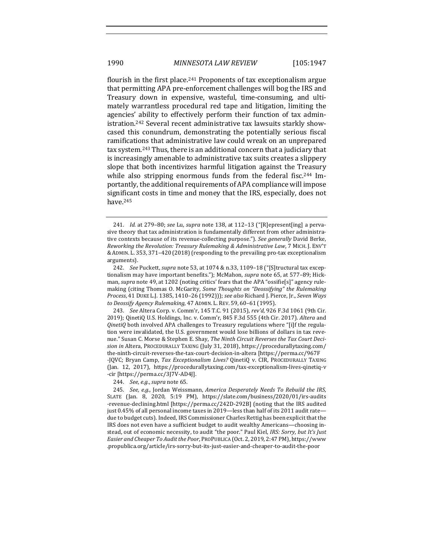flourish in the first place.<sup>241</sup> Proponents of tax exceptionalism argue that permitting APA pre-enforcement challenges will bog the IRS and Treasury down in expensive, wasteful, time-consuming, and ultimately warrantless procedural red tape and litigation, limiting the agencies' ability to effectively perform their function of tax administration.<sup>242</sup> Several recent administrative tax lawsuits starkly showcased this conundrum, demonstrating the potentially serious fiscal ramifications that administrative law could wreak on an unprepared tax system.<sup>243</sup> Thus, there is an additional concern that a judiciary that is increasingly amenable to administrative tax suits creates a slippery slope that both incentivizes harmful litigation against the Treasury while also stripping enormous funds from the federal fisc.<sup>244</sup> Importantly, the additional requirements of APA compliance will impose significant costs in time and money that the IRS, especially, does not have.245

243. *See* Altera Corp. v. Comm'r, 145 T.C. 91 (2015), *rev'd*, 926 F.3d 1061 (9th Cir. 2019); QinetiQ U.S. Holdings, Inc. v. Comm'r, 845 F.3d 555 (4th Cir. 2017). Altera and *QinetiQ* both involved APA challenges to Treasury regulations where "[i]f the regulation were invalidated, the U.S. government would lose billions of dollars in tax revenue." Susan C. Morse & Stephen E. Shay, *The Ninth Circuit Reverses the Tax Court Deci*sion in Altera, PROCEDURALLY TAXING (July 31, 2018), https://procedurallytaxing.com/ the-ninth-circuit-reverses-the-tax-court-decision-in-altera [https://perma.cc/967F -JQVC; Bryan Camp, *Tax Exceptionalism Lives?* QinetiQ v. CIR, PROCEDURALLY TAXING (Jan. 12, 2017), https://procedurallytaxing.com/tax-exceptionalism-lives-qinetiq-v -cir [https://perma.cc/3J7V-AD4J].

244. *See, e.g., supra* note 65.

<sup>241.</sup> *Id.* at 279-80; see Lu, supra note 138, at 112-13 ("[R]epresent[ing] a pervasive theory that tax administration is fundamentally different from other administrative contexts because of its revenue-collecting purpose."). *See generally* David Berke, *Reworking the Revolution: Treasury Rulemaking & Administrative Law, 7 MICH. J. ENV'T* & ADMIN. L. 353, 371-420 (2018) (responding to the prevailing pro-tax exceptionalism arguments).

<sup>242.</sup> *See* Puckett, *supra* note 53, at 1074 & n.33, 1109-18 ("[S]tructural tax exceptionalism may have important benefits."); McMahon, *supra* note 65, at 577-89; Hickman, *supra* note 49, at 1202 (noting critics' fears that the APA "ossifie[s]" agency rulemaking (citing Thomas O. McGarity, *Some Thoughts on "Deossifying" the Rulemaking* Process, 41 DUKE L.J. 1385, 1410-26 (1992))); see also Richard J. Pierce, Jr., Seven Ways to Deossify Agency Rulemaking, 47 ADMIN. L. REV. 59, 60-61 (1995).

<sup>245.</sup> *See, e.g.*, Jordan Weissmann, *America Desperately Needs To Rebuild the IRS*, SLATE (Jan. 8, 2020, 5:19 PM), https://slate.com/business/2020/01/irs-audits -revenue-declining.html [https://perma.cc/242D-292B] (noting that the IRS audited just  $0.45\%$  of all personal income taxes in 2019—less than half of its 2011 audit rate due to budget cuts). Indeed, IRS Commissioner Charles Rettig has been explicit that the IRS does not even have a sufficient budget to audit wealthy Americans—choosing instead, out of economic necessity, to audit "the poor." Paul Kiel, *IRS: Sorry, but It's Just* Easier and Cheaper To Audit the Poor, PROPUBLICA (Oct. 2, 2019, 2:47 PM), https://www .propublica.org/article/irs-sorry-but-its-just-easier-and-cheaper-to-audit-the-poor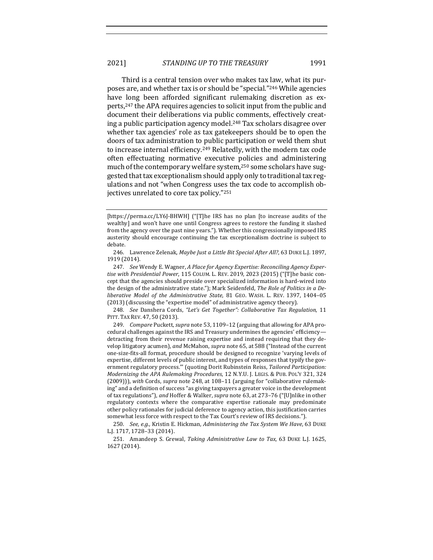Third is a central tension over who makes tax law, what its purposes are, and whether tax is or should be "special."<sup>246</sup> While agencies have long been afforded significant rulemaking discretion as experts,<sup>247</sup> the APA requires agencies to solicit input from the public and document their deliberations via public comments, effectively creating a public participation agency model.<sup>248</sup> Tax scholars disagree over whether tax agencies' role as tax gatekeepers should be to open the doors of tax administration to public participation or weld them shut to increase internal efficiency.<sup>249</sup> Relatedly, with the modern tax code often effectuating normative executive policies and administering much of the contemporary welfare system,<sup>250</sup> some scholars have suggested that tax exceptionalism should apply only to traditional tax regulations and not "when Congress uses the tax code to accomplish objectives unrelated to core tax policy."251

248. *See* Danshera Cords, "Let's Get Together": Collaborative Tax Regulation, 11 PITT. TAX REV. 47, 50 (2013).

249. *Compare* Puckett, *supra* note 53, 1109–12 (arguing that allowing for APA procedural challenges against the IRS and Treasury undermines the agencies' efficiencydetracting from their revenue raising expertise and instead requiring that they develop litigatory acumen), and McMahon, *supra* note 65, at 588 ("Instead of the current one-size-fits-all format, procedure should be designed to recognize 'varying levels of expertise, different levels of public interest, and types of responses that typify the government regulatory process." (quoting Dorit Rubinstein Reiss, Tailored Participation: *Modernizing the APA Rulemaking Procedures, 12 N.Y.U. J. LEGIS. & PUB. POL'Y 321, 324* (2009))), with Cords, *supra* note 248, at 108-11 (arguing for "collaborative rulemaking" and a definition of success "as giving taxpayers a greater voice in the development of tax regulations"), and Hoffer & Walker, *supra* note 63, at 273-76 ("[U]nlike in other regulatory contexts where the comparative expertise rationale may predominate other policy rationales for judicial deference to agency action, this justification carries somewhat less force with respect to the Tax Court's review of IRS decisions.").

250. *See, e.g.*, Kristin E. Hickman, *Administering the Tax System We Have*, 63 DUKE L.J. 1717, 1728–33 (2014).

251. Amandeep S. Grewal, *Taking Administrative Law to Tax*, 63 DUKE L.J. 1625, 1627 (2014).

<sup>[</sup>https://perma.cc/LY6J-BHWH] ("[T]he IRS has no plan [to increase audits of the wealthy] and won't have one until Congress agrees to restore the funding it slashed from the agency over the past nine years."). Whether this congressionally imposed IRS austerity should encourage continuing the tax exceptionalism doctrine is subject to debate.

<sup>246.</sup> Lawrence Zelenak, *Maybe Just a Little Bit Special After All?*, 63 DUKE L.J. 1897, 1919 (2014).

<sup>247.</sup> *See* Wendy E. Wagner, *A Place for Agency Expertise: Reconciling Agency Expertise with Presidential Power*, 115 COLUM. L. REV. 2019, 2023 (2015) ("[T]he basic concept that the agencies should preside over specialized information is hard-wired into the design of the administrative state."); Mark Seidenfeld, The Role of Politics in a De*liberative Model of the Administrative State*, 81 GEO. WASH. L. REV. 1397, 1404-05 (2013) (discussing the "expertise model" of administrative agency theory).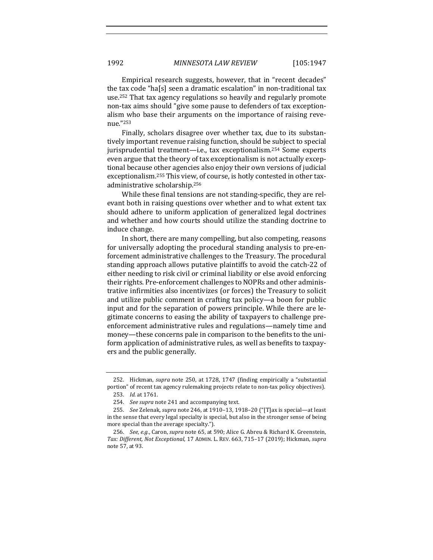Empirical research suggests, however, that in "recent decades" the tax code "ha[s] seen a dramatic escalation" in non-traditional tax use.<sup>252</sup> That tax agency regulations so heavily and regularly promote non-tax aims should "give some pause to defenders of tax exceptionalism who base their arguments on the importance of raising revenue."253

Finally, scholars disagree over whether tax, due to its substantively important revenue raising function, should be subject to special jurisprudential treatment—i.e., tax exceptionalism.<sup>254</sup> Some experts even argue that the theory of tax exceptionalism is not actually exceptional because other agencies also enjoy their own versions of judicial exceptionalism.<sup>255</sup> This view, of course, is hotly contested in other taxadministrative scholarship.<sup>256</sup>

While these final tensions are not standing-specific, they are relevant both in raising questions over whether and to what extent tax should adhere to uniform application of generalized legal doctrines and whether and how courts should utilize the standing doctrine to induce change.

In short, there are many compelling, but also competing, reasons for universally adopting the procedural standing analysis to pre-enforcement administrative challenges to the Treasury. The procedural standing approach allows putative plaintiffs to avoid the catch-22 of either needing to risk civil or criminal liability or else avoid enforcing their rights. Pre-enforcement challenges to NOPRs and other administrative infirmities also incentivizes (or forces) the Treasury to solicit and utilize public comment in crafting tax policy—a boon for public input and for the separation of powers principle. While there are legitimate concerns to easing the ability of taxpayers to challenge preenforcement administrative rules and regulations—namely time and money—these concerns pale in comparison to the benefits to the uniform application of administrative rules, as well as benefits to taxpayers and the public generally.

<sup>252.</sup> Hickman, *supra* note 250, at 1728, 1747 (finding empirically a "substantial portion" of recent tax agency rulemaking projects relate to non-tax policy objectives).

<sup>253.</sup> *Id.* at 1761.

<sup>254.</sup> *See supra* note 241 and accompanying text.

<sup>255.</sup> *See* Zelenak, *supra* note 246, at 1910–13, 1918–20 ("[T]ax is special—at least in the sense that every legal specialty is special, but also in the stronger sense of being more special than the average specialty.").

<sup>256.</sup> *See, e.g.*, Caron, *supra* note 65, at 590; Alice G. Abreu & Richard K. Greenstein, *Tax: Different, Not Exceptional*, 17 ADMIN. L. REV. 663, 715–17 (2019); Hickman, *supra* note 57, at 93.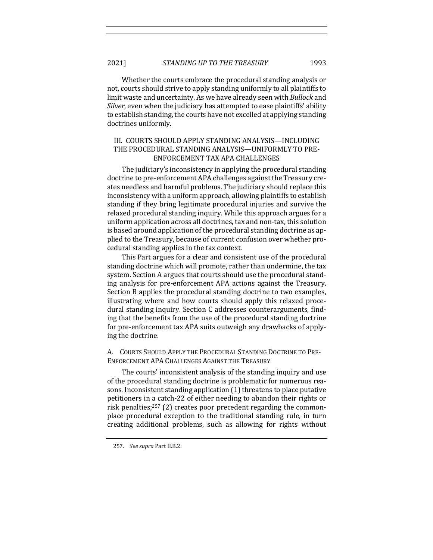Whether the courts embrace the procedural standing analysis or not, courts should strive to apply standing uniformly to all plaintiffs to limit waste and uncertainty. As we have already seen with *Bullock* and *Silver*, even when the judiciary has attempted to ease plaintiffs' ability to establish standing, the courts have not excelled at applying standing doctrines uniformly.

# III. COURTS SHOULD APPLY STANDING ANALYSIS—INCLUDING THE PROCEDURAL STANDING ANALYSIS—UNIFORMLY TO PRE-ENFORCEMENT TAX APA CHALLENGES

The judiciary's inconsistency in applying the procedural standing doctrine to pre-enforcement APA challenges against the Treasury creates needless and harmful problems. The judiciary should replace this inconsistency with a uniform approach, allowing plaintiffs to establish standing if they bring legitimate procedural injuries and survive the relaxed procedural standing inquiry. While this approach argues for a uniform application across all doctrines, tax and non-tax, this solution is based around application of the procedural standing doctrine as applied to the Treasury, because of current confusion over whether procedural standing applies in the tax context.

This Part argues for a clear and consistent use of the procedural standing doctrine which will promote, rather than undermine, the tax system. Section A argues that courts should use the procedural standing analysis for pre-enforcement APA actions against the Treasury. Section B applies the procedural standing doctrine to two examples, illustrating where and how courts should apply this relaxed procedural standing inquiry. Section C addresses counterarguments, finding that the benefits from the use of the procedural standing doctrine for pre-enforcement tax APA suits outweigh any drawbacks of applying the doctrine.

A. COURTS SHOULD APPLY THE PROCEDURAL STANDING DOCTRINE TO PRE-ENFORCEMENT APA CHALLENGES AGAINST THE TREASURY

The courts' inconsistent analysis of the standing inquiry and use of the procedural standing doctrine is problematic for numerous reasons. Inconsistent standing application  $(1)$  threatens to place putative petitioners in a catch-22 of either needing to abandon their rights or risk penalties; $257$  (2) creates poor precedent regarding the commonplace procedural exception to the traditional standing rule, in turn creating additional problems, such as allowing for rights without

<sup>257.</sup> *See supra Part II.B.2.*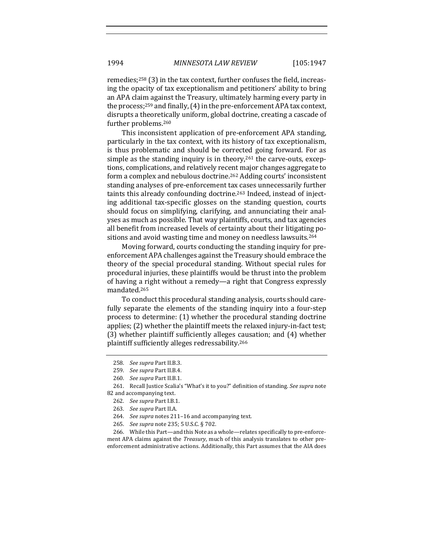remedies;<sup>258</sup> (3) in the tax context, further confuses the field, increasing the opacity of tax exceptionalism and petitioners' ability to bring an APA claim against the Treasury, ultimately harming every party in the process;<sup>259</sup> and finally,  $(4)$  in the pre-enforcement APA tax context, disrupts a theoretically uniform, global doctrine, creating a cascade of further problems.<sup>260</sup>

This inconsistent application of pre-enforcement APA standing, particularly in the tax context, with its history of tax exceptionalism, is thus problematic and should be corrected going forward. For as simple as the standing inquiry is in theory, $261$  the carve-outs, exceptions, complications, and relatively recent major changes aggregate to form a complex and nebulous doctrine.<sup>262</sup> Adding courts' inconsistent standing analyses of pre-enforcement tax cases unnecessarily further taints this already confounding doctrine.<sup>263</sup> Indeed, instead of injecting additional tax-specific glosses on the standing question, courts should focus on simplifying, clarifying, and annunciating their analyses as much as possible. That way plaintiffs, courts, and tax agencies all benefit from increased levels of certainty about their litigating positions and avoid wasting time and money on needless lawsuits.<sup>264</sup>

Moving forward, courts conducting the standing inquiry for preenforcement APA challenges against the Treasury should embrace the theory of the special procedural standing. Without special rules for procedural injuries, these plaintiffs would be thrust into the problem of having a right without a remedy—a right that Congress expressly mandated.265

To conduct this procedural standing analysis, courts should carefully separate the elements of the standing inquiry into a four-step process to determine:  $(1)$  whether the procedural standing doctrine applies;  $(2)$  whether the plaintiff meets the relaxed injury-in-fact test; (3) whether plaintiff sufficiently alleges causation; and (4) whether plaintiff sufficiently alleges redressability.<sup>266</sup>

266. While this Part—and this Note as a whole—relates specifically to pre-enforcement APA claims against the *Treasury*, much of this analysis translates to other preenforcement administrative actions. Additionally, this Part assumes that the AIA does

<sup>258.</sup> *See supra* Part II.B.3.

<sup>259.</sup> *See supra* Part II.B.4.

<sup>260.</sup> *See supra Part II.B.1.* 

<sup>261.</sup> Recall Justice Scalia's "What's it to you?" definition of standing. See supra note 82 and accompanying text.

<sup>262.</sup> *See supra* Part I.B.1.

<sup>263.</sup> *See supra* Part II.A.

<sup>264.</sup> *See supra* notes 211-16 and accompanying text.

<sup>265.</sup> *See supra* note 235; 5 U.S.C. § 702.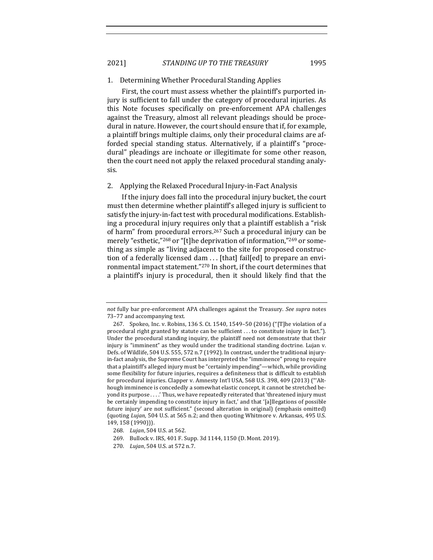2021] *STANDING UP TO THE TREASURY* 1995

#### 1. Determining Whether Procedural Standing Applies

First, the court must assess whether the plaintiff's purported injury is sufficient to fall under the category of procedural injuries. As this Note focuses specifically on pre-enforcement APA challenges against the Treasury, almost all relevant pleadings should be procedural in nature. However, the court should ensure that if, for example, a plaintiff brings multiple claims, only their procedural claims are afforded special standing status. Alternatively, if a plaintiff's "procedural" pleadings are inchoate or illegitimate for some other reason, then the court need not apply the relaxed procedural standing analysis.

#### 2. Applying the Relaxed Procedural Injury-in-Fact Analysis

If the injury does fall into the procedural injury bucket, the court must then determine whether plaintiff's alleged injury is sufficient to satisfy the injury-in-fact test with procedural modifications. Establishing a procedural injury requires only that a plaintiff establish a "risk of harm" from procedural errors.<sup>267</sup> Such a procedural injury can be merely "esthetic,"<sup>268</sup> or "[t]he deprivation of information,"<sup>269</sup> or something as simple as "living adjacent to the site for proposed construction of a federally licensed dam ... [that] fail[ed] to prepare an environmental impact statement."<sup>270</sup> In short, if the court determines that a plaintiff's injury is procedural, then it should likely find that the

*not* fully bar pre-enforcement APA challenges against the Treasury. See supra notes 73-77 and accompanying text.

<sup>267.</sup> Spokeo, Inc. v. Robins, 136 S. Ct. 1540, 1549–50 (2016) ("[T]he violation of a procedural right granted by statute can be sufficient  $\dots$  to constitute injury in fact."). Under the procedural standing inquiry, the plaintiff need not demonstrate that their injury is "imminent" as they would under the traditional standing doctrine. Lujan v. Defs. of Wildlife, 504 U.S. 555, 572 n.7 (1992). In contrast, under the traditional injuryin-fact analysis, the Supreme Court has interpreted the "imminence" prong to require that a plaintiff's alleged injury must be "certainly impending"—which, while providing some flexibility for future injuries, requires a definiteness that is difficult to establish for procedural injuries. Clapper v. Amnesty Int'l USA, 568 U.S. 398, 409 (2013) ("'Although imminence is concededly a somewhat elastic concept, it cannot be stretched beyond its purpose ....' Thus, we have repeatedly reiterated that 'threatened injury must be certainly impending to constitute injury in fact,' and that '[a]llegations of possible future injury' are not sufficient." (second alteration in original) (emphasis omitted) (quoting *Lujan*, 504 U.S. at 565 n.2; and then quoting Whitmore v. Arkansas, 495 U.S. 149, 158 (1990))).

<sup>268.</sup> *Lujan*, 504 U.S. at 562.

<sup>269.</sup> Bullock v. IRS, 401 F. Supp. 3d 1144, 1150 (D. Mont. 2019).

<sup>270.</sup> *Lujan*, 504 U.S. at 572 n.7.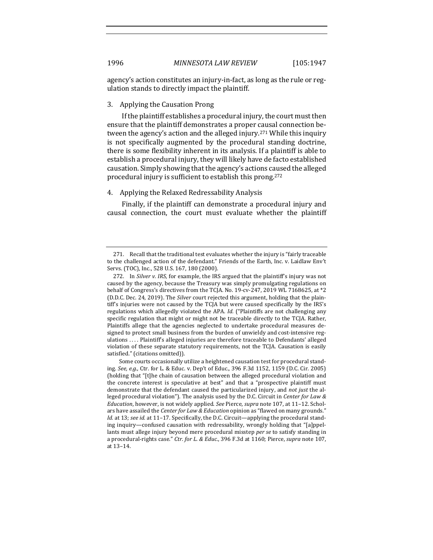agency's action constitutes an injury-in-fact, as long as the rule or regulation stands to directly impact the plaintiff.

## 3. Applying the Causation Prong

If the plaintiff establishes a procedural injury, the court must then ensure that the plaintiff demonstrates a proper causal connection between the agency's action and the alleged injury.<sup>271</sup> While this inquiry is not specifically augmented by the procedural standing doctrine, there is some flexibility inherent in its analysis. If a plaintiff is able to establish a procedural injury, they will likely have de facto established causation. Simply showing that the agency's actions caused the alleged procedural injury is sufficient to establish this prong.<sup>272</sup>

## 4. Applying the Relaxed Redressability Analysis

Finally, if the plaintiff can demonstrate a procedural injury and causal connection, the court must evaluate whether the plaintiff

<sup>271.</sup> Recall that the traditional test evaluates whether the injury is "fairly traceable to the challenged action of the defendant." Friends of the Earth, Inc. v. Laidlaw Env't Servs. (TOC), Inc., 528 U.S. 167, 180 (2000).

<sup>272.</sup> In *Silver v. IRS*, for example, the IRS argued that the plaintiff's injury was not caused by the agency, because the Treasury was simply promulgating regulations on behalf of Congress's directives from the TCJA. No. 19-cv-247, 2019 WL 7168625, at \*2 (D.D.C. Dec. 24, 2019). The *Silver* court rejected this argument, holding that the plaintiff's injuries were not caused by the  $TC$ ]A but were caused specifically by the  $IRS's$ regulations which allegedly violated the APA. *Id.* ("Plaintiffs are not challenging any specific regulation that might or might not be traceable directly to the TCJA. Rather, Plaintiffs allege that the agencies neglected to undertake procedural measures designed to protect small business from the burden of unwieldy and cost-intensive regulations .... Plaintiff's alleged injuries are therefore traceable to Defendants' alleged violation of these separate statutory requirements, not the TCJA. Causation is easily satisfied." (citations omitted)).

Some courts occasionally utilize a heightened causation test for procedural standing. See, e.g., Ctr. for L. & Educ. v. Dep't of Educ., 396 F.3d 1152, 1159 (D.C. Cir. 2005) (holding that "[t]he chain of causation between the alleged procedural violation and the concrete interest is speculative at best" and that a "prospective plaintiff must demonstrate that the defendant caused the particularized injury, and *not just* the alleged procedural violation"). The analysis used by the D.C. Circuit in *Center for Law & Education*, however, is not widely applied. *See Pierce, supra* note 107, at 11-12. Scholars have assailed the *Center for Law & Education* opinion as "flawed on many grounds." *Id.* at 13; *see id.* at 11–17. Specifically, the D.C. Circuit—applying the procedural standing inquiry—confused causation with redressability, wrongly holding that "[a]ppellants must allege injury beyond mere procedural misstep *per se* to satisfy standing in a procedural-rights case." Ctr. for L. & Educ., 396 F.3d at 1160; Pierce, *supra* note 107, at 13–14.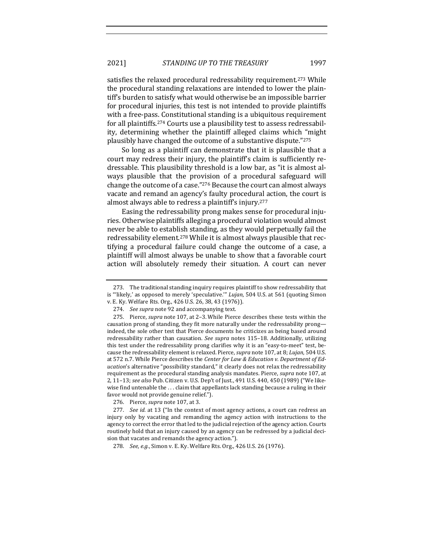satisfies the relaxed procedural redressability requirement.<sup>273</sup> While the procedural standing relaxations are intended to lower the plaintiff's burden to satisfy what would otherwise be an impossible barrier for procedural injuries, this test is not intended to provide plaintiffs with a free-pass. Constitutional standing is a ubiquitous requirement for all plaintiffs.<sup>274</sup> Courts use a plausibility test to assess redressability, determining whether the plaintiff alleged claims which "might" plausibly have changed the outcome of a substantive dispute."275

So long as a plaintiff can demonstrate that it is plausible that a court may redress their injury, the plaintiff's claim is sufficiently redressable. This plausibility threshold is a low bar, as "it is almost always plausible that the provision of a procedural safeguard will change the outcome of a case." $276$  Because the court can almost always vacate and remand an agency's faulty procedural action, the court is almost always able to redress a plaintiff's injury.<sup>277</sup>

Easing the redressability prong makes sense for procedural injuries. Otherwise plaintiffs alleging a procedural violation would almost never be able to establish standing, as they would perpetually fail the redressability element.<sup>278</sup> While it is almost always plausible that rectifying a procedural failure could change the outcome of a case, a plaintiff will almost always be unable to show that a favorable court action will absolutely remedy their situation. A court can never

<sup>273.</sup> The traditional standing inquiry requires plaintiff to show redressability that is "'likely,' as opposed to merely 'speculative."" *Lujan*, 504 U.S. at 561 (quoting Simon v. E. Ky. Welfare Rts. Org., 426 U.S. 26, 38, 43 (1976)).

<sup>274.</sup> *See supra* note 92 and accompanying text.

<sup>275.</sup> Pierce, *supra* note 107, at 2-3. While Pierce describes these tests within the causation prong of standing, they fit more naturally under the redressability prong indeed, the sole other test that Pierce documents he criticizes as being based around redressability rather than causation. See supra notes 115-18. Additionally, utilizing this test under the redressability prong clarifies why it is an "easy-to-meet" test, because the redressability element is relaxed. Pierce, *supra* note 107, at 8; *Lujan*, 504 U.S. at 572 n.7. While Pierce describes the *Center for Law & Education v. Department of Education*'s alternative "possibility standard," it clearly does not relax the redressability requirement as the procedural standing analysis mandates. Pierce, *supra* note 107, at 2, 11-13; see also Pub. Citizen v. U.S. Dep't of Just., 491 U.S. 440, 450 (1989) ("We likewise find untenable the ... claim that appellants lack standing because a ruling in their favor would not provide genuine relief.").

<sup>276.</sup> Pierce, *supra* note 107, at 3.

<sup>277.</sup> *See id.* at 13 ("In the context of most agency actions, a court can redress an injury only by vacating and remanding the agency action with instructions to the agency to correct the error that led to the judicial rejection of the agency action. Courts routinely hold that an injury caused by an agency can be redressed by a judicial decision that vacates and remands the agency action.").

<sup>278.</sup> *See, e.g.*, Simon v. E. Ky. Welfare Rts. Org., 426 U.S. 26 (1976).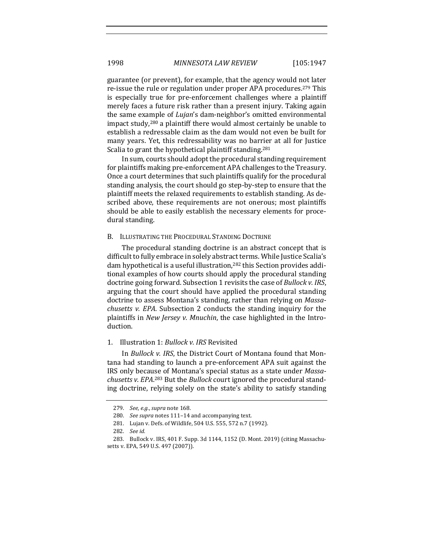guarantee (or prevent), for example, that the agency would not later re-issue the rule or regulation under proper APA procedures.<sup>279</sup> This is especially true for pre-enforcement challenges where a plaintiff merely faces a future risk rather than a present injury. Taking again the same example of *Lujan*'s dam-neighbor's omitted environmental impact study, $280$  a plaintiff there would almost certainly be unable to establish a redressable claim as the dam would not even be built for many years. Yet, this redressability was no barrier at all for Justice Scalia to grant the hypothetical plaintiff standing.<sup>281</sup>

In sum, courts should adopt the procedural standing requirement for plaintiffs making pre-enforcement APA challenges to the Treasury. Once a court determines that such plaintiffs qualify for the procedural standing analysis, the court should go step-by-step to ensure that the plaintiff meets the relaxed requirements to establish standing. As described above, these requirements are not onerous; most plaintiffs should be able to easily establish the necessary elements for procedural standing.

### B. ILLUSTRATING THE PROCEDURAL STANDING DOCTRINE

The procedural standing doctrine is an abstract concept that is difficult to fully embrace in solely abstract terms. While Justice Scalia's dam hypothetical is a useful illustration,<sup>282</sup> this Section provides additional examples of how courts should apply the procedural standing doctrine going forward. Subsection 1 revisits the case of *Bullock v. IRS*, arguing that the court should have applied the procedural standing doctrine to assess Montana's standing, rather than relying on *Massachusetts v. EPA*. Subsection 2 conducts the standing inquiry for the plaintiffs in *New Jersey v. Mnuchin*, the case highlighted in the Introduction.

## 1. Illustration 1: *Bullock v. IRS* Revisited

In *Bullock v. IRS*, the District Court of Montana found that Montana had standing to launch a pre-enforcement APA suit against the IRS only because of Montana's special status as a state under *Massa*chusetts v. EPA.<sup>283</sup> But the Bullock court ignored the procedural standing doctrine, relying solely on the state's ability to satisfy standing

<sup>279.</sup> *See, e.g., supra* note 168.

<sup>280.</sup> See supra notes 111-14 and accompanying text.

<sup>281.</sup> Lujan v. Defs. of Wildlife, 504 U.S. 555, 572 n.7 (1992).

<sup>282.</sup> *See id.*

<sup>283.</sup> Bullock v. IRS, 401 F. Supp. 3d 1144, 1152 (D. Mont. 2019) (citing Massachusetts v. EPA, 549 U.S. 497 (2007)).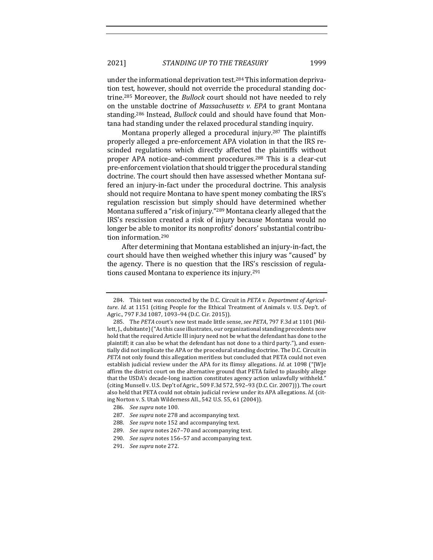under the informational deprivation test.<sup>284</sup> This information deprivation test, however, should not override the procedural standing doctrine.<sup>285</sup> Moreover, the *Bullock* court should not have needed to rely on the unstable doctrine of *Massachusetts v. EPA* to grant Montana standing.<sup>286</sup> Instead, *Bullock* could and should have found that Montana had standing under the relaxed procedural standing inquiry.

Montana properly alleged a procedural injury.<sup>287</sup> The plaintiffs properly alleged a pre-enforcement APA violation in that the IRS rescinded regulations which directly affected the plaintiffs without proper APA notice-and-comment procedures.<sup>288</sup> This is a clear-cut pre-enforcement violation that should trigger the procedural standing doctrine. The court should then have assessed whether Montana suffered an injury-in-fact under the procedural doctrine. This analysis should not require Montana to have spent money combating the IRS's regulation rescission but simply should have determined whether Montana suffered a "risk of injury."<sup>289</sup> Montana clearly alleged that the IRS's rescission created a risk of injury because Montana would no longer be able to monitor its nonprofits' donors' substantial contribution information.<sup>290</sup>

After determining that Montana established an injury-in-fact, the court should have then weighed whether this injury was "caused" by the agency. There is no question that the IRS's rescission of regulations caused Montana to experience its injury.<sup>291</sup>

286. See supra note 100.

<sup>284.</sup> This test was concocted by the D.C. Circuit in *PETA v. Department of Agriculture. Id.* at 1151 (citing People for the Ethical Treatment of Animals v. U.S. Dep't. of Agric., 797 F.3d 1087, 1093-94 (D.C. Cir. 2015)).

<sup>285.</sup> The PETA court's new test made little sense, see PETA, 797 F.3d at 1101 (Millett, J., dubitante) ("As this case illustrates, our organizational standing precedents now hold that the required Article III injury need not be what the defendant has done to the plaintiff; it can also be what the defendant has not done to a third party."), and essentially did not implicate the APA or the procedural standing doctrine. The D.C. Circuit in *PETA* not only found this allegation meritless but concluded that PETA could not even establish judicial review under the APA for its flimsy allegations. *Id.* at 1098 ("[W]e affirm the district court on the alternative ground that PETA failed to plausibly allege that the USDA's decade-long inaction constitutes agency action unlawfully withheld." (citing Munsell v. U.S. Dep't of Agric., 509 F.3d 572, 592-93 (D.C. Cir. 2007))). The court also held that PETA could not obtain judicial review under its APA allegations. *Id.* (citing Norton v. S. Utah Wilderness All., 542 U.S. 55, 61 (2004)).

<sup>287.</sup> *See supra* note 278 and accompanying text.

<sup>288.</sup> See supra note 152 and accompanying text.

<sup>289.</sup> *See supra* notes 267-70 and accompanying text.

<sup>290.</sup> *See supra* notes 156-57 and accompanying text.

<sup>291.</sup> *See supra* note 272.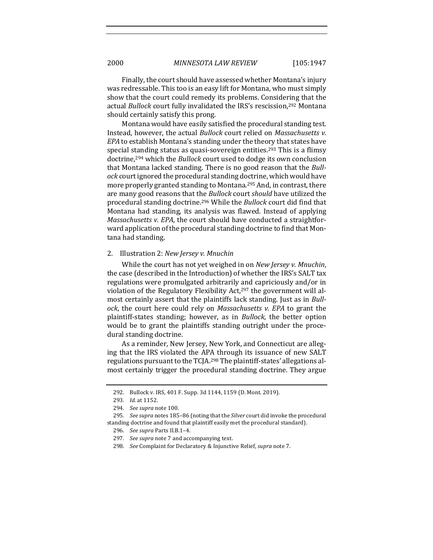Finally, the court should have assessed whether Montana's injury was redressable. This too is an easy lift for Montana, who must simply show that the court could remedy its problems. Considering that the actual *Bullock* court fully invalidated the IRS's rescission,<sup>292</sup> Montana should certainly satisfy this prong.

Montana would have easily satisfied the procedural standing test. Instead, however, the actual *Bullock* court relied on *Massachusetts v. EPA* to establish Montana's standing under the theory that states have special standing status as quasi-sovereign entities.<sup>293</sup> This is a flimsy doctrine,<sup>294</sup> which the *Bullock* court used to dodge its own conclusion that Montana lacked standing. There is no good reason that the *Bullock* court ignored the procedural standing doctrine, which would have more properly granted standing to Montana.<sup>295</sup> And, in contrast, there are many good reasons that the *Bullock* court *should* have utilized the procedural standing doctrine.<sup>296</sup> While the *Bullock* court did find that Montana had standing, its analysis was flawed. Instead of applying *Massachusetts v. EPA*, the court should have conducted a straightforward application of the procedural standing doctrine to find that Montana had standing.

#### 2. Illustration 2: *New Jersey v. Mnuchin*

While the court has not yet weighed in on *New Jersey v. Mnuchin*, the case (described in the Introduction) of whether the IRS's SALT tax regulations were promulgated arbitrarily and capriciously and/or in violation of the Regulatory Flexibility Act,<sup>297</sup> the government will almost certainly assert that the plaintiffs lack standing. Just as in *Bullock*, the court here could rely on *Massachusetts v. EPA* to grant the plaintiff-states standing; however, as in *Bullock*, the better option would be to grant the plaintiffs standing outright under the procedural standing doctrine.

As a reminder, New Jersey, New York, and Connecticut are alleging that the IRS violated the APA through its issuance of new SALT regulations pursuant to the TCJA.<sup>298</sup> The plaintiff-states' allegations almost certainly trigger the procedural standing doctrine. They argue

<sup>292.</sup> Bullock v. IRS, 401 F. Supp. 3d 1144, 1159 (D. Mont. 2019).

<sup>293.</sup> *Id.* at 1152.

<sup>294.</sup> *See supra* note 100.

<sup>295.</sup> See supra notes 185-86 (noting that the Silver court did invoke the procedural standing doctrine and found that plaintiff easily met the procedural standard).

<sup>296.</sup> *See supra* Parts II.B.1–4.

<sup>297.</sup> See supra note 7 and accompanying text.

<sup>298.</sup> *See* Complaint for Declaratory & Injunctive Relief, *supra* note 7.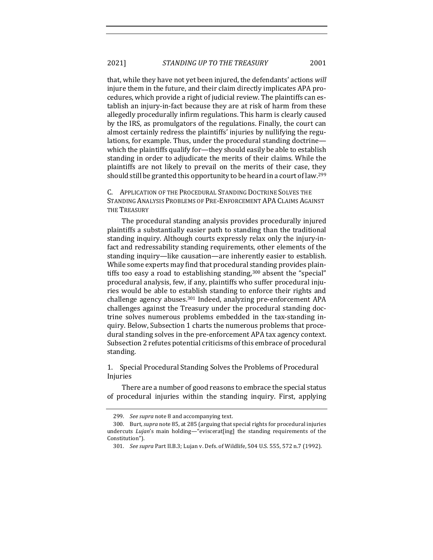that, while they have not yet been injured, the defendants' actions *will* injure them in the future, and their claim directly implicates APA procedures, which provide a right of judicial review. The plaintiffs can establish an injury-in-fact because they are at risk of harm from these allegedly procedurally infirm regulations. This harm is clearly caused by the IRS, as promulgators of the regulations. Finally, the court can almost certainly redress the plaintiffs' injuries by nullifying the regulations, for example. Thus, under the procedural standing doctrine which the plaintiffs qualify for—they should easily be able to establish standing in order to adjudicate the merits of their claims. While the plaintiffs are not likely to prevail on the merits of their case, they should still be granted this opportunity to be heard in a court of law.<sup>299</sup>

C. APPLICATION OF THE PROCEDURAL STANDING DOCTRINE SOLVES THE STANDING ANALYSIS PROBLEMS OF PRE-ENFORCEMENT APA CLAIMS AGAINST THE **TREASURY** 

The procedural standing analysis provides procedurally injured plaintiffs a substantially easier path to standing than the traditional standing inquiry. Although courts expressly relax only the injury-infact and redressability standing requirements, other elements of the standing inquiry—like causation—are inherently easier to establish. While some experts may find that procedural standing provides plaintiffs too easy a road to establishing standing, $300$  absent the "special" procedural analysis, few, if any, plaintiffs who suffer procedural injuries would be able to establish standing to enforce their rights and challenge agency abuses.<sup>301</sup> Indeed, analyzing pre-enforcement APA challenges against the Treasury under the procedural standing doctrine solves numerous problems embedded in the tax-standing inquiry. Below, Subsection 1 charts the numerous problems that procedural standing solves in the pre-enforcement APA tax agency context. Subsection 2 refutes potential criticisms of this embrace of procedural standing.

1. Special Procedural Standing Solves the Problems of Procedural Injuries

There are a number of good reasons to embrace the special status of procedural injuries within the standing inquiry. First, applying

<sup>299.</sup> *See supra* note 8 and accompanying text.

<sup>300.</sup> Burt, *supra* note 85, at 285 (arguing that special rights for procedural injuries undercuts *Lujan's* main holding—"eviscerat[ing] the standing requirements of the Constitution").

<sup>301.</sup> *See supra Part II.B.3; Lujan v. Defs. of Wildlife, 504 U.S. 555, 572 n.7 (1992).*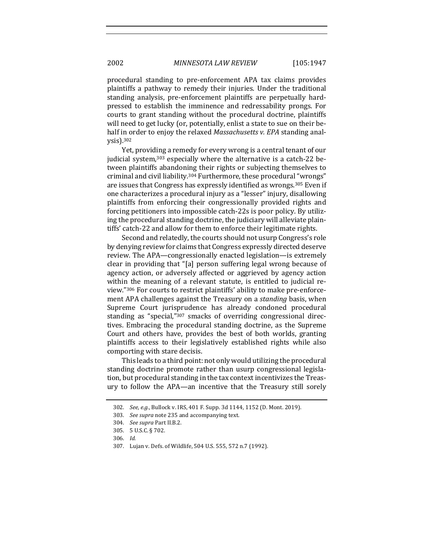procedural standing to pre-enforcement APA tax claims provides plaintiffs a pathway to remedy their injuries. Under the traditional standing analysis, pre-enforcement plaintiffs are perpetually hardpressed to establish the imminence and redressability prongs. For courts to grant standing without the procedural doctrine, plaintiffs will need to get lucky (or, potentially, enlist a state to sue on their behalf in order to enjoy the relaxed *Massachusetts v. EPA* standing analysis).302

Yet, providing a remedy for every wrong is a central tenant of our judicial system,<sup>303</sup> especially where the alternative is a catch-22 between plaintiffs abandoning their rights or subjecting themselves to criminal and civil liability.<sup>304</sup> Furthermore, these procedural "wrongs" are issues that Congress has expressly identified as wrongs.<sup>305</sup> Even if one characterizes a procedural injury as a "lesser" injury, disallowing plaintiffs from enforcing their congressionally provided rights and forcing petitioners into impossible catch-22s is poor policy. By utilizing the procedural standing doctrine, the judiciary will alleviate plaintiffs' catch-22 and allow for them to enforce their legitimate rights.

Second and relatedly, the courts should not usurp Congress's role by denving review for claims that Congress expressly directed deserve review. The APA—congressionally enacted legislation—is extremely clear in providing that "[a] person suffering legal wrong because of agency action, or adversely affected or aggrieved by agency action within the meaning of a relevant statute, is entitled to judicial review."306 For courts to restrict plaintiffs' ability to make pre-enforcement APA challenges against the Treasury on a *standing* basis, when Supreme Court jurisprudence has already condoned procedural standing as "special,"<sup>307</sup> smacks of overriding congressional directives. Embracing the procedural standing doctrine, as the Supreme Court and others have, provides the best of both worlds, granting plaintiffs access to their legislatively established rights while also comporting with stare decisis.

This leads to a third point: not only would utilizing the procedural standing doctrine promote rather than usurp congressional legislation, but procedural standing in the tax context incentivizes the Treasury to follow the APA—an incentive that the Treasury still sorely

<sup>302.</sup> *See, e.g.*, Bullock v. IRS, 401 F. Supp. 3d 1144, 1152 (D. Mont. 2019).

<sup>303.</sup> *See supra* note 235 and accompanying text.

<sup>304.</sup> *See supra* Part II.B.2.

<sup>305. 5</sup> U.S.C. § 702.

<sup>306.</sup> *Id.*

<sup>307.</sup> Lujan v. Defs. of Wildlife, 504 U.S. 555, 572 n.7 (1992).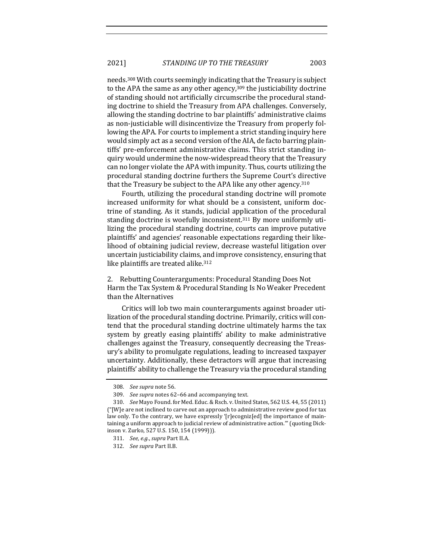needs.<sup>308</sup> With courts seemingly indicating that the Treasury is subject to the APA the same as any other agency, $309$  the justiciability doctrine of standing should not artificially circumscribe the procedural standing doctrine to shield the Treasury from APA challenges. Conversely, allowing the standing doctrine to bar plaintiffs' administrative claims as non-justiciable will disincentivize the Treasury from properly following the APA. For courts to implement a strict standing inquiry here would simply act as a second version of the AIA, de facto barring plaintiffs' pre-enforcement administrative claims. This strict standing inquiry would undermine the now-widespread theory that the Treasury can no longer violate the APA with impunity. Thus, courts utilizing the procedural standing doctrine furthers the Supreme Court's directive that the Treasury be subject to the APA like any other agency.<sup>310</sup>

Fourth, utilizing the procedural standing doctrine will promote increased uniformity for what should be a consistent, uniform doctrine of standing. As it stands, judicial application of the procedural standing doctrine is woefully inconsistent.<sup>311</sup> By more uniformly utilizing the procedural standing doctrine, courts can improve putative plaintiffs' and agencies' reasonable expectations regarding their likelihood of obtaining judicial review, decrease wasteful litigation over uncertain justiciability claims, and improve consistency, ensuring that like plaintiffs are treated alike.<sup>312</sup>

2. Rebutting Counterarguments: Procedural Standing Does Not Harm the Tax System & Procedural Standing Is No Weaker Precedent than the Alternatives

Critics will lob two main counterarguments against broader utilization of the procedural standing doctrine. Primarily, critics will contend that the procedural standing doctrine ultimately harms the tax system by greatly easing plaintiffs' ability to make administrative challenges against the Treasury, consequently decreasing the Treasury's ability to promulgate regulations, leading to increased taxpayer uncertainty. Additionally, these detractors will argue that increasing plaintiffs' ability to challenge the Treasury via the procedural standing

<sup>308.</sup> *See supra* note 56.

<sup>309.</sup> *See supra* notes 62-66 and accompanying text.

<sup>310.</sup> *See Mayo Found.* for Med. Educ. & Rsch. v. United States, 562 U.S. 44, 55 (2011)  $("[W]e$  are not inclined to carve out an approach to administrative review good for tax law only. To the contrary, we have expressly '[r]ecogniz[ed] the importance of maintaining a uniform approach to judicial review of administrative action."" (quoting Dickinson v. Zurko, 527 U.S. 150, 154 (1999))).

<sup>311.</sup> *See, e.g., supra Part II.A.* 

<sup>312.</sup> *See supra* Part II.B.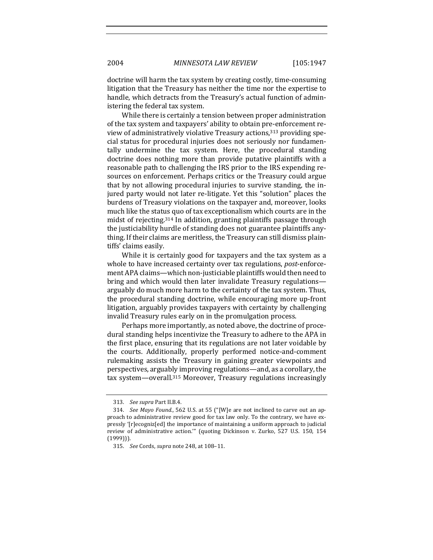doctrine will harm the tax system by creating costly, time-consuming litigation that the Treasury has neither the time nor the expertise to handle, which detracts from the Treasury's actual function of administering the federal tax system.

While there is certainly a tension between proper administration of the tax system and taxpayers' ability to obtain pre-enforcement review of administratively violative Treasury actions,<sup>313</sup> providing special status for procedural injuries does not seriously nor fundamentally undermine the tax system. Here, the procedural standing doctrine does nothing more than provide putative plaintiffs with a reasonable path to challenging the IRS prior to the IRS expending resources on enforcement. Perhaps critics or the Treasury could argue that by not allowing procedural injuries to survive standing, the injured party would not later re-litigate. Yet this "solution" places the burdens of Treasury violations on the taxpayer and, moreover, looks much like the status quo of tax exceptionalism which courts are in the midst of rejecting.<sup>314</sup> In addition, granting plaintiffs passage through the justiciability hurdle of standing does not guarantee plaintiffs anything. If their claims are meritless, the Treasury can still dismiss plaintiffs' claims easily.

While it is certainly good for taxpayers and the tax system as a whole to have increased certainty over tax regulations, *post*-enforcement APA claims—which non-justiciable plaintiffs would then need to bring and which would then later invalidate Treasury regulations arguably do much more harm to the certainty of the tax system. Thus, the procedural standing doctrine, while encouraging more up-front litigation, arguably provides taxpayers with certainty by challenging invalid Treasury rules early on in the promulgation process.

Perhaps more importantly, as noted above, the doctrine of procedural standing helps incentivize the Treasury to adhere to the APA in the first place, ensuring that its regulations are not later voidable by the courts. Additionally, properly performed notice-and-comment rulemaking assists the Treasury in gaining greater viewpoints and perspectives, arguably improving regulations—and, as a corollary, the tax system—overall.<sup>315</sup> Moreover, Treasury regulations increasingly

<sup>313.</sup> *See supra* Part II.B.4.

<sup>314.</sup> *See Mayo Found.*, 562 U.S. at 55 ("[W]e are not inclined to carve out an approach to administrative review good for tax law only. To the contrary, we have expressly '[r]ecogniz[ed] the importance of maintaining a uniform approach to judicial review of administrative action."" (quoting Dickinson v. Zurko, 527 U.S. 150, 154 (1999))).

<sup>315.</sup> *See* Cords, *supra* note 248, at 108–11.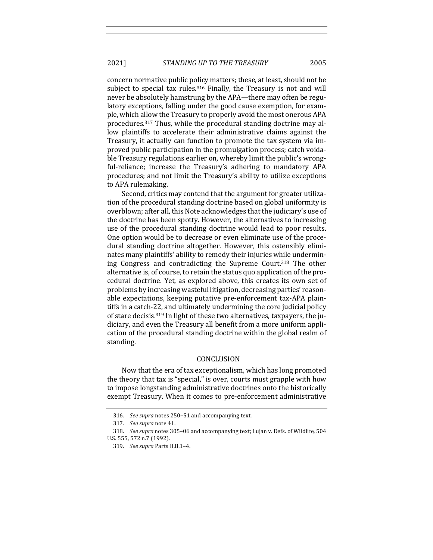2021] *STANDING UP TO THE TREASURY* 2005

concern normative public policy matters; these, at least, should not be subject to special tax rules. $316$  Finally, the Treasury is not and will never be absolutely hamstrung by the APA—there may often be regulatory exceptions, falling under the good cause exemption, for example, which allow the Treasury to properly avoid the most onerous APA procedures.<sup>317</sup> Thus, while the procedural standing doctrine may allow plaintiffs to accelerate their administrative claims against the Treasury, it actually can function to promote the tax system via improved public participation in the promulgation process; catch voidable Treasury regulations earlier on, whereby limit the public's wrongful-reliance; increase the Treasury's adhering to mandatory APA procedures; and not limit the Treasury's ability to utilize exceptions to APA rulemaking.

Second, critics may contend that the argument for greater utilization of the procedural standing doctrine based on global uniformity is overblown; after all, this Note acknowledges that the judiciary's use of the doctrine has been spotty. However, the alternatives to increasing use of the procedural standing doctrine would lead to poor results. One option would be to decrease or even eliminate use of the procedural standing doctrine altogether. However, this ostensibly eliminates many plaintiffs' ability to remedy their injuries while undermining Congress and contradicting the Supreme Court.<sup>318</sup> The other alternative is, of course, to retain the status quo application of the procedural doctrine. Yet, as explored above, this creates its own set of problems by increasing wasteful litigation, decreasing parties' reasonable expectations, keeping putative pre-enforcement tax-APA plaintiffs in a catch-22, and ultimately undermining the core judicial policy of stare decisis.<sup>319</sup> In light of these two alternatives, taxpayers, the judiciary, and even the Treasury all benefit from a more uniform application of the procedural standing doctrine within the global realm of standing.

## CONCLUSION

Now that the era of tax exceptionalism, which has long promoted the theory that tax is "special," is over, courts must grapple with how to impose longstanding administrative doctrines onto the historically exempt Treasury. When it comes to pre-enforcement administrative

<sup>316.</sup> See supra notes 250-51 and accompanying text.

<sup>317.</sup> See supra note 41.

<sup>318.</sup> *See supra* notes 305–06 and accompanying text; Lujan v. Defs. of Wildlife, 504 U.S. 555, 572 n.7 (1992).

<sup>319.</sup> *See supra* Parts II.B.1–4.